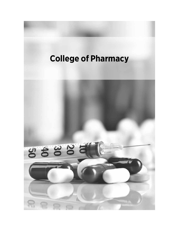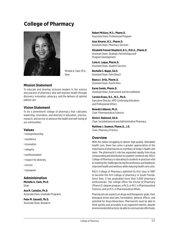# **College of Pharmacy**



Michelle A. Clark, Ph.D., Dean

# **Mission Statement**

To educate and develop inclusive leaders in the science and practice of pharmacy who will improve health through discovery, innovation, advocacy, and the delivery of optimal patient care

# **Vision Statement**

To be a preeminent college of pharmacy that cultivates leadership, innovation, and diversity in education, practice, research, and service to advance the health and well-being of our communities

# **Values**

- entrepreneurship
- excellence
- innovation
- integrity
- professionalism
- respect for diversity
- service
- teamwork

# **Administration**

**Michelle A. Clark, Ph.D.** Dean

**Ana M. Castejon, Ph.D.** Associate Dean, Graduate Programs

**Peter M. Gannett, Ph.D.** Associate Dean, Research **Robert McGory, M.S., Pharm.D.** Associate Dean, Professional Program

**Goar Alvarez, B.S., Pharm.D.** Assistant Dean, Pharmacy Services

**Elizabeth Frenzel Shepherd, B.S., M.B.A., Pharm.D.** Assistant Dean, Strategic Partnerships and Program Development

**Carla A. Luque, Pharm.D.** Assistant Dean, Student Services

**Rochelle S. Nappi, Ed.D.** Assistant Dean, Palm Beach

**Blanca I. Ortiz, Pharm.D.** Assistant Dean, Puerto Rico

**Karen Sando, Pharm.D.** Assistant Dean, Assessment and Accreditation

**Carsten Evans, B.S., M.S., Ph.D.** Executive Director, HPD Continuing Education and Professional Affairs

**Benedict Albensi, Ph.D.** Chair, Pharmaceutical Sciences

**Silvia E. Rabionet, Ed.D.** Chair, Sociobehavioral and Administrative Pharmacy

**Matthew J. Seamon, Pharm.D., J.D.**  Chair, Pharmacy Practice

# **Overview**

With the nation struggling to deliver high quality, affordable health care, there has come a greater appreciation of the importance of pharmacists as members of today's health care team. The pharmacist's role has expanded rapidly from drug compounding and distribution to a patient-centered role. NSU's College of Pharmacy is educating its students in practices vital to meeting the challenges facing the profession and leading to improved health and wellness while reducing health care costs.

NSU's College of Pharmacy admitted its first class in 1987 to become the first college of pharmacy in South Florida. Since then, it has graduated more than 5,000 pharmacy professionals. The college offers the Doctor of Pharmacy (Pharm.D.) degree program, a Ph.D. or M.S. in Pharmaceutical Sciences, and an M.S. in Pharmaceutical Affairs.

Pharmacists are experts on drugs and therapeutic goals, their biological action and uses, formulation, adverse effects, and potential for drug interactions. Pharmacists must be able to think quickly and accurately in an organized manner, despite environmental distractions; be able to communicate effectively;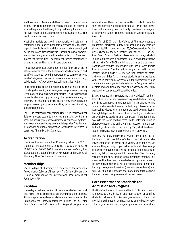and have interprofessional abilities sufficient to interact with others. They consider both the medication and the patient to ensure the patient has the right drug, in the right amount, for the right length of time, and with minimal adverse effects. The result is improved health care.

Most pharmacists practice in patient-oriented settings: in community pharmacies, hospitals, extended care facilities, or public health clinics. In addition, pharmacists are employed by the pharmaceutical industry in research and development, in manufacturing, or as medical science liaisons. They work in academic institutions, government, health maintenance organizations, and home health care programs.

The college embraces these opportunities for pharmacists to assume a wider role in the health care needs of society, and qualified students have the opportunity to earn concurrent master's degrees in either business administration (M.B.A.), public health (M.P.H.), or biomedical informatics (M.S.).

Ph.D. graduates focus on expanding the science of drug knowledge by creating and testing new drug molecules or using technology to develop new dosage forms. This field responds to needs identified by practicing pharmacists in caring for patients. The pharmaceutical scientist is very knowledgeable in pharmacology, pharmaceutics, pharmacokinetics, and administration.

The M.S. in Pharmaceutical Affairs and the M.S. in Pharmaceutical Sciences prepare students interested in pursuing positions in academia, industry, research organizations, health care systems, and government and nongovernmental agencies. The degrees also provide additional preparation for students interested in pursuing a Pharm.D. or Ph.D. degree.

# **Accreditation**

The Accreditation Council for Pharmacy Education, 190 S. LaSalle Street, Suite 2850, Chicago, IL 60603-3410, (312) 664-3575, Fax 866-228-2631, website: *[acpe-accredit.org](http://www.acpe-accredit.org)*, has accredited the Doctor of Pharmacy Program of the College of Pharmacy, Nova Southeastern University.

# **Memberships**

NSU's College of Pharmacy is a member of the American Association of Colleges of Pharmacy. The College of Pharmacy is also a member of the International Pharmaceutical Federation (FIP).

# **Facilities**

The college's administrative offices are located on the third floor of the Health Professions Division Administration Building. Pharmacy practice and research laboratories are located on the third floor of the Library/Laboratories Building. The NSU Palm Beach Campus and NSU Puerto Rico Regional Campus have

administrative offices, classrooms, and labs on site. Experiential sites are primarily located throughout Florida and Puerto Rico, and pharmacy practice faculty members are assigned to innovative, patient-centered facilities in South Florida and Puerto Rico.

In the fall of 2000, the NSU College of Pharmacy opened a program in Palm Beach County. After spending many years at a shared site, NSU moved to its own 75,000-square-foot facility. Classes began at the new location in the fall of 2011. The NSU Palm Beach Campus features classrooms and labs, a student lounge, a fitness area, a pharmacy library, and administrative offices. In the fall of 2001, a full-time program on the campus of Pontificia Universidad Catolica de Puerto Rico in Ponce, Puerto Rico, was opened. The Puerto Rico program moved to its new location in San Juan in 2014. The San Juan location has stateof-the-art facilities for pharmacy students and is equipped with lecture halls; study rooms; computer, pharmaceutics, and patient care management laboratories; a Drug Information Center; and additional meeting and classroom space fully equipped for compressed interactive video.

Each campus has administrators and faculty and staff members. Interactive video technology is used to provide lectures among the three campuses simultaneously. This provides for live interaction between lecturer and students regardless of location. Identical handouts, tests, and texts are used. Communication through telephone, fax, interactive technologies, and email are available to students at all campuses. All students have access to the Martin and Gail Press Health Professions Division Library, computer labs, online learning resources, and the vast technological innovations provided by NSU, which has been a leader in distance education programs for many years.

The NSU Pharmacy and Pharmacy Clinics are located next to the Sanford L. Ziff Health Care Center on the Fort Lauderdale/ Davie Campus on the corner of University Drive and SW 30th Avenue. The pharmacy is open to the public and offers a range of disease management services, including diabetes care and anticoagulation management, to name a few. The pharmacy recently added an herbal and supplementation therapy clinic, a service that has been requested often by many patients. Furthermore, the pharmacy offers compounding, medication therapy management services (medication check-ups), and adult vaccinations. It teaches pharmacy students throughout the spectrum of their professional student career.

# **Core Performance Standards for Admission and Progress**

The Nova Southeastern University Health Professions Division is pledged to the admission and matriculation of qualified students and wishes to acknowledge awareness of laws that prohibit discrimination against anyone on the basis of race, color, religion or creed, sex, pregnancy status, national or ethnic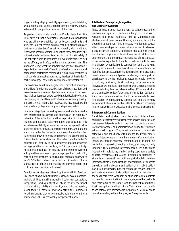origin, nondisqualifying disability, age, ancestry, marital status, sexual orientation, gender, gender identity, military service, veteran status, or political beliefs or affiliations.

Regarding those students with verifiable disabilities, the university will not discriminate against such individuals who are otherwise qualified, but will expect applicants and students to meet certain minimal technical standards (core performance standards) as set forth herein, with or without reasonable accommodation. In adopting these standards, the university believes it must keep in mind the ultimate safety of the patients whom its graduates will eventually serve, as well as the efficacy and safety in the learning environment. The standards reflect what the university believes are reasonable expectations required of health professions students and personnel in performing common functions. Any exceptions to such standards must be approved by the dean of the student's particular college, based upon appropriate circumstances.

The holders of health care degrees must have the knowledge and skills to function in a broad variety of clinical situations and to render a wide spectrum of patient care. In order to carry out the activities described below, candidates for Health Professions Division degrees must be able to integrate consistently, quickly, and accurately all information received, and they must have the ability to learn, integrate, analyze, and synthesize data.

Honor and integrity of the health professions student and health care professional is essential and depends on the exemplary behavior of the individual health care provider in his or her relations with patients, faculty members, and colleagues. This includes accountability to oneself and to relationships with fellow students, future colleagues, faculty members, and patients who come under the student's care or contribute to his or her training and growth, as well as members of the general public. This applies to personal conduct that reflects on the student's honesty and integrity in both academic and nonacademic settings, whether or not involving an NSU-sponsored activity. All students must have the capacity to manage their lives and anticipate their own needs. Upon accepting admission to NSU, each student subscribes to, and pledges complete observance to, NSU's Student Code of Conduct Policies. A violation of these standards is an abuse of the trust placed in every student and could lead to suspension or dismissal.

Candidates for degrees offered by the Health Professions Division must have, with or without reasonable accommodation, multiple abilities and skills including intellectual, conceptual, integrative, and quantitative abilities; interpersonal communication; mobility and strength; motor skills; and hearing, visual, tactile, behavioral, and social attributes. Candidates for admission and progression must be able to perform these abilities and skills in a reasonably independent manner.

# **Intellectual, Conceptual, Integrative, and Qualitative Abilities**

These abilities include measurement, calculation, reasoning, analysis, and synthesis. Problem solving—a critical skill requires all of these intellectual abilities. Candidates and students must have critical thinking ability sufficient for good clinical judgment. This is necessary to identify cause/ effect relationships in clinical situations and to develop plans of care. In addition, candidates and students should be able to comprehend three-dimensional relationships and to understand the spatial relationships of structures. An individual is expected to be able to perform multiple tasks in a diverse, dynamic, highly competitive, and challenging learning environment. Examples include, but are not limited to, identification of cause/effect relationships in clinical situations, development of treatment plans, transferring knowledge from one situation to another, evaluating outcomes, problem solving, prioritizing, and using short- and long-term memory. All individuals are expected to meet their program requirements on a satisfactory level as determined by HPD administration or the applicable college/program administration. College of Pharmacy students must be able to perform multiple tasks in a diverse, dynamic, highly competitive, and challenging environment. They must be able to think quickly and accurately in an organized manner, despite environmental distractions.

# **Interpersonal Communication**

Candidates and students must be able to interact and communicate effectively, with respect to policies, protocols, and process—with faculty and staff members, students, patients, patient surrogates, and administration during the student's educational program. They must be able to communicate effectively and sensitively with patients, faculty members, and an interprofessional health care team. Communication includes verbal and nonverbal communication, including, but not limited to, speaking, reading, writing, gestures, and body language. They must have interpersonal abilities sufficient to interact with individuals, families, and groups from a variety of social, emotional, cultural, and intellectual backgrounds. A student must have sufficient proficiency with English to retrieve information from texts and lectures and communicate concepts on written and oral exams and patient charts; elicit patient backgrounds; describe patient changes in moods, activity, and posture; and coordinate patient care with all members of the health care team. A student must be able to communicate or provide communication in lay language so that patients and their families can understand the patient's conditions, treatment options, and instructions. The student must be able to accurately enter information in the patient's electronic health record, according to his or her program's requirements.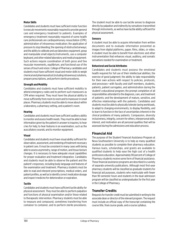### **Motor Skills**

Candidates and students must have sufficient motor function to execute movements reasonably required to provide general care and emergency treatment to patients. Examples of emergency treatment reasonably required of some health care professionals are cardiopulmonary resuscitation (CPR); administration of intravenous medication; the application of pressure to stop bleeding; the opening of obstructed airways; and the ability to calibrate and use laboratory equipment, grasp and manipulate small objects/instruments, use a computer keyboard, and other related laboratory and medical equipment. Such actions require coordination of both gross and fine muscular movements, equilibrium, and functional use of the senses of touch and vision. College of Pharmacy candidates and students must have sufficient visual and motor skills to weigh chemical and pharmaceutical (including intravenous) solutions, prepare prescriptions, and perform sterile procedures.

### **Strength and Mobility**

Candidates and students must have sufficient mobility to attend emergency codes and to perform such maneuvers as CPR when required. They must have the physical ability to move sufficiently from room to room and to maneuver in small places. Pharmacy students must be able to move about within a laboratory, a pharmacy setting, and a patient's room.

#### **Hearing**

Candidates and students must have sufficient auditory ability to monitor and assess health needs. They must be able to hear information given by the patient in answer to inquires; to hear cries for help; to hear features in an examination, such as the auscultatory sounds; and to monitor equipment.

#### **Visual**

Candidates and students must have visual ability sufficient for observation, assessment, and rendering of treatment necessary in patient care. It must be consistent in many cases with being able to assess asymmetry, range of motion, and tissue texture changes. It is necessary to have adequate visual capabilities for proper evaluation and treatment integration. Candidates and students must be able to observe the patient and the patient's responses, including body language and features of the examination and treatment. Pharmacy students must be able to read and interpret prescriptions, medical orders, and patient profiles, as well as to identify correct medication dosage and inspect medicine for deterioration or expiration.

#### **Tactile**

Candidates and students must have sufficient tactile ability for physical assessment. They must be able to perform palpation and functions of physical examination and/or those related to therapeutic intervention. Pharmacy students must be able to measure and compound, sometimes transferring from container to container, and to perform sterile procedures.

The student must be able to use tactile senses to diagnose directly by palpation and indirectly by sensations transmitted through instruments, as well as have tactile ability sufficient for physical assessment.

### **Sensory**

A student must be able to acquire information from written documents and to evaluate information presented as images from digital platforms, paper, films, slides, or video. A student must be able to benefit from electronic and other instrumentation that enhances visual, auditory, and somatic sensations needed for examination or treatment.

### **Behavioral and Social Attributes**

Candidates and students must possess the emotional health required for full use of their intellectual abilities; the exercise of good judgment; the ability to take responsibility for their own actions with respect to policies, protocols, and processes—with faculty and staff members, students, patients, patient surrogates, and administration during the student's educational program; the prompt completion of all responsibilities attendant to the diagnosis, care, and treatment of patients; and the development of mature, sensitive, and effective relationships with the patients. Candidates and students must be able to physically tolerate taxing workloads, to adapt to changing environments, to display flexibility, and to learn to function in the face of uncertainties inherent in the clinical problems of many patients. Compassion, diversity inclusiveness, integrity, concern for others, interpersonal skills, interest, and motivation are all personal qualities that will be assessed during the admissions and education process.

# **Financial Aid**

The purpose of the Student Financial Assistance Program at Nova Southeastern University is to help as many qualified students as possible to complete their pharmacy education. Various loans, scholarships, and grants are available to qualified students to help ease the high cost of a health professions education. Approximately 90 percent of College of Pharmacy students receive some form of financial assistance. These financial assistance programs are described in a variety of separate university publications. Although most first-year pharmacy students will be classified as graduate students for financial aid purposes, students who matriculate with fewer than 90 semester hours and students in the dual-admission program will be classified as undergraduates for the first year in the College of Pharmacy.

# **Transfer Credits**

Requests for transfer credit must be submitted in writing to the associate dean or director of the relevant program. The request must include an official copy of the transcript containing the course title, final course grade, and a course syllabus.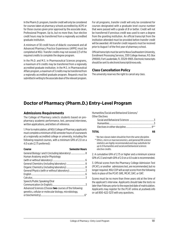In the Pharm.D. program, transfer credit will only be considered for courses taken at pharmacy schools accredited by ACPE or for those courses given prior approval by the associate dean, Professional Program. Up to, but no more than, four elective credit hours may be transferred from a regionally accredited graduate institution.

A minimum of 30 credit hours of didactic coursework and all Advanced Pharmacy Practice Experiences (APPE) must be completed at NSU. Transfer credits may not exceed 2/3 of the required credits to complete the degree program.

In the Ph.D. and M.S. in Pharmaceutical Sciences programs, a maximum of 6 credits may be transferred from a regionally accredited graduate institution. In the M.S. in Pharmaceutical Affairs program, a maximum of 3 credits may be transferred from a regionally accredited graduate program. Requests must be submitted in writing to the associate dean of the relevant program.

For all programs, transfer credit will only be considered for courses designated with a graduate level course number that were passed with a grade of *B* or better. Credit will not be transferred if previous credit was used to earn a degree from the granting institution. An official transcript from the institution attended must be provided before transfer credit will be awarded. All transfer credit requests must be received prior to August 1 of the first year of pharmacy school.

Official transcripts must be sent to Nova Southeastern University, Enrollment Processing Services, 3301 College Avenue, P.O. Box 299000, Fort Lauderdale, FL 33329-9905. Electronic transcripts should be sent to *[electronictranscript@nova.edu](mailto:electronictranscript%40nova.edu?subject=)*.

# **Class Cancellation Policy**

The university reserves the right to cancel any class.

# **Doctor of Pharmacy (Pharm.D.) Entry-Level Program**

# **Admissions Requirements**

The College of Pharmacy selects students based on prepharmacy academic performance, test, personal interviews, written applications, and letters of reference.

1. Prior to matriculation, all NSU College of Pharmacy applicants must complete a minimum of 66 semester hours of coursework at a regionally accredited college or university, including the following required courses, with a minimum GPA of 2.0 on a 4.0 scale (2.75 preferred):

| Course                                                         | <b>Semester Hours</b> |
|----------------------------------------------------------------|-----------------------|
|                                                                |                       |
| Human Anatomy and/or Physiology                                |                       |
|                                                                |                       |
|                                                                |                       |
|                                                                |                       |
|                                                                |                       |
|                                                                |                       |
|                                                                |                       |
| Speech/Public Speaking/Oral                                    |                       |
|                                                                |                       |
| Advanced Sciences (Choose <b>two</b> courses of the following: |                       |
| genetics, cellular or molecular biology, microbiology,         |                       |
|                                                                | $6*$                  |

Humanities/Social and Behavioral Sciences/ Other Electives

| . |  |
|---|--|
|   |  |
|   |  |
|   |  |

# **TOTAL 66**

 *\* No two classes taken should be from the same discipline. \*\* Ethics, micro or macroeconomics, and general/life science statistics are highly recommended and may substitute for up to 9 humanities and social and behavioral sciences elective credits.*

2. A cumulative GPA of 2.75 or higher and a minimum science GPA of 2.3 and math GPA of 2.0 on a 4.0 scale is recommended.

3. Official scores from the Pharmacy College Admission Test (PCAT), or another admissions test, are recommended, but no longer required. NSU COP will accept scores from the following tests in place of the PCAT: GRE, MCAT, DAT, or OAT.

Scores must be no more than three years old at the time of the applicant's interview. Applicants should take the tests no later than February prior to the expected date of matriculation. Applicants may register for the PCAT online at *[pcatweb.info](http://pcatweb.info)* or call 800-622-3231 with any questions.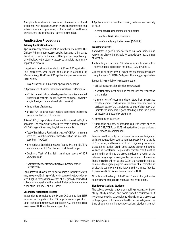4. Applicants must submit three letters of reference on official letterhead, with a signature, from two science professors and either a liberal arts professor, a pharmacist or health care provider, or a pre-professional committee member.

# **Application Procedures**

# **Primary Application Process**

Applicants apply for matriculation into the fall semester. The Office of Admissions processes applications on a rolling basis; therefore, it is in the best interest of the applicant to apply early. Listed below are the steps necessary to complete the primary application process.

1. Applicants must submit an electronic PharmCAS application. The interactive, web-based application is available at *[PharmCAS.org](http://PharmCAS.org)*. The PharmCAS application process takes four to six weeks.

• **May 2:** PharmCAS submission application deadline

2. Applicants must submit the following materials to PharmCAS.

- official transcripts from all college and universities attended (submitted directly to PharmCAS by the college or university and/or foreign-credential evaluation service)
- three letters of reference
- official PCAT or other health-related admissions test scores (recommended, but not required)

3. Proof of English proficiency is required for nonnative English speakers. The following standardized tests currently satisfy NSU's College of Pharmacy English requirements:

- Test of English as a Foreign Language (TOEFL)\*: minimum score of 213 on the computer-based or 80 on the Internetbased test (*[toefl.org](http://toefl.org)*)
- International English Language Testing System (IELTS)\*: minimum score of 6.0 on the test module (*[ielts.org](http://ielts.org)*)
- Duolingo Test of English\*: minimum score of 105 (*[duolingo.com](http://duolingo.com)*)

#### *\* Scores must be no more than two years old at the time of the interview.*

Candidates who have taken college courses in the United States may also prove English proficiency by completing two collegelevel English composition courses at a regionally accredited college or university in the United States with a minimum cumulative GPA of 2.0 on a 4.0 scale.

# **Secondary Application Process**

In addition to completing the PharmCAS application, NSU requires the completion of an NSU supplemental application. Upon receipt of the PharmCAS application, NSU will email a link to access our NSU supplemental application.

1. Applicants must submit the following materials electronically to NSU:

- a completed NSU supplemental application
	- deadline: **June 15** for admission
- a nonrefundable application fee of \$50 (U.S.)

# **Transfer Students**

Candidates in good academic standing from their college /university of record may apply for consideration as a transfer student by

- 1. submitting a completed NSU electronic application with a nonrefundable application fee of \$50 (U.S.) by June 15
- 2. meeting all entry-level or advanced-standing admissions requirements for NSU's College of Pharmacy, as applicable
- 3. submitting the following documentation
- official transcripts for all college coursework
- a written statement outlining the reasons for requesting the transfer
- three letters of recommendation (two from pharmacy faculty members and one from the dean, associate dean, or assistant dean of the transferring college of pharmacy that indicate the student is in good standing within the current or most recent academic program)
- 4. completing an interview
- 5. submitting any official standardized test scores such as PCAT, GRE, TOEFL, or IELTS to help further the evaluation of applications (recommended)

Transfer credit will only be considered for courses designated with a graduate-level course number, passed with a grade of *B* or better, and transferred from a regionally accredited graduate institution. Credit used toward an earned degree will not be transferred. Requests for transfer credit must be submitted in writing to the associate dean or director of the relevant program prior to August 1 of the year of matriculation. Transfer credits will not exceed 2/3 of the required credits to complete the degree program. A minimum of 30 credit hours of didactic coursework and all Advanced Pharmacy Practice Experiences (APPE) must be completed at NSU.

Note: Due to the design of the Pharm.D. curriculum, a transfer student may be required to enter as a first-year student.

# **Nondegree-Seeking Students**

The college accepts nondegree-seeking students for travel study, study abroad, and some specific coursework. A nondegree-seeking student is one who wishes to take courses in the program, but does not intend to pursue a degree at the time of application. Nondegree-seeking students are not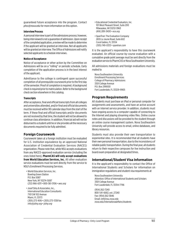guaranteed future acceptance into the program. Contact *phss@nova.edu* for more information on this option.

#### **Interview Process**

A personal interview is part of the admissions process; however, being interviewed is not a guarantee of admission. Upon receipt of the completed application, a review will be made to determine if the applicant will be granted an interview. Not all applicants will be granted an interview. The Office of Admissions will notify selected applicants to schedule interviews.

#### **Notice of Acceptance**

Notice of acceptance or other action by the Committee on Admissions will be on a "rolling" or periodic schedule. Early completion of the application process is in the best interest of the applicant.

Admittance to the college is contingent upon successful completion of all prerequisite coursework prior to the first day of the semester. Proof of completion is required. A background check is required prior to matriculation. Refer to the background check section elsewhere in this catalog.

#### **Transcripts**

After acceptance, final and official transcripts from all colleges and universities attended, and/or final and official documents must be received within 90 calendar days from the start of the term. If these final and official transcripts and/or documents are not received by that time, the student will not be allowed to continue class attendance. In addition, financial aid will not be disbursed to a student until he or she provides all the necessary documents required to be fully admitted.

# **Foreign Coursework**

Coursework taken at a foreign institution must be evaluated for U.S. institution equivalence by an approved National Association of Credential Evaluation Services (NACES) organization. Please note that, while NSU accepts evaluations from any NACES-approved evaluation service (including the ones listed here), **PharmCAS will only accept evaluations from World Education Services, Inc.** All other evaluation service evaluations must be sent directly from the service to NSU's Enrollment Processing Services.

• World Education Services, Inc. Bowling Green Station P.O. Box 5087 New York, NY 10274-5087 (212) 966-6311 • 800-361-3106 • *[wes.org](http://wes.org)*

• Josef Silny & Associates, Inc., International Education Consultants 7101 SW 102 Avenue Miami, FL 33173 (305) 273-1616 • (305) 273-1338 fax *info@jsilny.org* • *[jsilny.org](http://jsilny.org)*

- Educational Credential Evaluators, Inc. 101 West Pleasant Street, Suite 200 Milwaukee, WI 53212-3963 (414) 289-3400 • *[ece.org](http://ece.org)*
- SpanTran: The Evaluation Company 2655 Le Jeune Road, Suite 602 Coral Gables, FL 33134 (305) 749-0333 • *[spantran.com](http://spantran.com)*

It is the applicant's responsibility to have this coursework evaluated. An official course-by-course evaluation with a cumulative grade point average must be sent directly from the evaluation service to PharmCAS or Nova Southeastern University.

All admissions materials and foreign evaluations must be mailed to

Nova Southeastern University Enrollment Processing Services College of Pharmacy Admissions 3301 College Avenue P.O. Box 299000 Fort Lauderdale, FL 33329-9905

# **Program Requirements**

All students must purchase an iPad or personal computer for assignments and assessments, and have an active account with an Internet service provider. In addition, students must have ongoing access to a computer capable of connecting to the Internet and playing streaming video files. Online course notes and discussions will be provided to the student through an online course management system. Nova Southeastern University will provide access to email, online databases, and library resources.

Students must also provide their own transportation to experiential sites. It is recommended that all students have their own personal transportation, due to the inconsistency of reliable public transportation. During the final year, all students return to their respective campuses for live instruction and board exam preparation at designated times.

# **International/Student Visa Information**

It is the applicant's responsibility to contact the Office of International Students and Scholars for information on immigration regulations and student visa requirements at

Nova Southeastern University Attention: Office of International Students and Scholars 3301 College Avenue Fort Lauderdale, FL 33314-7796

(954) 262-7240 800-541-6682, ext. 27240 Fax: (954) 262-3846 Email: *intl@nsu.nova.edu [nova.edu/internationalaffairs/students](http://nova.edu/internationalaffairs/students)*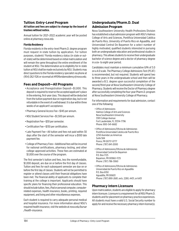# **Tuition: Entry-Level Program**

# **All tuition and fees are subject to change by the board of trustees without notice.**

Annual tuition for 2021–2022 academic year will be posted online at *[pharmacy.nova.edu](http://pharmacy.nova.edu)*.

### **Florida Residency**

Florida residents in the entry-level Pharm.D. degree program must request in-state tuition by application. For tuition purposes, students' Florida residency status (in state or outof-state) will be determined based on initial matriculation and will remain the same throughout the entire enrollment of the student at NSU. The determination as to eligibility for in-state tuition at NSU shall be made exclusively by NSU. Students may direct questions to the Florida residency specialist via phone at (954) 262-1126 or via email at *[HPDfloridaresidency@nova.edu](mailto:HPDfloridaresidency%40nova.edu?subject=).*

# **Fees and Deposit—All Programs**

- Acceptance and Preregistration Deposit—\$1,000. This deposit is required to reserve the accepted applicant's place in the entering, first-year class. This deposit will be deducted from the tuition payment due on registration day, but is not refundable in the event of a withdrawal. It is due within three weeks of an applicant's acceptance.
- Pharmacy General Access Fee—\$145 per annum.
- NSU Student Services Fee—\$1,500 per annum.
- Registration Fee—\$30 per semester.
- Certification Fee—\$130 per certification.
- Late Payment Fee—All tuition and fees not paid within 30 days after the start of the semester will incur a \$100 late payment fee.
- College of Pharmacy Fees—Additional fees will be incurred for national certifications, pharmacy testing, and other college-approved activities. These fees are estimated at \$1,000 over the course of the program.

The first semester's tuition and fees, less the nonrefundable, \$1,000 deposit, are due on or before the first day of classes. Tuition and fees for each subsequent semester are due on or before the first day of classes. Students will not be permitted to register or attend classes until their financial obligations have been met. The financial ability of applicants to complete their training at the college is important. Applicants should have specific plans for financing their professional education. This should include tuition, fees, iPad or personal computer, computerrelated expenses, health insurance, books, printing, required equipment, and living and other miscellaneous expenses.

Each student is required to carry adequate personal medical and hospital insurance. For more information about NSU's required health insurance, visit the website at *[nova.edu/bursar](http://nova.edu/bursar/health-insurance) [/health-insurance](http://nova.edu/bursar/health-insurance).*

# **Undergraduate/Pharm.D. Dual Admission Program**

Nova Southeastern University Health Professions Division has established a dual admission program with NSU's Halmos College of Arts and Sciences, Pontificia Universidad Católica de Puerto Rico, University of Puerto Rico en Aguadilla, and Universidad Central De Bayamon for a select number of highly motivated, qualified students interested in pursuing both an undergraduate education and professional studies in pharmacy. This allows students to receive their undergraduate bachelor of science degree and a doctor of pharmacy degree in a six- to eight-year period.

Candidates must maintain a minimum cumulative GPA of 3.0 on a 4.0 scale. The Pharmacy College Admissions Test (PCAT) is recommended, but not required. Students will spend two to three years in the undergraduate school and then will be awarded a B.S. degree upon successful completion of the second/third year at Nova Southeastern University College of Pharmacy. Students will receive the Doctor of Pharmacy degree after successfully completing the four-year Pharm.D. program at Nova Southeastern University College of Pharmacy.

For information and requirements for dual admission, contact one of the following:

- Office of Admissions Halmos College of Arts and Sciences Nova Southeastern University 3301 College Avenue Fort Lauderdale, FL 33314-7796 Phone: 800-541-6682
- Office of Admissions/Oficina de Admisiones Pontificia Universidad Catolica de Puerto Rico 2250 Avenida Las Americas Suite 584 Ponce, PR 00717-0777 Phone: (787) 841-2000
- Office of Admissions/Oficina de Admisiones Universidad Central De Bayamon P.O. Box 1725 Bayamon, PR 00960-1725 Phone: (787) 786-3060
- Office of Admissions/Oficina de Admisiones Universidad de Puerto Rico en Aguadilla P.O. Box 6150 Aguadilla, PR 00603 Phone: (787) 890-2681, exts. 2280, 4431, or 6431

# **Pharmacy Intern Licensure**

Upon matriculation, students are eligible to apply for pharmacy intern licensure. Licensure is a requirement for all NSU Pharm.D. students and for placement on pharmacy practice experiences. All students must have a valid U.S. Social Security number to apply for and receive the necessary pharmacy intern license(s).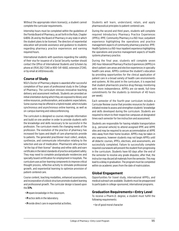Without the appropriate intern license(s), a student cannot complete the curricular requirements.

Internship hours must be completed within the guidelines of the Florida Board of Pharmacy, as set forth in the Rule, Chapter 64B16-26 and by the Board of Pharmacy in any state in which the student plans to be licensed. The directors of experiential education will provide assistance and guidance to students regarding pharmacy practice experiences and earning required hours.

International students with questions regarding the validity of their visa for issuance of a Social Security number should contact the Office of International Students and Scholars by phone at (954) 262-7240 or 800-541-6682, extension 27240, or by email at *intl@nova.edu*.

# **Course of Study**

NSU's Doctor of Pharmacy degree is awarded after successful completion of four years of professional study in the College of Pharmacy. The curriculum stresses innovative teaching delivery and assessment methods. Students are provided an initial orientation during which they are exposed to library and online resources, professionalism, and academic expectations. Some courses may be offered in a hybrid model, which includes synchronous and asynchronous online learning, as well as on-campus learning and videoconferencing.

The curriculum is designed so courses integrate information and build on one another in order to provide students with the knowledge and skills necessary to be successful in the profession. The curriculum meets the changing needs of the profession. The evolution of the practice of pharmacy has increased the types and depth of care pharmacists provide to patients. The generalist practitioner must collect, analyze, synthesize, and communicate information relating to the selection and use of medication. Pharmacists who practice "at the top of their license" develop and refine skills and earn certificates in the latest standards of practice and patient safety. They may need to complete postgraduate residencies and specialty board certification for employment in hospitals. The curriculum uses active-learning components to improve critical thought process, reflective activity to stimulate professional growth, and experiential learning to optimize provision of patient-centered care.

Course content, teaching modalities, enhanced assessments, and incorporation of a block structure promote student learning and professional growth. The curricular design is based upon the **3 Ps**.

- **P**repare knowledge in the classroom.
- **P**ractice skills in the laboratory.
- **P**rovide direct care in experiential activities.

Students will learn, understand, retain, and apply pharmaceutical principles to patient-centered care.

During the second and third years, students will complete required Introductory Pharmacy Practice Experiences (IPPEs). IPPE: Community Pharmacy is a 160-hour, outpatient experience highlighting the operations and practice management aspects of community pharmacy practice. IPPE: Health Systems is a 160-hour inpatient experience highlighting the operations and practice management aspects of health systems pharmacy practice.

During the final year, students will complete seven 240-hour Advanced Pharmacy Practice Experiences (APPEs) in direct patient care areas and elective experiences in specialty health care areas. APPEs continue the student's education by providing opportunities for the clinical application of patient care in a broad variety of health care environments and systems. At this point in the curriculum, it is expected that student pharmacists practice drug therapy monitoring with more independence. APPEs are six-week, full-time commitments for the students (a minimum of 40 hours per week).

Each semester of the fourth-year curriculum includes a Curricular Review course that provides resources for studentinitiated review to assess and strengthen students' knowledge and skills developed during the curriculum. Students are required to return to their respective campuses at designated times each semester for live instruction and assessment.

Students are responsible for having reliable transportation (e.g., personal vehicle) to attend assigned IPPE and APPE sites and may be required to secure accommodation at APPE sites away from their home location. APPEs may be taken in any sequence, however students may not begin APPEs until all didactic courses, IPPEs, electives, and assessments, are successfully completed. Failure to successfully complete required coursework will prevent the student from progressing in the curriculum. Students have 60 days after the end of the semester to resolve any grade disputes; after that, the instructor may discard all materials from the semester. This may lead to a delay in graduation. The program must be completed within six academic years from the date of matriculation.

# **Global Engagement**

Opportunities for travel study, international APPEs, and medical outreach are available. Students must be preapproved to participate in college-sponsored, international programs.

# **Graduation Requirements—Entry Level**

To receive a Pharm.D. degree, a student must fulfill the following requirements:

• be of good moral character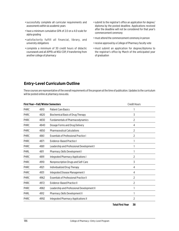- successfully complete all curricular requirements and assessments within six academic years
- have a minimum cumulative GPA of 2.0 on a 4.0 scale for alpha grading
- satisfactorily fulfill all financial, library, and university obligations
- complete a minimum of 30 credit hours of didactic coursework and all APPEs at NSU COP, if transferring from another college of pharmacy
- submit to the registrar's office an application for degree / diploma by the posted deadline. Applications received after the deadline will not be considered for that year's commencement ceremony
- must attend the commencement ceremony in person
- receive approval by a College of Pharmacy faculty vote
- must submit an application for degree/diploma to the registrar's office by March of the anticipated year of graduation

# **Entry-Level Curriculum Outline**

These courses are representative of the overall requirements of the program at the time of publication. Updates to the curriculum will be posted online at *[pharmacy.nova.edu](http://pharmacy.nova.edu)*.

|             |      | <b>First Year-Fall/Winter Semesters</b>       | <b>Credit Hours</b> |  |
|-------------|------|-----------------------------------------------|---------------------|--|
| <b>PHRC</b> | 4810 | <b>Patient Care Basics</b>                    |                     |  |
| <b>PHRC</b> | 4820 | Biochemical Basis of Drug Therapy             | 3                   |  |
| <b>PHRC</b> | 4830 | <b>Fundamentals of Pharmacodynamics</b>       | 2                   |  |
| <b>PHRC</b> | 4840 | Dosage Forms and Drug Delivery                | 4                   |  |
| <b>PHRC</b> | 4850 | <b>Pharmaceutical Calculations</b>            | 2                   |  |
| <b>PHRC</b> | 4861 | <b>Essentials of Professional Practice I</b>  | 2                   |  |
| <b>PHRC</b> | 4871 | Evidence-Based Practice I                     |                     |  |
| <b>PHRC</b> | 4881 | Leadership and Professional Development I     |                     |  |
| PHRL        | 4811 | Pharmacy Skills Development I                 |                     |  |
| <b>PHRC</b> | 4891 | <b>Integrated Pharmacy Applications I</b>     | 2                   |  |
| <b>PHRC</b> | 4910 | Nonprescription Drugs and Self-Care           | 3                   |  |
| <b>PHRC</b> | 4921 | Individualized Drug Therapy                   | 4                   |  |
| <b>PHRC</b> | 4931 | Integrated Disease Management I               | 4                   |  |
| <b>PHRC</b> | 4962 | <b>Essentials of Professional Practice II</b> | 2                   |  |
| <b>PHRC</b> | 4972 | Evidence-Based Practice II                    | 2                   |  |
| PHRC        | 4982 | Leadership and Professional Development II    |                     |  |
| PHRL        | 4912 | Pharmacy Skills Development II                |                     |  |
| <b>PHRC</b> | 4992 | Integrated Pharmacy Applications II           | 2                   |  |
|             |      |                                               |                     |  |

**Total First Year 38**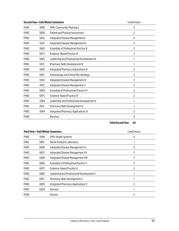|      |                                                | <b>Credit Hours</b>                      |
|------|------------------------------------------------|------------------------------------------|
| 4990 | <b>IPPE: Community Pharmacy</b>                | 4                                        |
| 5800 | Patient and Physical Assessment                | 2                                        |
| 5832 | Integrated Disease Management II               | 4                                        |
| 5833 | Integrated Disease Management III              | 4                                        |
| 5863 | <b>Essentials of Professional Practice III</b> | 2                                        |
| 5873 | Evidence-Based Practice III                    | 2                                        |
| 5883 | Leadership and Professional Development III    |                                          |
| 5813 | Pharmacy Skills Development III                |                                          |
| 5893 | <b>Integrated Pharmacy Applications III</b>    | 2                                        |
| 5910 | Immunology and Clinical Microbiology           | 2                                        |
| 5934 | Integrated Disease Management IV               | 3                                        |
| 5935 | Integrated Disease Management V                | 5                                        |
| 5964 | <b>Essentials of Professional Practice IV</b>  | 2                                        |
| 5974 | <b>Evidence-Based Practice IV</b>              | 2                                        |
| 5984 | Leadership and Professional Development IV     |                                          |
| 5914 | Pharmacy Skills Development IV                 |                                          |
| 5994 | <b>Integrated Pharmacy Applications IV</b>     | 2                                        |
|      | Electives                                      | 4                                        |
|      |                                                | <b>Second Year-Fall/Winter Semesters</b> |

# **Total Second Year 44**

| <b>Third Year-Fall/Winter Semesters</b> |      |                                              | <b>Credit Hours</b> |
|-----------------------------------------|------|----------------------------------------------|---------------------|
| <b>PHRC</b>                             | 5990 | <b>IPPE: Health Systems</b>                  | 4                   |
| <b>PHRL</b>                             | 6810 | Sterile Products Laboratory                  |                     |
| <b>PHRC</b>                             | 6836 | Integrated Disease Management VI             | 4                   |
| <b>PHRC</b>                             | 6837 | Integrated Disease Management VII            | 3                   |
| PHRC                                    | 6838 | Integrated Disease Management VIII           | 3                   |
| <b>PHRC</b>                             | 6865 | <b>Essentials of Professional Practice V</b> | 3                   |
| <b>PHRC</b>                             | 6875 | Evidence-Based Practice V                    | 2                   |
| <b>PHRC</b>                             | 6885 | Leadership and Professional Development V    |                     |
| PHRL                                    | 6815 | <b>Pharmacy Skills Development V</b>         |                     |
| <b>PHRC</b>                             | 6895 | Integrated Pharmacy Applications V           | 2                   |
| <b>PHRC</b>                             | 6920 | Seminar                                      |                     |
| <b>PHRE</b>                             |      | Elective                                     | 2                   |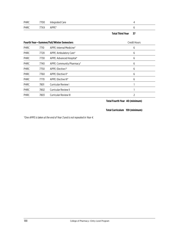| PHRC | 7700   | Integrated Care |  |
|------|--------|-----------------|--|
| PHRC | 77 X X | APPE*           |  |

# **Total Third Year 37**

|             |      | <b>Fourth Year-Summer/Fall/Winter Semesters</b> | <b>Credit Hours</b> |
|-------------|------|-------------------------------------------------|---------------------|
| <b>PHRC</b> | 7710 | APPE: Internal Medicine*                        | 6                   |
| <b>PHRC</b> | 7720 | APPE: Ambulatory Care*                          | 6                   |
| <b>PHRC</b> | 7730 | APPE: Advanced Hospital*                        | 6                   |
| <b>PHRC</b> | 7740 | APPE: Community Pharmacy*                       | 6                   |
| <b>PHRC</b> | 7750 | APPE: Elective I*                               | 6                   |
| <b>PHRC</b> | 7760 | APPE: Elective II*                              | 6                   |
| <b>PHRC</b> | 7770 | APPE: Elective III*                             | 6                   |
| PHRC        | 7801 | <b>Curricular Review I</b>                      |                     |
| <b>PHRC</b> | 7802 | <b>Curricular Review II</b>                     |                     |
| <b>PHRC</b> | 7803 | Curricular Review III                           | 2                   |

**Total Fourth Year 40 (minimum)**

**Total Curriculum 159 (minimum)**

*\*One APPE is taken at the end of Year 3 and is not repeated in Year 4.*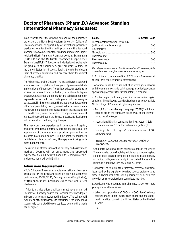# **Doctor of Pharmacy (Pharm.D.) Advanced Standing (International Pharmacy Graduates)**

In an effort to meet the growing demands of the pharmacy profession, the Nova Southeastern University College of Pharmacy provides an opportunity for international pharmacy graduates to enter the Pharm.D. program with advanced standing. Upon completion of the program, students are eligible to take the North American Pharmacy Licensing Examination (NAPLEX) and the Multistate Pharmacy Jurisprudence Examination (MPJE). This opportunity is designed exclusively for graduates of pharmacy degree programs outside of the United States jurisdiction, allowing them to build upon their pharmacy education and prepare them for clinical pharmacy practice.

The Advanced Standing Doctor of Pharmacy degree is awarded after successful completion of three years of professional study in the College of Pharmacy. The college educates students to achieve the same outcomes as the Entry-level Pharm.D. degree program. Courses integrate information and build on one another to provide students with the knowledge and skills necessary to be successful in the profession and have a strong understanding of the principles of drug therapy, as well as the business, human relation, communication, and legal aspects of pharmacy and the U.S. health care system. Courses focus on application of material learned, the use of drugs in the disease process, and developing skills essential to monitoring drug therapy.

Pharmacy practice experiences in community, hospital, and other traditional pharmacy settings facilitate real-life application of the material and provide opportunities to integrate information learned. Full-time practice experiences facilitate application of drug therapy monitoring with more independence.

The curriculum stresses innovative delivery and assessment methods. Courses will be on campus and approved experiential sites. All lectures, handouts, reading materials, and assessments will be in English.

# **Admissions Requirements**

NSU's College of Pharmacy selects international pharmacy graduates for the program based on previous academic performance, TOEFL/IELTS/Duolingo scores (if applicable), written applications, pharmacy experience, and letters of reference.

1. Prior to matriculation, applicants must have an earned Bachelor of Pharmacy degree or a Bachelor of Science degree in Pharmacy from an accredited institution. The college will evaluate all official transcripts to determine if the student has successfully completed the courses listed below with a grade of *C* or higher.

#### **Course Semester Hours**

| Human Anatomy and/or Physiology |  |
|---------------------------------|--|
|                                 |  |
|                                 |  |
|                                 |  |
|                                 |  |
|                                 |  |
|                                 |  |

*The college may require an applicant to complete additional prerequisite courses in order to strengthen his or her academic background.*

2. A minimum cumulative GPA of 2.75 on a 4.0 scale on all college-level coursework is recommended.

3. An official course-by-course evaluation of foreign coursework with the cumulative grade point average included (see under application procedures for further details) is required.

4. Proof of English proficiency is required for nonnative English speakers. The following standardized tests currently satisfy NSU's College of Pharmacy English requirements:

- Test of English as a Foreign Language (TOEFL)\*: minimum score of 213 on the computer-based or 80 on the Internetbased test (*[toefl.org](http://toefl.org)*)
- International English Language Testing System (IELTS)\*: minimum score of 6.0 on the test module (*[ielts.org](http://ielts.org))*
- Duolingo Test of English\*: minimum score of 105 (*[duolingo.com](http://duolingo.com)*)

#### \* *Scores must be no more than two years old at the time of the interview*.

Candidates who have taken college courses in the United States may also prove English proficiency by completing two college-level English composition courses at a regionally accredited college or university in the United States with a minimum cumulative GPA of 2.0 on a 4.0 scale.

5. Applicants must submit three letters of reference on official letterhead, with a signature, from two science professors and either a liberal arts professor, a pharmacist or health care provider, or a pre-professional committee member.

6. Applicants who graduated from pharmacy school 10 or more years prior must have either

- taken two upper-level (3000- or 4000- level) science courses or one upper-level science course and one upperlevel statistics course in the United States within the last 10 years
- OR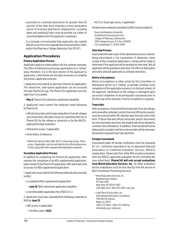• practiced as a licensed pharmacist for greater than 50 percent of the time since pharmacy school graduation (proof of licensed pharmacist employment, including dates and position[s] held, must be provide via a letter of recommendation from the applicant's employer)

 It is strongly recommended that applicants also submit official scores from the Graduate Record Examination (GRE) and/or the Pharmacy College Admission Test (PCAT).

# **Application Procedures**

# **Primary Application Process**

Applicants apply for matriculation into the summer semester. The Office of Admissions processes applications on a "rolling" basis; therefore, it is in the best interest of the applicant to apply early. Listed below are the steps necessary to complete the primary application process.

1. Applicants must submit an electronic PharmCAS application. The interactive, web-based application can be accessed through *[PharmCAS.org](http://PharmCAS.org)*. The PharmCAS application process takes four to six weeks.

• **May 2:** PharmCAS submission application deadline

2. Applicants must submit the materials listed following to PharmCAS.

- official transcripts and foreign evaluations from all colleges and universities attended (must be submitted directly to PharmCAS by the college or university or by the NACESapproved foreign evaluator)
- official test scores, if applicable\*
- three letters of reference

*\* PharmCAS will not collect GRE, IELTS, or DuoLingo scores. These scores, if applicable, must be sent directly from the testing service to NSU, along with other supplemental application materials.*

# **Secondary Application Process**

In addition to completing the PharmCAS application, NSU requires the completion of an NSU supplemental application. Upon receipt of the PharmCAS application, NSU will email a link to access our NSU supplemental application.

1. Applicants must submit the following materials electronically to NSU:

- a completed NSU supplemental application
	- **June 15:** NSU submission application deadline
- a nonrefundable application fee of \$50 (U.S.)

2. Applicants must have submitted the following materials to NSU by **June 15:**

- GRE scores, if applicable\*
	- The NSU code is **5522**.

• IELTS or DuoLingo scores, if applicable\*

All admissions materials submitted to NSU must be mailed to

Nova Southeastern University Enrollment Processing Services College of Pharmacy Admissions 3301 College Avenue, P.O. Box 299000 Fort Lauderdale, FL 33329-9905

# **Interview Process**

A personal interview is part of the admissions process; however, being interviewed is not a guarantee of admission. Upon receipt of the completed application, a review will be made to determine if the applicant will be granted an interview. Not all applicants will be granted an interview. The Office of Admissions will notify selected applicants to schedule interviews.

# **Notice of Acceptance**

Notice of acceptance or other action by the Committee on Admissions will be on a "rolling" or periodic schedule. Early completion of the application process is in the best interest of the applicant. Admittance to the college is contingent upon successful completion of all prerequisite coursework prior to the first day of the semester. Proof of completion is required.

# **Transcripts**

After acceptance, final and official transcripts from all colleges and universities attended, and/or final and official documents, must be received within 90 calendar days from the start of the term. If these final and official transcripts and/or documents are not received by that time, the student will not be allowed to continue class attendance. In addition, financial aid will not be disbursed to a student until he or she provides all the necessary documents required to be fully admitted.

# **Foreign Coursework**

Coursework taken at foreign institutions must be evaluated for U.S. institution equivalence by an approved National Association of Credential Evaluation Services (NACES) organization. Please note that, while NSU accepts evaluations from any NACES-approved evaluation service (including the ones listed here), **PharmCAS will only accept evaluations from World Education Services, Inc.** All other evaluation service evaluations must be sent directly from the service to NSU's Enrollment Processing Services.

- World Education Services, Inc. Bowling Green Station P.O. Box 5087 New York, NY 10274-5087 (212) 966-6311 • 800-361-3106 • *[wes.org](http://wes.org)*
- Josef Silny & Associates, Inc., International Education Consultants 7101 SW 102 Avenue Miami, FL 33173 (305) 273-1616 • (305) 273-1338 fax *info@jsilny.org* • *jsilny.org*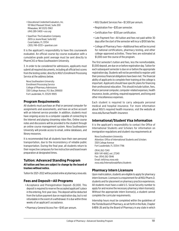- Educational Credential Evaluators, Inc. 101 West Pleasant Street, Suite 200 Milwaukee, WI 53212-3963 (414) 289-3400 • *[ece.org](http://ece.org)*
- SpanTran: The Evaluation Company 2655 Le Jeune Road, Suite 602 Coral Gables, FL 33134 (305) 749-0333 • *[spantran.com](http://spantran.com)*

It is the applicant's responsibility to have this coursework evaluated. An official course-by-course evaluation with a cumulative grade point average must be sent directly to PharmCAS or Nova Southeastern University.

3. In order to be considered for admissions, applicants must submit all required documents, including all official test scores from the testing center, directly to NSU's Enrollment Processing Service at the address below.

Nova Southeastern University Enrollment Processing Service College of Pharmacy Admissions 3301 College Avenue, P.O. Box 299000 Fort Lauderdale, FL 33329-9905

# **Program Requirements**

All students must purchase an iPad or personal computer for assignments and assessments, and have an active account with an Internet service provider. In addition, students must have ongoing access to a computer capable of connecting to the Internet and playing streaming video files. Online course notes and discussions will be provided to the student through an online course management system. Nova Southeastern University will provide access to email, online databases, and library resources.

It is recommended that all students have their own personal transportation, due to the inconsistency of reliable public transportation. During the final year, all students return to their respective campuses for live instruction and board exam preparation at designated times.

### **Tuition: Advanced Standing Program All tuition and fees are subject to change by the board of trustees without notice.**

Tuition for 2021–2022 will be posted online at *[pharmacy.nova.edu](https://pharmacy.nova.edu/)*.

# **Fees and Deposit—All Programs**

- Acceptance and Preregistration Deposit—\$1,000. This deposit is required to reserve the accepted applicant's place in the entering, first-year class. This deposit will be deducted from the tuition payment due on registration day, but is not refundable in the event of a withdrawal. It is due within three weeks of an applicant's acceptance.
- Pharmacy General Access Fee—\$145 per annum.
- NSU Student Services Fee—\$1,500 per annum.
- Registration Fee—\$30 per semester.
- Certification Fee—\$130 per certification.
- Late Payment Fee—All tuition and fees not paid within 30 days after the start of the semester will incur a \$100 late fee.
- College of Pharmacy Fees—Additional fees will be incurred for national certifications, pharmacy testing, and other college-approved activities. These fees are estimated at \$1,000 over the course of the program.

The first semester's tuition and fees, less the nonrefundable, \$1,000 deposit, are due on or before registration day. Tuition for each subsequent semester is due on or before the appropriate registration day. Students will not be permitted to register until their previous financial obligations have been met. The financial ability of applicants to complete their training at the college is important. Applicants should have specific plans for financing their professional education. This should include tuition, fees, iPad or personal computer, computer-related expenses, health insurance, books, printing, required equipment, and living and other miscellaneous expenses.

Each student is required to carry adequate personal medical and hospital insurance. For more information about NSU's required health insurance, visit the website at *[nova.edu/bursar/health-insurance](http://nova.edu/bursar/health-insurance).*

# **International/Student Visa Information**

It is the applicant's responsibility to contact the Office of International Students and Scholars for information on immigration regulations and student visa requirements at

Nova Southeastern University Attention: Office of International Students and Scholars 3301 College Avenue Fort Lauderdale, FL 33314-7796

(954) 262-7240 800-541-6682, ext. 27240 Fax: (954) 262-3846 Email: *intl@nsu.nova.edu [nova.edu/internationalaffairs/students](http://nova.edu/internationalaffairs/students)*

# **Pharmacy Intern Licensure**

Upon matriculation, students are eligible to apply for pharmacy intern licensure. Licensure is a requirement for all NSU Pharm.D. students and for placement on pharmacy practice experiences. All students must have a valid U.S. Social Security number to apply for and receive the necessary pharmacy intern license(s). Without the appropriate intern license(s), a student cannot complete the curricular requirements.

Internship hours must be completed within the guidelines of the Florida Board of Pharmacy, as set forth in the Rule, Chapter 64B16-26 and by the Board of Pharmacy in any state in which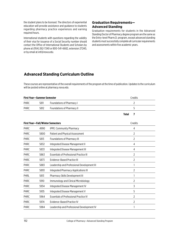the student plans to be licensed. The directors of experiential education will provide assistance and guidance to students regarding pharmacy practice experiences and earning required hours.

International students with questions regarding the validity of their visa for issuance of a Social Security number should contact the Office of International Students and Scholars by phone at (954) 262-7240 or 800-541-6682, extension 27240, or by email at *intl@nova.edu*.

# **Graduation Requirements— Advanced Standing**

Graduation requirements for students in the Advanced Standing Doctor of Pharmacy degree program are the same as the Entry-level Pharm.D. program, except advanced standing students must successfully complete all curricular requirements and assessments within five academic years.

# **Advanced Standing Curriculum Outline**

These courses are representative of the overall requirements of the program at the time of publication. Updates to the curriculum will be posted online at *pharmacy.nova.edu*.

| <b>First Year-Summer Semester</b> |      |                                                | Credits           |
|-----------------------------------|------|------------------------------------------------|-------------------|
| <b>PHRC</b>                       | 5811 | <b>Foundations of Pharmacy I</b>               | 2                 |
| <b>PHRC</b>                       | 5812 | <b>Foundations of Pharmacy II</b>              | 5                 |
|                                   |      |                                                | <b>Total</b><br>7 |
|                                   |      | <b>First Year-Fall/Winter Semesters</b>        | Credits           |
| <b>PHRC</b>                       | 4990 | <b>IPPE: Community Pharmacy</b>                | 4                 |
| PHRC                              | 5800 | <b>Patient and Physical Assessment</b>         | $\overline{2}$    |
| <b>PHRC</b>                       | 5813 | <b>Foundations of Pharmacy III</b>             | $\overline{2}$    |
| <b>PHRC</b>                       | 5832 | Integrated Disease Management II               | 4                 |
| <b>PHRC</b>                       | 5833 | Integrated Disease Management III              | 4                 |
| PHRC                              | 5863 | <b>Essentials of Professional Practice III</b> | $\overline{2}$    |
| <b>PHRC</b>                       | 5873 | <b>Evidence-Based Practice III</b>             | $\overline{2}$    |
| <b>PHRC</b>                       | 5883 | Leadership and Professional Development III    | 1                 |
| <b>PHRC</b>                       | 5893 | <b>Integrated Pharmacy Applications III</b>    | 2                 |
| PHRL                              | 5813 | Pharmacy Skills Development III                | 1                 |
| <b>PHRC</b>                       | 5910 | Immunology and Clinical Microbiology           | $\overline{2}$    |
| <b>PHRC</b>                       | 5934 | Integrated Disease Management IV               | 3                 |
| <b>PHRC</b>                       | 5935 | Integrated Disease Management V                | 5                 |
| PHRC                              | 5964 | <b>Essentials of Professional Practice IV</b>  | $\overline{2}$    |
| <b>PHRC</b>                       | 5974 | <b>Evidence-Based Practice IV</b>              | $\overline{2}$    |
| <b>PHRC</b>                       | 5984 | Leadership and Professional Development IV     | 1                 |
|                                   |      |                                                |                   |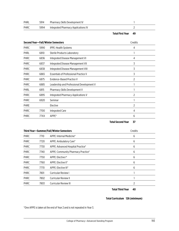| PHRL | 5914 | Pharmacy Skills Development IV      |  |
|------|------|-------------------------------------|--|
| PHRC | 5994 | Integrated Pharmacy Applications IV |  |

**Total First Year 49**

| Second Year-Fall/Winter Semesters |        |                                              | Credits |
|-----------------------------------|--------|----------------------------------------------|---------|
| <b>PHRC</b>                       | 5990   | <b>IPPE: Health Systems</b>                  | 4       |
| <b>PHRL</b>                       | 6810   | <b>Sterile Products Laboratory</b>           |         |
| PHRC                              | 6836   | Integrated Disease Management VI             | 4       |
| PHRC                              | 6837   | Integrated Disease Management VII            | 3       |
| PHRC                              | 6838   | Integrated Disease Management VIII           | 3       |
| PHRC                              | 6865   | <b>Essentials of Professional Practice V</b> | 3       |
| <b>PHRC</b>                       | 6875   | Evidence-Based Practice V                    | 2       |
| PHRC                              | 6885   | Leadership and Professional Development V    |         |
| PHRL                              | 6815   | Pharmacy Skills Development V                |         |
| PHRC                              | 6895   | Integrated Pharmacy Applications V           | 2       |
| <b>PHRC</b>                       | 6920   | Seminar                                      |         |
| PHRE                              |        | Elective                                     | 2       |
| PHRC                              | 7700   | <b>Integrated Care</b>                       | 4       |
| <b>PHRC</b>                       | 77 X X | APPE*                                        | 6       |

# **Total Second Year 37**

| Third Year-Summer/Fall/Winter Semesters |      |                                    | Credits |
|-----------------------------------------|------|------------------------------------|---------|
| <b>PHRC</b>                             | 7710 | APPE: Internal Medicine*           | 6       |
| PHRC                                    | 7720 | APPE: Ambulatory Care*             | 6       |
| <b>PHRC</b>                             | 7730 | APPE: Advanced Hospital Practice*  | 6       |
| <b>PHRC</b>                             | 7740 | APPE: Community Pharmacy Practice* | 6       |
| <b>PHRC</b>                             | 7750 | APPE: Elective I*                  | 6       |
| <b>PHRC</b>                             | 7760 | APPE: Elective II*                 | 6       |
| <b>PHRC</b>                             | 7770 | APPE: Elective III*                | 6       |
| PHRC                                    | 7801 | <b>Curricular Review I</b>         |         |
| <b>PHRC</b>                             | 7802 | <b>Curricular Review II</b>        |         |
| <b>PHRC</b>                             | 7803 | <b>Curricular Review III</b>       | 2       |

# **Total Third Year 40**

# **Total Curriculum 126 (minimum)**

\*One APPE is taken at the end of Year 2 and is not repeated in Year 3.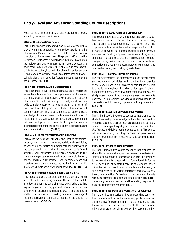# **Entry-Level and Advanced Standing Course Descriptions**

Note: Listed at the end of each entry are lecture hours, laboratory hours, and credit hours.

### **PHRC 4810—Patient Care Basics**

This course provides students with an introductory toolkit to providing patient-centered care. It introduces students to the Pharmacists' Patient Care Process and its role in delivering consistent patient-care services. The pharmacist's role in the Medication-Use Process is explored and the use of information technology and quality measures in these processes are addressed. Basic patient care skills of vital sign assessment, point-of-care testing, interpretation of medical and pharmacy terminology, and laboratory values are introduced and social, behavioral and communication factors impacting patient care are discussed. **(16-0-1)**

#### **PHRL 4811—Pharmacy Skills Development I**

This is the first of a five-course, pharmacy skills development series that integrates principles of pharmaceutical sciences; pharmacy practice; and social, behavioral, and administrative pharmacy. Students will apply knowledge and practice skills complementary to content in the first semester of the curriculum. Skills practiced include written and verbal communication, pharmacy calculations, application of basic knowledge of commonly used medications, identification of medication errors, verification of orders, and drug information retrieval and provision. Team-building activities are incorporated throughout the course to enhance professionalism and communication skills. **(0-48-1)**

# **PHRC 4820—Biochemical Basis of Drug Therapy**

This course focuses on the structure and function of vitamins, carbohydrates, proteins, hormones, nucleic acids, and lipids, as well as bioenergetics and major catabolic pathways at the cellular level. It establishes the biochemical basis for cell structure and emphasizes an integrated approach to the understanding of cellular metabolism; provides a biochemical, genetic, and molecular basis for understanding disease and drug functioning; and examines the mechanisms for genetic information flow in prokaryotic and eukaryotic cells. **(48-0-3)**

# **PHRC 4830—Fundamentals of Pharmacodynamics**

This course applies the concepts of organic chemistry to help students understand drug action at the molecular level. It introduces students to basic pharmacological principles that explain drug effects as they pertain to mechanisms of action and drug disposition into different organs and tissues. In addition, this course describes drug actions at physiological receptors focusing on compounds that act on the autonomic nervous system. **(32-0-2)**

### **PHRC 4840—Dosage Forms and Drug Delivery**

This course integrates basic anatomical and physiological features of various routes of administrations, drug and excipients physicochemical characteristics, and biopharmaceutical principles into the design and formulation of various conventional pharmaceutical dosage forms. It emphasizes the drug approval processes and regulatory standards. The course explores in detail most pharmaceutical dosage forms, their characteristics and uses, formulation composition and requirements, manufacturing methods and compendial testing, and packaging. **(64-0-4)**

### **PHRC 4850—Pharmaceutical Calculations**

This course introduces the common systems of measurement and mathematical principles used in the traditional practice of pharmacy. Emphasis is also placed on calculations relevant to specific dose regimens based on patient specific clinical parameters. Competencies developed throughout the course shall prepare students to accurately analyze and solve real-life pharmaceutical problems involving calculations used in the preparation and dispensing of pharmaceutical preparations. **(32-0-2)**

### **PHRC 4861—Essentials of Professional Practice I**

This is the first of a five-course sequence that prepares the student to develop the knowledge and problem-solving skills needed to become a practice-ready professional who can apply concepts to manage the quality and safety of the Medication-Use Process and deliver patient-centered care. This course addresses laws that govern the pharmacist's scope of practice and the foundation for effective patient communication. **(32-0-2)**

# **PHRC 4871—Evidence-Based Practice I**

This is the first of a five-course sequence that prepares the student to retrieve, evaluate, and use the medical and scientific literature and other drug information resources. It is designed to prepare students to apply drug information skills for the delivery of patient-centered care using evidence-based principles to improve outcomes. Students learn the strengths and weaknesses of the various references and how to apply their use in practice. Active learning experiences include retrieving scientific literature, utilizing electronic resources, performing literature searches, and formulating responses to basic drug information requests. **(16-0-1)**

# **PHRC 4881—Leadership and Professional Development I**

This is the first in a series of five courses that center on the development of self-awareness, professionalism, an innovative/entrepreneurial mindset, leadership, and teamwork skills. This course presents the foundational principles of professionalism, goal setting, career planning,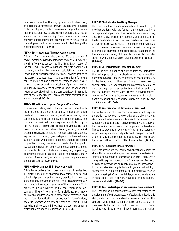teamwork, reflective thinking, professional interaction, and personal/professional growth. Students will develop professional goals, create a professional biography, define their professional legacy, and identify professional areas of interest to guide career planning. Curriculum and cocurriculum activities stimulating student growth in the five major areas of development will be documented and tracked through the electronic portfolio. **(16-0-1)**

### **PHRC 4891—Integrated Pharmacy Applications I**

This is the first in a series five courses offered at the end of each semester designed to integrate and apply knowledge and skills from previous courses. The "Bring Back" section of the course will reinforce foundational concepts from the fall semester, including pharmaceutical calculations, commonly used drugs, and pharmacy law. The "Look Forward" section of the course introduces material to prepare students for future courses, including basic patient assessment and self-care concepts, as well as practical applications of pharmacokinetics. Additionally, in each course, students will have the opportunity to receive specialized training and earn certification in a specific area of pharmacy practice. This course offers certification in immunization. **(32-0-2)**

#### **PHRC 4910— Nonprescription Drugs and Self-Care**

This course is designed to familiarize the student with the principles and theories of self-care, nonprescription medications, medical devices, and home-testing kits commonly found in community pharmacy practice. The pharmacist's role in self-care is explored and students apply the Pharmacists' Patient Care Process in solving patient-care cases. It approaches medical conditions by focusing on typical presenting signs and symptoms. For each condition, students explore the basic causes, signs, and symptoms; basic self-care guidelines; and when to refer patients. Emphasis is placed on problem-solving processes involved in the therapeutic evaluation, rational use, and recommendation of treatment to patients. Topics include dermatological, respiratory, ophthalmic, otic, oral, gastrointestinal, and genital-urinary disorders. A very strong emphasis is placed on patient care and patient counseling. **(43-0-3)**

#### **PHRL 4912—Pharmacy Skills Development II**

This is the second of a five-course, pharmacy skills series that integrates principles of pharmaceutical sciences, social and behavioral pharmacy, and pharmacy practice. In this course, students apply knowledge and practice skills complementary to content in the second semester of the curriculum. Skills practiced include written and verbal communication, compounding of nonsterile formulations, pharmacy calculations, application of basic knowledge of commonly used medications, identification of errors, verification of orders, and drug information retrieval and provision. Team-building activities are incorporated throughout the course to enhance professionalism and communication skills. **(0-48-1)**

#### **PHRC 4921—Individualized Drug Therapy**

This course explores the individualization of drug therapy. It provides students with the foundation in pharmacokinetic concepts and application. The principles involved in drug absorption, distribution, metabolism, and elimination in the human body are discussed and mechanisms and rates of these processes are studied. The influence of physiologic and biochemical process on the fate of drugs in the body are explored and pharmacokinetic principles are applied in the therapeutic monitoring of drugs. This course also provides students with a foundation on pharmacogenomic concepts. **(64-0-4)**

### **PHRC 4931—Integrated Disease Management I**

This is the first in a series of eight courses that integrates the principles of pathophysiology, pharmaceutics, pharmacodynamics, pharmacokinetics and pharmacotherapy in the treatment of diseases. Students learn how to appropriately select, and monitor pharmacotherapy regimens based on drug, disease, and patient characteristics and apply the Pharmacists' Patient Care Process in solving patientcare cases. This course focuses on women's health, urology, gastrointestinal and endocrine disorders, obesity, and dyslipidemias. **(64-0-4)**

# **PHRC 4962—Essentials of Professional Practice II**

This is the second of a five-course sequence that prepares the student to develop the knowledge and problem-solving skills needed to become a practice-ready professional who can apply the concepts to manage the quality and safety of the medication use process and deliver patient-centered care. This course provides an overview of health care systems. It emphasizes a population and public health perspective, health economics as a complement to public health, health care financing, and basic concepts of health care ethics. **(32-0-2)**

# **PHRC 4972—Evidence-Based Practice II**

This is the second of a five-course sequence that prepares the student to retrieve, evaluate, and use the medical and scientific literature and other drug information resources. This course is designed to expose students to the fundamentals of research design and methodology and applied biostatical data analysis. It focuses on familiarizing students with general methodologic approaches used in experimental design, statistical analysis of data, investigator's responsibilities, ethical considerations in research, protection of human subjects, and institutional review boards (IRBs). **(32-0-2)**

# **PHRC 4982—Leadership and Professional Development II**

This is the second in a series of five courses that center on the development of self-awareness, professionalism, leadership skills, and an innovative and entrepreneurial mindset. This course presents the foundational principles of professionalism, professional ethics, and interprofessional practice. Teamwork is reinforced through team-based learning. Curriculum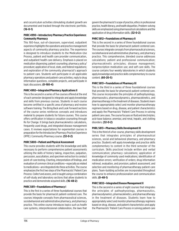and cocurriculum activities stimulating student growth are documented and tracked through the electronic portfolio. **(16-0-1)**

# **PHRC 4990—Introductory Pharmacy Practice Experience: Community Pharmacy**

This 160-hour, out-of-classroom, supervised, outpatient experience highlights the operations and practice management aspects of community pharmacy practice. The experience is designed to introduce students to the Medication-Use Process, patient and health care provider communication, and outpatient health care delivery. Emphasis is placed on medication dispensing; patient counseling; pharmacy policy/ procedure; application of local, state, and federal regulations; and exploration of the community pharmacist's approach to patient care. Students will participate in all applicable pharmacy operations and patient-care activities, reply to drug information questions, complete projects, and participate in topic discussions. **(0-160-4)**

# **PHRC 4992—Integrated Pharmacy Applications II**

This is the second in a series of five courses offered at the end of each semester designed to integrate and apply knowledge and skills from previous courses. Students in each course become certified in a specific area of pharmacy and receive software training. The Bring Back and Look Forward sections of the course series reinforces concepts and introduces material to prepare students for future courses. This course offers certification in tobacco cessation counseling through Rx for Change. It brings back pharmacokinetics calculations, frequently used drugs, and integrated disease management cases. It reviews expectations for experiential courses in preparation for the Introductory Pharmacy Practice Experience (IPPE): Community Pharmacy course. **(32-0-2)**

# **PHRC 5800—Patient and Physical Assessment**

This course provides students with the knowledge and skills necessary to perform comprehensive patient assessments utilizing the skills of history taking, inspection, palpation, percussion, auscultation, and specimen extraction to conduct point-of-care testing. Charting, interpretation of findings, and evaluation of common clinical conditions—especially as related to medications—are integrated into these activities. The course emphasizes the first two steps of the Pharmacists' Patient Care Process: *Collect* and *assess*, and is taught using a combination of self-study and laboratory sections that allow students to practice and demonstrate acquired skills. **(16-48-2)**

# **PHRC 5811—Foundations of Pharmacy I**

This is the first in a series of three foundational courses that provide the basis for pharmacist patient-centered care. The courses integrate concepts from pharmaceutical sciences, sociobehavioral and administrative pharmacy, and pharmacy practice. This online course introduces topics such as health care systems, interprofessional collaboration, the laws that govern the pharmacist's scope of practice, ethics in professional practice, health literacy, and health disparities. Problem-solving skills are emphasized using pharmaceutical calculations and the application of drug information skills. **(32-0-2)**

# **PHRC 5812—Foundations of Pharmacy II**

This is the second in a series of three foundational courses that provide the basis for pharmacist patient-centered care. The courses integrate concepts from pharmaceutical sciences, sociobehavioral and administrative pharmacy, and pharmacy practice. This comprehensive, blended course addresses calculations; patient and professional communication; pharmacokinetic principles; disease management; nonprescription medication use; and self-care skills. The course contains four weekly laboratories in which students apply knowledge and practice skills complementary to course content. **(60-20-5)**

# **PHRC 5813—Foundations of Pharmacy III**

This is the third in a series of three foundational courses that provide the basis for pharmacist patient-centered care. This course incorporates the principles of pathophysiology, pharmaceutics, pharmacodynamics, pharmacokinetics, and pharmacotherapy in the treatment of diseases. Students learn how to appropriately select and monitor pharmacotherapy regimens based on drug, disease, and patient characteristics and apply the Pharmacists' Patient Care Process in solving patient care cases. The course focuses on fluid and electrolytes; acid-base balance; anemias; and renal, hepatic, and clotting disorders. **(32-0-2)**

# **PHRL 5813—Pharmacy Skills Development III**

This is the third of a five-course, pharmacy skills development series that integrates principles of pharmaceutical sciences, social and behavioral pharmacy, and pharmacy practice. Students will apply knowledge and practice skills complementary to content in the third semester of the curriculum. Skills practiced include written and verbal communication; pharmacy calculations; application of knowledge of commonly used medications; identification of medication errors; verification of orders; drug information retrieval, evaluation, and provision; patient assessment; and selection and monitoring of pharmacotherapy patient-care plans. Team-building activities are incorporated throughout the course to enhance professionalism and communication skills. **(0-48-1)**

# **PHRC 5832—Integrated Disease Management II**

This is the second in a series of eight courses that integrates the principles of pathophysiology, pharmaceutics, pharmacodynamics, pharmacokinetics, and pharmacotherapy in the treatment of diseases. Students learn how to appropriately select and monitor pharmacotherapy regimens based on drug, disease, and patient characteristics and apply the Pharmacists' Patient Care Process in solving patient-care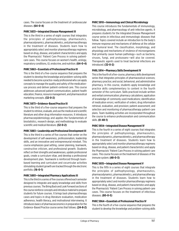cases. The course focuses on the treatment of cardiovascular diseases. **(64-0-4)**

# **PHRC 5833—Integrated Disease Management III**

This is the third in a series of eight courses that integrates the principles of pathophysiology, pharmaceutics, pharmacodynamics, pharmacokinetics, and pharmacotherapy in the treatment of diseases. Students learn how to appropriately select and monitor pharmacotherapy regimens based on drug, disease, and patient characteristics and apply the Pharmacists' Patient Care Process in solving patientcare cases. This course focuses on women's health, urology, respiratory conditions, GI, endocrine, and nutrition. **(64-0-4)**

# **PHRC 5863—Essentials of Professional Practice III**

This is the third of a five-course sequence that prepares the student to develop the knowledge and problem-solving skills needed to become a practice-ready professional who can apply concepts to manage the quality and safety of the medicationuse process and deliver patient-centered care. This course addresses advanced patient communication, patient health education, finance, resource management, and pharmaceutical marketing concepts. **(32-0-2)**

# **PHRC 5873—Evidence-Based Practice III**

This is the third of a five-course sequence that prepares the student to retrieve, evaluate, and use the medical and scientific literature and other drug information resources. It introduces pharmacoepidemiology and applies the fundamentals of biostatistics, research design, and methodology to evaluate scientific and medical literature. **(32-0-2)**

# **PHRC 5883—Leadership and Professional Development III**

This is the third in a series of five courses that center on the development of self-awareness, professionalism, leadership skills, and an innovative and entrepreneurial mindset. This course emphasizes goal setting, career planning, teamwork, constructive criticism, and professional growth. Students reflect on their strengths and weaknesses, update professional goals, create a curriculum vitae, and develop a professional development plan. Teamwork is reinforced through teambased learning and curriculum and cocurricular activities stimulating student growth are tracked through the electronic portfolio. **(16-0-1)**

# **PHRC 5893—Integrated Pharmacy Applications III**

This is the third in a series of five courses offered each semester designed to integrate and apply knowledge and skills from previous courses. The Bring Back and Look Forward sections of the course reinforce concepts and introduce material to prepare students for future courses. It brings back pharmacotherapy cases and topics in drug literature evaluation, medication adherence, health literacy, and motivational interviewing. It introduces basics of pharmacoeconomics in preparation for the Evidence-Based Practice course series that follows. **(24-8-2)**

# **PHRC 5910—Immunology and Clinical Microbiology**

This course introduces the fundamentals of immunology, microbiology, and pharmacology of anti-infective agents. It prepares students for the Integrated Disease Management course series in infectious and immunologic diseases that follow. Topics covered include an introduction to the body's immune response and mechanisms of defense at the cellular and humoral level. The classification, morphology, and physiology and mechanisms of virulence of microorganisms that primarily cause human pathology—such as bacteria, viruses, fungi, and protozoans—will also be covered. Therapeutic agents used to treat bacterial infections are introduced. **(32-0-2)**

# **PHRL 5914—Pharmacy Skills Development IV**

This is the fourth of a five-course, pharmacy skills development series that integrates principles of pharmaceutical sciences; pharmacy practice; and social, behavioral, and administrative pharmacy. In this course, students apply knowledge and practice skills complementary to content in the fourth semester of the curriculum. Skills practiced include written and verbal communication; pharmacy calculations; application of knowledge of commonly used medications; identification of medication errors; verification of orders; drug information retrieval, evaluation, and provision; patient assessment; and selection and monitoring of pharmacotherapy patient-care plans. Team-building activities are incorporated throughout the course to enhance professionalism and communication skills. **(0-48-1)**

# **PHRC 5934—Integrated Disease Management IV**

This is the fourth in a series of eight courses that integrates the principles of pathophysiology, pharmaceutics, pharmacodynamics, pharmacokinetics, and pharmacotherapy in the treatment of diseases. Students learn how to appropriately select and monitor pharmacotherapy regimens based on drug, disease, and patient characteristics and apply the Pharmacists' Patient Care Process in solving patient-care cases. This course focuses on the treatment of diseases of the immune system. **(48-0-3)**

# **PHRC 5935—Integrated Disease Management V**

This is the fifth in a series of eight courses that integrate the principles of pathophysiology, pharmaceutics, pharmacodynamics, pharmacokinetics, and pharmacotherapy in the treatment of diseases. Students learn how to appropriately select and monitor pharmacotherapy regimens based on drug, disease, and patient characteristics and apply the Pharmacists' Patient Care Process in solving patient-care cases. This course focuses on the treatment of infectious diseases. **(80-0-5)**

# **PHRC 5964—Essentials of Professional Practice IV**

This is the fourth of a five-course sequence that prepares the student to develop the knowledge and problem-solving skills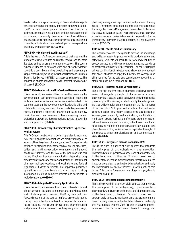needed to become a practice-ready professional who can apply concepts to manage the quality and safety of the Medication-Use Process and deliver patient-centered care. This course addresses the quality instantiates and the management of hospital and community pharmacies. It explores different pharmacy practice models, presents pharmaceutical marketing concepts, and introduces how to develop a business plan for a pharmacy product or service. **(32-0-2)**

### **PHRC 5974—Evidence-Based Practice IV**

This is the fourth of a five-course sequence that prepares the student to retrieve, evaluate, and use the medical and scientific literature and other drug information resources. This course exposes students to data analytics and an "abbreviated" scientific process by planning, developing, and presenting a simple research project using the National Health and Nutrition Examination Survey (NHANES) database as a data source. The application of data analytics in health informatics will also be discussed. **(32-0-2)**

### **PHRC 5984—Leadership and Professional Development IV**

This is the fourth in a series of five courses that center on the development of self-awareness, professionalism, leadership skills, and an innovative and entrepreneurial mindset. This course focuses on the development of leadership skills and collaboration among members of intra- and interprofessional teams. Teamwork is reinforced through team-based learning. Curriculum and cocurriculum activities stimulating student professional growth are documented and tracked through the electronic portfolio. **(16-0-1)**

# **PHRC 5990—Introductory Pharmacy Practice Experience: Health Systems**

This 160-hour, out-of-classroom, supervised, inpatient experience highlights the operations and practice management aspects of health systems pharmacy practice. The experience is designed to introduce students to medication-use processes, patient and health care provider communication, inpatient health care delivery, and the role of the pharmacist in this setting. Emphasis is placed on medication dispensing; drug procurement/inventory control; application of institutional pharmacy policy/procedure; and local, state, and federal regulations. Students participate in all applicable pharmacy operations and patient-care activities, reply to drug information questions, complete projects, and participate in topic discussions. **(0-160-4)**

# **PHRC 5994—Integrated Pharmacy Applications IV**

This is the fourth in a series of five courses offered at the end of each semester designed to integrate and apply knowledge and skills from previous courses. The Bring Back and Look Forward sections of the course reinforce previously taught concepts and introduce material to prepare students for future courses. This course brings back pharmaceutical and pharmacokinetics calculations, frequently used drugs,

pharmacy management applications, and pharmacotherapy cases. It introduces concepts to prepare students to continue the Integrated Disease Management, Essentials of Professional Practice, and Evidence-Based Practice course series. It reviews expectations for experiential courses in preparation for the Introductory Pharmacy Practice Experience: Health Systems course. **(32-0-2)**

### **PHRL 6810—Sterile Products Laboratory**

This laboratory course is designed to develop the knowledge and skills necessary to prepare sterile products safely and effectively. Students will learn the history and evolution of aseptic processing and the current regulations and standards of practice that guide sterile preparation. The course is taught using a combination of self-study and a laboratory component that allows students to apply the fundamental concepts and skills required for the safe and compliant compounding of sterile products in a cleanroom. **(0-48-1)**

### **PHRL 6815—Pharmacy Skills Development V**

This is the fifth of a five-course, pharmacy skills development series that integrates principles of pharmaceutical sciences; pharmacy practice; and social, behavioral, and administrative pharmacy. In this course, students apply knowledge and practice skills complementary to content in the fifth semester of the curriculum. Skills practiced include written and verbal communication; pharmacy calculations; application of knowledge of commonly used medications; identification of medication errors; verification of orders; drug information retrieval, evaluation, and provision; patient assessment; and selection and monitoring of pharmacotherapy patient-care plans. Team-building activities are incorporated throughout the course to enhance professionalism and communication skills. **(0-48-1)**

# **PHRC 6836—Integrated Disease Management VI**

This is the sixth in a series of eight courses that integrate the principles of pathophysiology, pharmaceutics, pharmacodynamics, pharmacokinetics, and pharmacotherapy in the treatment of diseases. Students learn how to appropriately select and monitor pharmacotherapy regimens based on drug, disease, and patient characteristics and apply the Pharmacists' Patient Care Process in solving patient-care cases. This course focuses on neurologic and psychiatric disorders. **(64-0-4)**

# **PHRC 6837—Integrated Disease Management VII**

This is the seventh in a series of eight courses that integrate the principles of pathophysiology, pharmaceutics, pharmacodynamics, pharmacokinetics, and pharmacotherapy in the treatment of diseases. Students learn how to appropriately select and monitor pharmacotherapy regimens based on drug, disease, and patient characteristics and apply the Pharmacists' Patient Care Process in solving patientcare cases. This course focuses on clinical toxicology, pain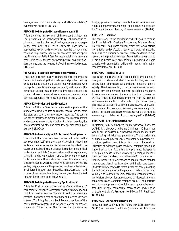management, substance abuse, and attention-deficit/ hyperactivity disorder. **(48-0-3)**

### **PHRC 6838—Integrated Disease Management VIII**

This is the eighth in a series of eight courses that integrate the principles of pathophysiology, pharmaceutics, pharmacodynamics, pharmacokinetics, and pharmacotherapy in the treatment of diseases. Students learn how to appropriately select and monitor pharmacotherapy regimens based on drug, disease, and patient characteristics and apply the Pharmacists' Patient Care Process in solving patient-care cases. This course focuses on special populations, nutrition, dermatology, and the treatment of ophthalmologic diseases. **(48-0-3)**

# **PHRC 6865—Essentials of Professional Practice V**

This is the conclusion of a five-course sequence that prepares the student to develop the knowledge and problem-solving skills needed to become a practice-ready professional who can apply concepts to manage the quality and safety of the medication-use process and deliver patient-centered care. This course addresses pharmacy law and advanced communication concepts as it relates to professional practice. **(48-0-3)**

### **PHRC 6875—Evidence-Based Practice V**

This is the fifth of a five-course sequence that prepares the student to retrieve, evaluate, and use the medical and scientific literature and other drug information resources. The course focuses on theories and methodologies of pharmacoeconomics and outcomes research. Applications to clinical practice, the pharmaceutical industry, and formulary decision making are explored. **(32-0-2)**

#### **PHRC 6885—Leadership and Professional Development V**

This is the fifth in a series of five courses that center on the development of self-awareness, professionalism, leadership skills, and an innovative and entrepreneurial mindset. This course emphasizes the maturation of the student into the ideal professional candidate. Students reflect on their experiences, strengths, and career goals to map a pathway to their chosen professional path. They update their curricula vitae and bios, create professional websites, and develop job interviewing skills as they prepare to enter the pharmacy workforce. Teamwork is reinforced through team-based learning. Curriculum and cocurricular activities stimulating student growth are tracked through the electronic portfolio. **(16-0-1)**

# **PHRC 6895—Integrated Pharmacy Applications V**

This is the fifth in a series of five courses offered at the end of each semester designed to integrate and apply knowledge and skills from previous courses. Students in each course become certified in a specific area of pharmacy and receive software training. The Bring Back and Look Forward sections of the course reinforce concepts and introduce material to prepare students for future courses. This course utilizes patient cases to apply pharmacotherapy concepts. It offers certification in medication therapy management and outlines expectations for P3 and Advanced Standing P2 winter semester. **(32-0-2)**

### **PHRC 6920—Seminar**

This course applies the knowledge and skills gained through the Essentials of Professional Practice and Evidence-Based Practice course sequences. Student teams develop a platform presentation and professional poster to showcase innovative solutions to a pharmacy practice problem identified and researched in previous courses. Presentations are made to peers and health care professionals, providing valuable experience in presentation skills and in medical information resource utilization. **(16-0-1**)

### **PHRC 7700—Integrated Care**

This is the final course in the core didactic curriculum. It is designed to advance students' critical thinking skills and application of pharmaceutical knowledge to patient care in a variety of health care settings. The course enhances students' patient-care competencies and ensures students' readiness to commence Advanced Pharmacy Practice Experiences (APPEs). This is achieved using a variety of learning activities and assessment methods that include complex patient cases, pharmacy calculations, drug information questions, application of communication skills, and knowledge of commonly used drugs. The course contains several assessments that must be successfully completed prior to commencing APPEs. **(64-0-4)**

# **PHRC 7710—APPE: Internal Medicine**

The Internal Medicine Advanced Pharmacy Practice Experience (APPE) is a six-week, full-time (minimum 40 hours per week), out-of-classroom, supervised, inpatient experience emphasizing individualized patient care. The experience is designed to optimize students' competency in pharmacistprovided patient care, interprofessional collaboration, utilization of evidence-based medicine, communication, and patient education. Students apply pharmacotherapeutic principles, disease-related knowledge, dosing guidelines, best practice standards, and site-specific procedures to identify therapeutic problems and to implement and monitor patient-care plans in collaboration with health care teams. Students will be expected to communicate effectively in writing through documentation in the patients' medical records and verbally with stakeholders. Students will present patient cases, provide formal education presentations, participate in informal topic discussions, complete assigned projects, and perform and document pharmacist activities (e.g., patient histories, transitions of care, therapeutic interventions, and creation of treatment plans). **Prerequisite:** P4/Adv P3 (Final Year) **(0-240-6)**

#### **PHRC 7720—APPE: Ambulatory Care**

The Ambulatory Care Advanced Pharmacy Practice Experience (APPE) is a six-week, full-time (minimum 40 hours per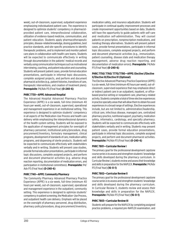week), out-of-classroom, supervised, outpatient experience emphasizing individualized patient care. The experience is designed to optimize students' competency in pharmacistprovided patient care, interprofessional collaboration, utilization of evidence-based medicine, communication, and patient education. Students apply pharmacotherapeutic principles, disease-related knowledge, dosing guidelines, best practice standards, and site-specific procedures to identify therapeutic problems, and to implement and monitor patient care plans in collaboration with health care teams. Students will be expected to communicate effectively in writing through documentation in the patients' medical records and verbally using communication techniques such as motivational interviewing, coaching, and patient education and counseling. Students will present patient cases, provide formal education presentations, participate in informal topic discussions, complete assigned projects, and perform and document pharmacist activities (e.g., patient histories, transitions of care, therapeutic interventions, and creation of treatment plans). **Prerequisite**: P4/Adv P3 (Final Year) **(0-240-6)**

### **PHRC 7730—APPE: Advanced Hospital**

The Advanced Hospital Advanced Pharmacy Practice Experience (APPE) is a six-week, full-time (minimum 40 hours per week), out-of-classroom, supervised, operational and management experience in an institutional setting. This experience is designed to optimize students' competency in all aspects of the Medication-Use Process and health care delivery while emphasizing the interprofessional dynamics of the health system setting. Students will be exposed to the application of management principles for oversight of pharmacy personnel, institutional policy/procedure, drug procurement/inventory, formulary management, clinical programs, development of standards of care, medication safety programs, and dispensing of sterile products. Students will be expected to communicate effectively with stakeholders verbally and in writing. Students will present case studies, provide formal education presentations, participate in informal topic discussions, complete assigned projects, and perform and document pharmacist activities (e.g. adverse drug reaction reporting, documentation of medication errors, and participation in institutional committees). **Prerequisite:** P4/ Adv P3 (Final Year) **(0-240-6)**

# **PHRC 7740—APPE: Community Pharmacy**

The Community Pharmacy Advanced Pharmacy Practice Experience (APPE) is a six-week, full-time (minimum 40 hours per week), out-of-classroom, supervised, operational and management experience in the outpatient, community setting. This experience is designed to optimize students' competency in patient screening, the Medication-Use Process, and outpatient health care delivery. Emphasis will be placed on the oversight of pharmacy personnel, drug distribution, pharmacy policy/procedure, drug procurement/inventory, medication safety, and insurance adjudication. Students will participate in continual quality improvement processes and create improvement opportunities based on data. Students will have the opportunity to guide patients with self-care and medication self-administration. They will counsel patients on prescription, nonprescription medications, and nondrug therapy alternatives. Students will present patient cases, provide formal presentations, participate in informal topic discussions, complete assigned projects, and perform and document pharmacist activities (e.g., immunization, patient counseling, disease state and medication therapy management, adverse drug reaction reporting, and documentation of medication errors). **Prerequisite**: P4/Adv P3 (Final Year) **(0-240-6)**

# **PHRC 7750/ 7760/ 7770/7780—APPE: Elective I/Elective II/Elective III/Elective IV (Optional)**

The Elective Advanced Pharmacy Practice Experience (APPE) is a six-week, full-time (minimum 40 hours per week), out-ofclassroom, supervised experience that may emphasize direct or indirect patient care in an outpatient, inpatient, or officebased practice setting or nonpatient-care, pharmacy-related activity. Students complete a total of three elective experiences in practice specialty areas that will allow them to obtain focused experiences in a broad range of settings. Elective experiences include, but are not limited to, administration/leadership, critical care, infectious disease, managed care, centralized pharmacy practice, nutritional support, psychiatry, medication safety, informatics, cardiology, and specialty pharmacy. Students will be expected to communicate effectively with stakeholders verbally and in writing. Students may present patient cases, provide formal education presentations, participate in informal topic discussions, complete assigned projects, and perform and document pharmacist activities. **Prerequisite:** P4/Adv P3 (Final Year) **(0-240-6)**

# **PHRC 7801—Curricular Review I**

The primary goal for the professional development capstone course series is to assess and strengthen students' knowledge and skills developed during the pharmacy curriculum. In Curricular Review I, students review and assess their knowledge and skills in preparation for the NAPLEX. **Prerequisite:** P4/Adv P3 (Final Year) **(16-0-1)**

# **PHRC 7802—Curricular Review II**

The primary goal for the professional development capstone course series is to assess and strengthen students' knowledge and skills developed during the pharmacy curriculum. In Curricular Review II, students review and assess their knowledge and skills in preparation for the NAPLEX. **Prerequisite:** P4/Adv P3 (Final Year) **(16-0-1)**

# **PHRC 7803—Curricular Review III**

Students will prepare for the NAPLEX by completing assigned practice problems, a required pre-NAPLEX examination, and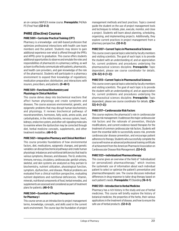an on-campus NAPLEX review course. **Prerequisite:** P4/Adv P3 (Final Year) **(32-0-2)**

# **PHRE (Elective) Courses PHRE 5001—Curricular Practical Training (CPT)**

Pharmacy is a knowledge- and skill-based profession that optimizes professional interactions with health care team members and the patient. Students may desire to gain additional experience over what is offered through the IPPEs and APPEs prior to graduation. This course offers students additional opportunities to observe and emulate the roles and responsibilities of pharmacists in a pharmacy setting, as well as learn to effectively communicate with patients, pharmacists, and health care providers, and gain knowledge of the role of the pharmacist. Students will participate in a pharmacy environment to expand their knowledge of regulations; medication preparation; distribution; and interactions with insurers, prescribers, and patients. **(0-48-1)**

# **PHRE 5011—Functional Biochemistry and Physiology in Clinical Nutrition**

This course delves deep into biochemical reactions that affect human physiology and create symptoms and diseases. The course assesses environmental, genetic, and epigenetic problems that may disrupt human biochemistry and physiology. It reviews biochemical pathways of neurotransmitters, hormones, fatty acids, amino acids, and carbohydrates, in the mitochondria, nervous system, heart, kidneys, endocrine system, and other cell-signaling molecules to examine where the dysfunction may be corrected through diet, herbal medicine concepts, supplements, and other treatment modalities. **(48-0-3)**

# **PHRE 5021—Integrative Pharmacy and Clinical Nutrition I**

This course provides foundations of how environmental factors, diet, medications, epigenetic changes, and genetic variables can disrupt biochemical pathways and create human physiologic imbalances and nutritional deficiencies that lead to various symptoms, illnesses, and diseases. The GI, endocrine, immune, nervous, circulatory, cardiovascular, genital-urinary, skeletal, and skin systems are analyzed as they pertain to biochemistry, nutrient utilization, physiological function, symptom, dysfunction, and disease. Medical problems are evaluated from a clinical nutrition perspective, evaluating nutrient depletions and nutritional deficiencies. Vitamin, minerals, nutritional components of food, herbal remedies, and supplements are assessed and considered as part of treatment plans for patients. **(48-0-3)**

# **PHRE 5041—Essentials of Project Management for Pharmacy I**

This course serves as an introduction to project management terms, knowledge, concepts, and skills used in the current work environment. The course lays the foundation of project management methods and best practices. Topics covered guide the student on the use of project management tools and techniques to initiate, plan, execute, monitor, and close a project. Students will learn about planning, scheduling, organizing, and implementing projects. Additionally, they explore current practices in project management from a pharmacy perspective. **(32-0-2)**

# **PHRE 5107—Current Topics in Pharmaceutical Sciences**

This course covers special topics selected by faculty members and visiting scientists. The goal of each topic is to provide the student with an understanding of, and an appreciation for, current problems and procedures underlying the pharmaceutical sciences discipline. **Prerequisite:** Topic dependent, please see course coordinator for details. **([16–32]-0-[1–2])**

# **PHRE 5113—Current Topics in Pharmaceutical Sciences**

This course covers special topics selected by faculty members and visiting scientists. The goal of each topic is to provide the student with an understanding of, and an appreciation for, current problems and procedures underlying the pharmaceutical sciences discipline. **Prerequisite:** Topic dependent, please see course coordinator for details. **([16– 32]-0-[1–2])**

# **PHRE 5117—Cardiovascular Risk Factors**

This course explores the pharmacist's role in cardiovascular disease risk management. It addresses the major cardiovascular risk factors and the rationale of prevention, lifestyle modifications, and current evidence-based therapies for the treatment of common cardiovascular risk factors. Students will learn the essential skills to successfully assess risk, promote cardiovascular disease prevention, and encourage patient adherence to therapy. Students who successfully complete the course will receive an advanced professional training certificate of achievement from the American Pharmacist Association on Cardiovascular Disease Risk Management. **(32-0-2)**

# **PHRE 5123—Individualized Pharmacotherapy**

This course gives an overview of the field of "individualized (or personalized) pharmacotherapy," which involves the systematic use of information about each individual patient to select or optimize the patient's preventative and pharmacotherapeutic care. The course discusses individual differences in drug response to tailor drug therapy based on each patient's needs. **Prerequisite:** P3 Standing **(16-0-1)**

# **PHRE 5151—Introduction to Herbal Medicine**

Pharmacy has a rich history in the study and use of herbal medicines. This course will briefly explore the history of botanical medicine, the properties of the herbs, their various applications in the treatment of disease, and how to ensure the safe use of herbal products. **(32-0-2)**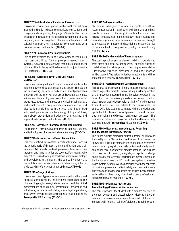#### **PHRE 5205—Introductory Spanish for Pharmacists**

This course provides non-Spanish speakers with the first steps in speaking Spanish to better communicate with patients and caregivers whose primary language is Spanish. The course provides an introduction to the basic Spanish terms and phrases frequently used during patient-pharmacist interactions, and culturally appropriate strategies for communicating with Hispanic patients and families. **(32-0-2)**

#### **PHRE 5209—Advanced Pharmacokinetics\***

This course explains the model development techniques that can be utilized for complex pharmacodynamics systems. Advanced data analysis techniques and modem pharmacokinetic theory will be discussed in conjunction with PK/PD literature. **(48-0-3)**

### **PHRE 5213—Epidemiology of Drug Use, Abuse, and Misuse\***

This course is designed to introduce doctoral students to the epidemiology of drug use, misuse, and abuse. The course focuses on drug use, misuse, and abuse as social phenomena and deals with the history of drug use and regulatory attempts in America; pharmacology and use patterns related to specific drugs; use, abuse, and misuse as medical, psychological, and social concepts; drug importation, manufacture, and distribution (including both the legal and illegal drug industries); perspectives on the etiology of drug use/abuse; drug abuse prevention and educational programs; and approaches to drug abuse treatment. **(48-0-3)**

#### **PHRE 5215—Advanced Pharmaceutical Compounding**

The course will provide advanced training in the art, science, and technology of pharmaceutical compounding. **(32-0-2)**

#### **PHRE 5221—Introduction to Molecular Medicine**

This course introduces content important to understanding the genetic basis of diseases, their identification, and their treatment. Additionally, the developing areas of cancer immune therapies and gene surgeries are covered. For students who may not possess a thorough knowledge of molecular biology and developing technologies, the course involves class presentations and other activities for developing a better understanding of the genetic basis of disease. **(32-0-2)**

#### **PHRE 5223—Drugs of Abuse**

This course covers types of substances abused, methods and routes of administration, the pertinent toxicokinetics, the pharmacological/toxicological mechanisms, and the clinical manifestations of drug abuse. Treatment of intoxication and withdrawal, societal impact of drug abuse, legal implications, and current trends of substance abuse are also discussed. **Prerequisite:** P3 Standing. **(32-0-2)**

#### **PHRE 5227—Pharmacoethics**

This course is designed to introduce students to bioethical issues encountered in health care, with emphasis on ethical problems related to pharmacy. Students will explore issues arising from advances in biotechnology, resource allocation, research using human subjects, informed consent, and the right to privacy as they impact on the legal rights and responsibilities of patients, health care providers, and government policy makers. **(32-0-2)** 

#### **PHRE 5243—Fundamentals of Pharmacognosy**

This course provides an overview of medicinal drugs derived from plants and other natural sources. The major classes of medicinally active natural products, their origin (nomenclature + taxonomy), structure, biosynthesis, and mode of action will be covered. The naturally derived constituents and their therapeutic efficacy will be discussed. **(32-0-2)**

#### **PHRE 5245—Geriatric Patient Care Management**

This course addresses real-life pharmacotherapeutic cases related to geriatric patients. The course requires the application of the knowledge acquired from all previous courses in the curriculum. The course is organized and sequenced based on disease states that include problems ranging from therapeutic to social-behavioral issues related to the disease state. The course will allow students to integrate the knowledge and apply the skills obtained from all previous courses to develop decision-making and disease management processes. This course is an online elective course that utilizes the case study teaching method. **Prerequisite:** P3 Standing **(32-0-2)**

#### **PHRE 5301—Measuring, Improving, and Reporting Quality of Care in Pharmacy Practice**

This course explores optimizing patient outcomes by improving the quality of the Medication-Use Process. It focuses on the knowledge, skills, and methods which, if applied effectively, can assure a high-quality and safe patient and family health care experience in a variety of practice settings. The purpose of this course is to develop, integrate, and apply knowledge about quality improvement, performance measurement, and the transformation of the U.S. health care system to a valuebased system. Students will gain familiarity with the concepts of quality improvement, patient safety, and medication error prevention and how these concepts can be used in collaboration with patients, physicians, other health care professionals, administrators, and regulators. **(32-0-2)**

#### **PHRE 5303—Pharmacy Practice and Biotechnology/Pharmaceutical Industries**

This course provides the student with a detailed overview of the pharmaceutical and biotechnology industries in the 21st century, focusing on pharmacy practice aspects of the sector. Students will follow a real drug/biologic through inception

*\*This course is for Ph.D. and M.S. in Pharmaceutical Sciences students only.*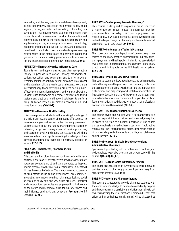forecasting and planning, preclinical and clinical development, intellectual property protection assignment, supply chain logistics, pricing, and sales and marketing, culminating in a symposium (PharmaCon) where students will present their product launch to representatives from the pharmaceutical and biotechnology industries. The course examines drug safety and legal risks to practice, technological advances of the industry, economic and financial drivers of success, and populationbased health care. It also covers a wide landscape of evolving ethical issues in the marketplace and provides insight and guidance for students seeking pharmacy practice careers in the pharmaceutical and biotechnology industries. **(32-0-2)**

### **PHRE 5305—Pharmacy Practice in Managed Care**

Students learn and apply managed care pharmacy practice theory to provide medication therapy management, patient education, and counseling and to offer provider recommendations to optimize patient outcomes. Professional and leadership skills are reinforced as students work in an interdisciplinary team developing problem-solving skills, effective communication strategies, and team collaboration. Students use telephonic and remote patient monitoring systems and electronic health record databases to perform drug utilization reviews, medication reconciliation, and transitions of care. **(16-48-2)**

#### **PHRE 5311—Pharmaceutical Marketing**

This course provides students with a working knowledge of analysis, planning, and control of marketing efforts crucial to roles as managers and leaders in the pharmacy profession. Students learn about marketing management, customer behavior, design and management of service processes, and customer loyalty and satisfaction. Students will think in concrete terms and apply marketing knowledge as they develop marketing strategies for a pharmacy product or service. **(32-0-2)**

### **PHRE 5345—Pharmacists, Pharmaceuticals, and the Media**

This course will explore how various forms of media have portrayed pharmacists over the years. It will also investigate how pharmaceuticals and other drugs are reported by the press and are presented by the entertainment industry. Students will discuss the content of articles. The phenomena and occurrence of drug effects (drug-taking experiences) are examined, integrating information from both pharmaceutical and social sciences, to study how and why drugs are used. Historical and cross-cultural examples are employed in this dialogue on the nature and meaning of drug-taking experiences and their influence on drug-taking behaviors. **Prerequisite:** P3 Standing **(32-0-2)**

#### **PHRE 5351—Contemporary Issues in Pharmacy\***

This course is designed to explore a broad spectrum of contemporary issues related to pharmacy practice, pharmaceutical industry, third-party payment, and health policy. It will also increase student awareness and understanding of changes in pharmacy practices and its impact on the U.S. health care system. **(48-0-3)**

### **PHRE 5353—Contemporary Topics in Pharmacy**

This course provides a broad spectrum of contemporary issues related to pharmacy practice, pharmaceutical industry, thirdparty payment, and health policy. It aims to increase student awareness and understanding of the changes in pharmacy practice and its impacts on the U.S. health care system. **(32-0-2)**

#### **PHRE 5389—Pharmacy Law of Puerto Rico**

This course covers the laws, regulations, and administrative orders that regulate the practice of the pharmacy profession; the occupation of a pharmacy technician; and the manufacture, distribution, and dispensing or dispatch of medications in Puerto Rico. Special emphasis will be given to the dispensing of controlled substances in accordance with applicable local and federal legislation. In addition, general aspects of professional law and ethics will be covered. **(32-0-2)**

#### **PHRE 5391—The Nuclear Pharmacy Experience**

This course covers and explains what a nuclear pharmacy is and the responsibilities, activities, and knowledge required in order to function as a nuclear pharmacist. The course places emphasis on radiopharmaceuticals (radioactive medication), their mechanisms of action, dose range, method of compounding, and ultimate role in the diagnosis of diseases and/or therapy. **(32-0-2)**

#### **PHRE 5401—Current Topics in Sociobehavioral and Administrative Pharmacy**

Specialized topics dealing with current issues, procedures, and policies related to sociobehavioral pharmacy are covered in this course. **([16–48]-0-[1–3])**

#### **PHRE 5411—Current Topics in Pharmacy Practice**

This course discusses topics on current issues, procedures, and policies related to pharmacy practice. Topics can vary from semester to semester. **(32-0-2)**

#### **PHRE 5417—Veterinary Pharmacotherapy**

This course is structured to provide pharmacy students with the necessary knowledge to be able to confidently prepare and dispense animal prescriptions and offer counseling to pet owners regarding these medications. Common diseases that affect canines and felines (small animals) will be discussed, as

*\*This course is for Ph.D. and M.S. in Pharmaceutical Sciences students only.*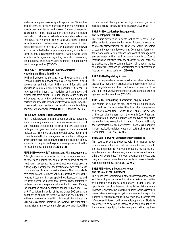well as current pharmacotherapeutic approaches. Similarities and differences between humans and animals related to specific disease states will be discussed. Pharmacotherapeutic approaches to be discussed include human-labeled medications that are used extra-label in animals, medications that have both human-labeled and veterinary-labeled formulations, and medications exclusively approved to treat medical conditions in animals. OTC product use in animals will also be presented to better prepare pharmacy students for those unexpected questions asked by pet owners. Other topics include specific regulations regarding medications in animals, compounding, preventatives, pet insurance, and alternative medicine approaches. **(32-0-2)**

# **PHRE 5427—Introduction to Pharmacometrics: Modeling and Simulation (IPMS)**

IPMS will expose the student to cutting-edge tools and techniques used to answer complicated problems in drug development and utilization. IPMS leverages information and knowledge from core biomedical and pharmaceutical courses together with mathematical modeling and simulation and clinical data from patients or published literature. Students will be required to synthesize the data to create models and perform simulations to answer problems with drug therapy. The course also includes hands-on training using standard modeling and simulation software. **Prerequisite:** P3 Standing **(32-0-2)**

### **PHRE 5429—Antimicrobial Stewardship**

Antimicrobial stewardship aims to optimize clinical outcomes while minimizing unintended consequences of antimicrobial use, including development of drug toxicity, selection of pathogenic organisms, and emergence of antimicrobial resistance. Principles of antimicrobial stewardship and concepts related to the management of infectious pathogens are the emphasis of this course. Upon completion of this course, students will be prepared to practice as a pharmacist in the forthcoming post-antibiotic era. **(32-0-2)**

# **PHRE 5431—Oncologic Treatments and Pharmacogenomics**

This hybrid course introduces the basic molecular concepts of cancer and pharmacogenomics in the context of cancer treatment. It presents the current methodologies used in cutting-edge oncology for the treatment of two of the most common types of cancer: breast and colon. The standard-ofcare combinatorial regimens will be presented, as well as the treatment scenarios that are applied to advanced-stage and recurrent disease. Drugs that have increased patient tolerance to these genotoxic regimens will also be discussed. Finally, the application of next-generation sequencing of tumor DNA or RNA to determine which of the more than 300 druggable mutations exist in these tumors will be discussed, primarily in the cancer-recurrence setting. Prognostic tests based on RNA expression from tumors will be covered. Discussion of the rationale for insurance coverage of pharmacogenomics will be covered as well. The impact of oncologic pharmacogenomics on future clinical trials will also be examined. **(32-0-2)**

### **PHRE 5445—Leadership, Engagement, and Development (LEAD)**

This course provides an in-depth look at the behaviors and skills needed to be an effective leader. Students are exposed to a variety of leadership theories and styles within the context of student leadership development. Communication styles, teamwork, cultural competence, and conflict management are examined within the interpersonal context. Course materials and activities challenge students to connect theory to practice and enhance communication skills through the use of student presentations on topics related to collaborative and interprofessional experiences. **(16-0-1)**

# **PHRE 5447—Regulatory Affairs**

This course provides an exposure to the important and critical area of drug regulatory matters. It describes the role of federal laws, regulations, and the structure and operation of the U.S. Food and Drug Administration. It also compares similar agencies in other countries. **(32-0-2)**

# **PHRE 5505—Consulting Pharmacy in Long-Term Care**

This course focuses on the practice of consulting pharmacy practice in long-term care facilities. It provides an overview of geriatric consulting statutes that regulate the activity of the consultant pharmacist, the Health Care Financing Administration survey guidelines, and the types of facilities required to have a consultant pharmacist. Students will apply the Pharmacists' Patient Care Process in addressing geriatric patient medication-related needs in this setting. **Prerequisite:**  P3 Standing/PHRC 5935 **(32-0-2)**

# **PHRE 5511—Survey of Complementary Therapies**

This course provides students with information about complementary therapies that are frequently seen, or could be recommended, for various disease states. Nutritional supplements, herbal remedies, homeopathic remedies, and others will be studied. The proper dosing, side effects, and drug and disease state interactions will also be considered in recommending these therapies. **(32-0-2)**

# **PHRE 5513—Special Population Needs and the Role of the Pharmacist**

This course uses the framework of social determinants of health and the ecological model and provides a holistic perspective to vulnerable and special populations. Students have an opportunity to explore the needs of special populations from a pharmacist's perspective, enabling students to self-assess their preconceived knowledge and gain a new perspective to practice pharmacy. Students acquire knowledge about factors that influence and intersect with vulnerable populations. Students are expected to design an intervention for a population of their interests, applying the knowledge and skills they have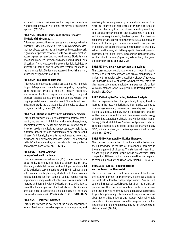acquired. This is an online course that requires students to work independently and with other class members to complete a project. **(32-0-2)**

### **PHRE 5515—Health Disparities and Chronic Diseases: The Role of the Pharmacist**

This course presents the main causes and pathways to health disparities in the United States. It focuses on chronic diseases, such as diabetes, cancer, and cardiovascular diseases. Emphasis is given to disparities associated with access to medication, access to pharmacy services, and to adherence. Students learn about pharmacy-led interventions aimed at reducing health disparities. They are expected to use epidemiological data to study the disparities and to formulate recommendations to the pharmacy field. Students are assessed through hands-on, structured assignments. **(32-0-2)**

# **PHRE 5517—Biologics and Beyond**

This course introduces and familiarizes students with biologic drugs, FDA-approved biosimilars, antibody-drug conjugates, gene medicine products, and cell therapy products. Mechanisms of actions, disposition principles, dosing and product handling aspects, therapeutic use, drawbacks, and ongoing trials/research are discussed. Students will work in teams to study the characteristics of biologics by disease categories and drug types. **(32-0-2)**

### **PHRE 5551—Nutrition and Wellness in Pharmacy Practice**

This course provides strategies to improve nutritional status, health, and wellness. It highlights nutritional wellness, foods, and diets that may be used to help maintain or improve health. It reviews epidemiological and genetic aspects of individuals, nutritional deficiencies, and environmental causes of illness and disease. Additionally, it presents the tools needed to conduct nutritional and environmental assessments, comprehend patients' anthropometrics, and provide nutritional guidance and wellness plans for patients. **(32-0-2)**

### **PHRE 5619—Pharm.D./D.M.D. Interprofessional Experience**

This interprofessional education (IPE) course provides an opportunity to engage in multidisciplinary health care. Pharmacy and dental students will work together at a dental clinic exclusively serving patients with HIV. In collaboration with dental students, pharmacy students will obtain accurate medication histories from patients, update medical records appropriately, and provide patient education on antiretroviral therapy and dental hygiene. Didactic lectures will address overall health management of individuals with HIV. Students are expected to be at the dental clinic approximately five hours per week for seven weeks. **Prerequisite:** PHRC 5935 **(16-48-2)**

# **PHRE 5637—History of Pharmacy**

This course provides an overview of the history of pharmacy as a profession and provides experience in interpreting and analyzing historical pharmacy data and information from historical sources and references. It primarily focuses on American pharmacy from the colonial times to present day. Topics include the evolution of practice, changes in education and licensure requirements, the development of professional organizations, the growth of the pharmaceutical industry, and the role of pharmacy in contemporary health care practice. In addition, the course includes an introduction to pharmacy artifacts and the integral role they played in the development of pharmacy in the United States. The course helps students apply wisdom about pharmacy's past to guide evolving changes in the pharmacy profession. **(32-0-2)**

# **PHRE 5639—Clinical Neuropsychopharmacology**

This course incorporates didactic lecture, classroom discussion of cases, student presentations, and clinical monitoring of a patient with a neurological or a psychiatric disorder. The course is designed to introduce students to advanced concepts in the pharmaceutical care and medication management of a patient with a mental and/or neurological illness. **Prerequisite:** P3 Standing **(32-0-2)**

# **PHRE 5641—Applied Secondary Database Analysis**

This course gives students the opportunity to apply the skills learned in the research design and biostatistics courses by completing a secondary data analysis research project using a federal database. Students will write a basic research protocol and become familiar with the basic structure and methodology of the United States National Health and Nutrition Examination Survey (NHANES) database. Students will prepare a dataset, conduct descriptive and basic statistical analyses using SPSS, write an abstract, and deliver a presentation to a small audience. **(32-0-2)** 

# **PHRE 5643—Parenteral Medication Therapies**

This course exposes students to topics and skills that expand their knowledge of the use of intravenous therapies in the management of diseases. The student will learn both didactically and in small-group, hands-on activities. After completion of this course, the student should be more prepared to compound, evaluate, and monitor IV therapies. **(16-48-2)**

# **PHRE 5645—Special Population Needs and the Role of the Pharmacist**

This course uses the social determinants of health and the ecological model as framework. It provides a holistic perspective to vulnerable and special populations. Students will explore the needs of special populations from the pharmacist perspective. This course will enable students to self-assess their preconceived knowledge and gain a new perspective to practice pharmacy. Students will acquire knowledge about factors that influence and intersect with vulnerable populations. Students are expected to design an intervention for a population of their interests, applying the knowledge and skills acquired. **(32-0-2)**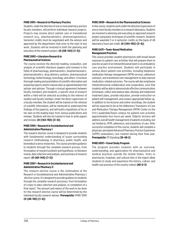#### **PHRE 5991—Research in Pharmacy Practice**

Students, under the direction of one or more pharmacy practice faculty members, will perform individual research projects. Projects may involve direct patient care or translational research (e.g., pharmacokinetics, pharmacogenomics). Semester credits must be negotiated with the adviser and approved by the department chair prior to the start of any work. Students will be involved in both the planning and execution of the research project. **(0-[48–144]-[1–3])**

#### **PHRE 5993—Literature Research in Pharmaceutical Sciences**

The course involves the directed reading, evaluation, and analysis of scientific literature (papers and reviews) in the fields of pharmacology, pharmaceutics, biopharmaceutics, pharmacokinetics, drug delivery systems, pharmaceutical technology, biotechnology, toxicology, and others. It involves thorough reading and assimilation of scientific information and preparing reports and/or manuscripts as agreed between the adviser and advisee. Through a mutual agreement between faculty members and students, a specific area of research within a field will be selected according to the interest of student and faculty member. Under the direct supervision of a faculty member, the student will be trained on the retrieval of scientific information, will be mentored to understand the findings of the paper(s), and will build a hypothesis of his or her own on the leading topic from various publications and reviews. Students will also be trained in how to write papers and reviews. **(0-[144–192]-[3–4])**

### **PHRE 5995—Research in Sociobehavioral and Administrative Pharmacy I**

This research elective course is designed to provide students with fundamental understanding of issues surrounding research methodology in pharmacy, public health, and biomedical science researches. The course provides guidance to students through the complete research process, from formulation of research problem and hypothesis, to literature review, data collection and analysis, and summary of research report. **(0-[48–144]-[1–3])** 

# **PHRE 5997—Research in Sociobehavioral and Administrative Pharmacy II**

This research elective course is the continuation of the Research in Sociobehavioral and Administrative Pharmacy I elective course. It is designed to provide guidance to students through the complete research processes, from formulation of a topic to data collection and analysis, to completion of a final report. The amount and nature of the work to be done for this research elective course will be determined by the individual faculty research adviser. **Prerequisite:** PHRE 5995 **(0-[48–192]-[1–4])**

### **PHRE 5999—Research in the Pharmaceutical Sciences**

In this course, students work under the direction/supervision of one or more faculty members in a research laboratory. Students are involved in planning and executing an approved research project using basic techniques of scientific research. Students will be awarded 3 or 4 semester credits on the basis of 48 laboratory hours per credit. **(0-[144–192]-[3–4])** 

### **PHRE 6431—Team-Based Medication Management Practices**

This course provides student-pharmacists with broad-based exposure to patient-care activities that will prepare them to practice as part of an interprofessional team in an ambulatory care practice environment. Students will participate in various direct patient-care activities, including telephonic medication therapy management (MTM) services, adherence outreach, and transitional care management to help improve medication-related outcomes. The course will also emphasize interprofessional collaboration and cooperation, such that students will be able to demonstrate effective communication techniques, collect and analyze data, develop and implement treatment plans, provide education, provide instruction on patient self-management, and conduct appropriate follow-up. In addition to live lectures and online recordings, the student will be expected to be at the Adherence Transitions of Care and Medication Therapy Management (MTM) Center on the Fort Lauderdale/Davie campus for patient-care activities approximately four hours per week. Didactic lectures will address overall health management of patients including, but not limited to, MTM, adherence, and transitions of care. After successful completion of this course, students will complete a physician-precepted Advanced Pharmacy Practice Experience (APPE) ambulatory care rotation during their final year. **Prerequisite:** P3 Standing **(16-48-2)**

#### **PHRE 6997—Travel Study Program**

The program provides students with an overview, understanding, and appreciation for pharmaceutical and medical practices outside the United States. Visits to pharmacies, hospitals, and cultural sites in the region allow students to study and experience the history, culture, and health care practices of the country visited. **(48-0-3)**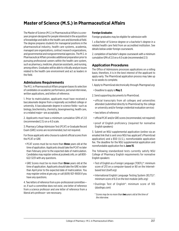# **Master of Science (M.S.) in Pharmaceutical Affairs**

The Master of Science (M.S.) in Pharmaceutical Affairs is a oneyear program designed for people interested in the acquisition of knowledge and skills in the health care and biomedical field. The degree prepares students for managerial positions in the pharmaceutical industry, health care systems, academia, managed care organizations, contract research organizations, and governmental and nongovernmental agencies. The M.S. in Pharmaceutical Affairs provides additional preparation prior to pursuing professional careers within the health care system, such as pharmacy, medicine, physician assistants, and nursing, among others. Graduates will be able to critically analyze issues related to the health care environment and act as leaders in the field.

# **Admissions Requirements**

The M.S. in Pharmaceutical Affairs program bases its selection of candidates on academic performance, personal interviews, written applications, and letters of reference.

1. Prior to matriculation, applicants must have received a baccalaureate degree from a regionally accredited college or university. A baccalaureate degree in science fields—such as biology, biochemistry, chemistry, bioengineering, health care, or a related major—are acceptable.

2. Applicants must have a minimum cumulative GPA of 2.0 (recommended 2.5) on a 4.0 scale.

3. Pharmacy College Admission Test (PCAT) or Graduate Record Exam (GRE) scores are recommended, but not required.

For those applicants who choose to submit official scores from the PCAT or GRE

- PCAT scores must be no more than **three** years old at the time of application. Applicants should take the PCAT no later than February prior to the expected date of matriculation. Candidates may register online at *[pcatweb.info](http://pcatweb.info)*, or call 800- 622-3231 with any questions.
- GRE Scores must be no more than **three** years old at the time of application. Applicants should take the GRE no later than April prior to the expected date of matriculation. You may register online at *[gre.org](http://gre.org)*, or call (609) 921-9000 if you have any questions.

4. Two letters of reference from a pre-professional committee or, if such a committee does not exist, one letter of reference from a science professor and one letter of reference from a liberal arts professor—are necessary.

### **Foreign Graduates**

Foreign graduates may be eligible for admission with

1. a Bachelor of Science degree or a bachelor's degree in a related health care field from an accredited institution. See details below under foreign coursework.

2. completion of bachelor's degree coursework with a minimum cumulative GPA of 2.0 on a 4.0 scale (recommended 2.5)

# **Application Procedures**

The Office of Admissions processes applications on a rolling basis; therefore, it is in the best interest of the applicant to apply early. The PharmGrad application process may take up to six weeks to complete.

1. Apply to PharmGrad electronically through *[Pharmgrad.org](http://Pharmgrad.org)*.

- Deadline to apply is **May 2**.
- 2. Send supporting documents to PharmGrad.
- official transcripts from all colleges and universities attended (submitted directly to PharmGrad by the college or university and/or foreign credential evaluation service)
- two letters of reference
- official PCAT and/or GRE scores (recommended, not required)
- proof of English proficiency (required for nonnative English speakers)

3. Submit an NSU supplemental application (online via an emailed link that is sent once NSU has applicant's PharmGrad application) and a \$50 (U.S.), nonrefundable application fee. The deadline for the NSU supplemental application and nonrefundable application fee is **June 15**.

The following standardized tests currently satisfy NSU College of Pharmacy English requirements for nonnative English speakers:

- Test of English as a Foreign Language (TOEFL)\*: minimum score of 213 on a computer-based or 80 on the Internetbased test (*[toefl.org](http://toefl.org)*)
- International English Language Testing System (IELTS)\*: minimum score of 6.0 on the test module (*[ielts.org](http://ielts.org))*
- Duolingo Test of English\*: minimum score of 105 (*[duolingo.com](http://duolingo.com)*)
- \* *Scores may be no more than two years old at the time of the interview*.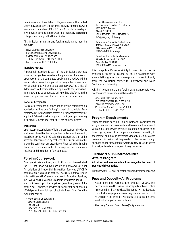Candidates who have taken college courses in the United States may also prove English proficiency by completing, with a minimum cumulative GPA of 2.0 on a 4.0 scale, two collegelevel English composition courses at a regionally accredited college or university in the United States.

All admissions materials and foreign evaluations must be mailed to

Nova Southeastern University Enrollment Processing Services (EPS) College of Pharmacy Admissions 3301 College Avenue, P.O. Box 299000 Fort Lauderdale, FL 33329-9905

#### **Interview Process**

A personal interview is part of the admissions process; however, being interviewed is not a guarantee of admission. Upon receipt of the completed application, a review will be made to determine if the applicant will be granted an interview. Not all applicants will be granted an interview. The Office of Admissions will notify selected applicants for interviews. Interviews may be conducted using online platforms in the event the applicant cannot attend an in-person interview.

#### **Notice of Acceptance**

Notice of acceptance or other action by the committee on admissions will be on a "rolling" or periodic schedule. Early completion of the application process is in the best interest of the applicant. Admission to the program is contingent upon meeting all the requirements prior to the first day of the semester.

#### **Transcripts**

Upon acceptance, final and official transcripts from all colleges and universities attended, and/or final and official documents, must be received within 90 calendar days from the start of the semester. If not received by that time, the student will not be allowed to continue class attendance. Financial aid will not be disbursed to a student until all the required documents are received and the student is fully admitted.

# **Foreign Coursework**

Coursework taken at foreign institutions must be evaluated for U.S. institution equivalence by an approved National Association of Credential Evaluation Services (NACES) organization, such as one of the services listed below. Please note that PharmGRAD accepts only World Education Services, Inc. (WES), and Educational Credential Evaluators, Inc. (ECE), electronic transcripts. If an applicant goes through one of the other NACES-approved services, the applicant must have an official paper transcript sent directly to PharmGrad from the evaluation service.

• World Education Services, Inc. Bowling Green Station P.O. Box 5087 New York, NY 10274-5087 (212) 966-6311 • 800-361-3106 • *[wes.org](http://wes.org)*

- Josef Silny & Associates, Inc., International Education Consultants 7101 SW 102 Avenue Miami, FL 33173 (305) 273-1616 • (305) 273-1338 fax *info@jsilny.org* • *[jsilny.org](http://jsilny.org)*
- Educational Credential Evaluators, Inc. 101 West Pleasant Street, Suite 200 Milwaukee, WI 53212-3963 (414) 289-3400 • *[ece.org](http://ece.org)*
- SpanTran: The Evaluation Company 2655 Le Jeune Road, Suite 602 Coral Gables, FL 33134 (305) 749-0333 • *[spantran.com](http://spantran.com)*

It is the applicant's responsibility to have this coursework evaluated. An official course-by-course evaluation with a cumulative grade point average must be sent directly from the evaluation service to PharmGrad and Nova Southeastern University.

All admissions materials and foreign evaluations sent to Nova Southeastern University must be mailed to

Nova Southeastern University Enrollment Processing Services (EPS) College of Pharmacy Admissions 3301 College Avenue, P.O. Box 299000 Fort Lauderdale, FL 33329-9905

# **Program Requirements**

Students must have an iPad or personal computer for assignments and assessments and have an active account with an Internet service provider. In addition, students must have ongoing access to a computer capable of connecting to the Internet and playing streaming video files. Online course notes and discussions will be provided to the student through an online course management system. NSU will provide access to email, online databases, and library resources.

# **Tuition: M.S. in Pharmaceutical Affairs Program**

### **All tuition and fees are subject to change by the board of trustees without notice.**

Tuition for 2021–2022 will be posted online at *[pharmacy.nova.edu](http://pharmacy.nova.edu)*.

# **Fees and Deposit—All Programs**

- Acceptance and Preregistration Deposit—\$1,000. This deposit is required to reserve the accepted applicant's place in the entering, first-year class. This deposit will be deducted from the tuition payment due on registration day, but is not refundable in the event of a withdrawal. It is due within three weeks of an applicant's acceptance.
- Pharmacy General Access Fee—\$145 per annum.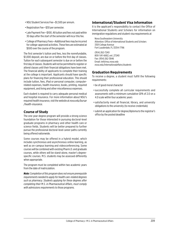- NSU Student Services Fee—\$1,500 per annum.
- Registration Fee—\$30 per semester.
- Late Payment Fee—\$100. All tuition and fees not paid within 30 days after the start of the semester will incur this fee.
- College of Pharmacy Fees—Additional fees may be incurred for college-approved activities. These fees are estimated at \$500 over the course of the program.

The first semester's tuition and fees, less the nonrefundable, \$1,000 deposit, are due on or before the first day of classes. Tuition for each subsequent semester is due on or before the first day of classes. Students will not be permitted to register or attend classes until their financial obligations have been met. The financial ability of applicants to complete their training at the college is important. Applicants should have specific plans for financing their professional education. This should include tuition, fees, iPad or personal computer, computerrelated expenses, health insurance, books, printing, required equipment, and living and other miscellaneous expenses.

Each student is required to carry adequate personal medical and hospital insurance. For more information about NSU's required health insurance, visit the website at *[nova.edu/bursar](http://nova.edu/bursar/health-insurance) [/health-insurance](http://nova.edu/bursar/health-insurance).*

# **Course of Study**

The one-year degree program will provide a strong science foundation for those interested in pursuing doctoral-level graduate programs in pharmacy and other health care or science fields. Students will be better prepared to further pursue the professional doctoral-level career paths currently being offered nationwide.

Some courses may be offered in a hybrid model, which includes synchronous and asynchronous online learning, as well as on-campus learning and videoconferencing. Some courses will be combined with existing Pharm.D. and graduate courses, while others will be stand-alone, master's degreespecific courses. M.S. students may be assessed differently when appropriate.

The program must be completed within two academic years from the date of matriculation.

*Note: Completion of this program does not ensure prerequisite requirements needed to apply for health care-related degrees such as pharmacy. Students applying for these degrees after completing their M.S. in Pharmaceutical Affairs, must comply with admissions requirements to those programs.*

# **International/Student Visa Information**

It is the applicant's responsibility to contact the Office of International Students and Scholars for information on immigration regulations and student visa requirements at

Nova Southeastern University Attention: Office of International Students and Scholars 3301 College Avenue Fort Lauderdale, FL 33314-7796

(954) 262-7240 800-541-6682, ext. 27240 Fax: (954) 262-3846 Email: *intl@nsu.nova.edu [nova.edu/internationalaffairs/students](http://nova.edu/internationalaffairs/students)*

# **Graduation Requirements**

To receive a degree, a student must fulfill the following requirements:

- be of good moral character
- successfully complete all curricular requirements and assessments with a minimum cumulative GPA of 2.0 on a 4.0 scale within four academic years
- satisfactorily meet all financial, library, and university obligations to the university (to receive credentials)
- submit an application for degree/diploma to the registrar's office by the posted deadline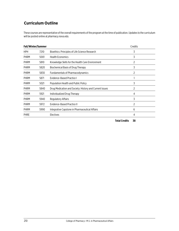# **Curriculum Outline**

These courses are representative of the overall requirements of the program at the time of publication. Updates to the curriculum will be posted online at *[pharmacy.nova.edu](http://pharmacy.nova.edu)*.

| Fall/Winter/Summer |      |                                                         | Credits |
|--------------------|------|---------------------------------------------------------|---------|
| <b>HPH</b>         | 7210 | Bioethics: Principles of Life Science Research          | 3       |
| PHRM               | 5001 | <b>Health Economics</b>                                 | 3       |
| <b>PHRM</b>        | 5810 | Knowledge Skills for the Health Care Environment        | 2       |
| <b>PHRM</b>        | 5820 | <b>Biochemical Basis of Drug Therapy</b>                | 3       |
| <b>PHRM</b>        | 5830 | <b>Fundamentals of Pharmacodynamics</b>                 | 2       |
| <b>PHRM</b>        | 5871 | Evidence-Based Practice I                               |         |
| PHRM               | 5021 | Population Health and Public Policy                     | 3       |
| <b>PHRM</b>        | 5840 | Drug Medication and Society: History and Current Issues | 2       |
| <b>PHRM</b>        | 5921 | Individualized Drug Therapy                             | 4       |
| <b>PHRM</b>        | 5940 | Regulatory Affairs                                      | 3       |
| <b>PHRM</b>        | 5972 | Evidence-Based Practice II                              | 2       |
| <b>PHRM</b>        | 5990 | Integrative Capstone in Pharmaceutical Affairs          | 6       |
| <b>PHRE</b>        |      | <b>Electives</b>                                        | 4       |

**Total Credits 38**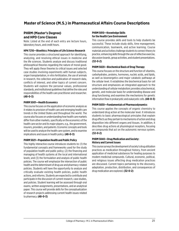# **Master of Science (M.S.) in Pharmaceutical Affairs Course Descriptions**

# **PHRM (Master's Degree) and HPD Core Classes**

Note: Listed at the end of each entry are lecture hours, laboratory hours, and credit hours.

### **HPH 7210—Bioethics: Principles of Life Science Research**

This course provides a structured approach for identifying, analyzing, and resolving ethical issues in medicine and the life sciences. Students analyze and discuss traditional philosophical theories regarding the nature of moral good. They will apply these theories to critical issues and selected case studies involving experiments with human subjects, organ transplantation, in vitro fertilization, the use of animals in research, the collection and publication of research data, conflicts of interest, and other topics of current concern. Students will explore the personal values, professional standards, and institutional guidelines that define the roles and responsibilities of the health care practitioner and researcher. **(48-0-3)**

### **PHRM 5001—Health Economics**

This course focuses on the application of economic analysis as it relates to provision of health care and emerging health care trends in the United States and throughout the world. The course also focuses on understanding how health care markets differ from other markets, specifically on the economics of the health care sector and its major players, e.g., the government, insurers, providers, and patients. Economic concepts and tools will be used to analyze the health care system, and to examine implications and issues in health policy. **(48-0-3)**

#### **PHRM 5021—Population Health and Public Policy**

This highly interactive course introduces students to: (1) the fundamental concepts and frameworks used for the study of population health and public policy; (2) the financing and managing of health systems at the local and international levels; and (3) the formulation and analysis of public health policies. The course will emphasize the intersection of public health and the determinant of drug use and pharmacy-related policies. Students will have the opportunity to analyze and critically evaluate existing health policies, public health actions, and reforms. Students are expected to contribute and participate in the discussion of current research, case studies, and policies. Student learning will be assessed through oral exams, written assignments, presentations, and an analytical paper. This course will provide skills for the conceptualization of research projects addressing current health issues related to pharmacy. **(48-0-3)**

### **PHRM 5810—Knowledge Skills for the Health Care Environment**

This course provides skills and tools to help students be successful. These include study skills, time management, communication, teamwork, and active learning. Course materials and activities challenge students to connect theory to practice, enhancing skills through the use of reflective exercise, discussion boards, group activities, and student presentations. **(32-0-2)**

# **PHRM 5820—Biochemical Basis of Drug Therapy**

This course focuses on the structure and function of vitamins, carbohydrates, proteins, hormones, nucleic acids, and lipids, as well as bioenergetics and major catabolic pathways at the cellular level. It establishes the biochemical basis for cell structure and emphasizes an integrated approach to the understanding of cellular metabolism; provides a biochemical, genetic, and molecular basis for understanding disease and drug functioning; and examines the mechanisms for genetic information flow in prokaryotic and eukaryotic cells. **(48-0-3)**

# **PHRM 5830—Fundamentals of Pharmacodynamics**

This course applies the concepts of organic chemistry to understand drug action at the molecular level. It introduces students to basic pharmacological principles that explain drug effects as they pertain to mechanisms of action and drug disposition into different organs and tissues. In addition, it describes drug actions at physiological receptors, focusing on compounds that act on the autonomic nervous system. **(32-0-2)**

# **PHRM 5840—Drug Medication and Society: History and Current Issues**

This course surveys the development of society's drug utilization practices as medication throughout history, from ancient application of medicinal substances for healing purposes to modern medicinal compounds. Cultural, economic, political, and religious issues affecting drug medication practices are discussed. Current topics pertaining to the discovery, adaptation, production, distribution, and consequences of drug medication are explored. **(32-0-2)**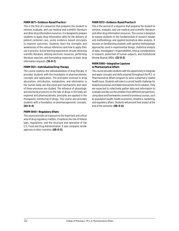#### **PHRM 5871—Evidence-Based Practice I**

This is the first of a sequence that prepares the student to retrieve, evaluate, and use medical and scientific literature and other drug information resources. It is designed to prepare students to apply drug information skills for the delivery of patient-centered care, using evidence-based principles to improve outcomes. Students learn the strengths and weaknesses of the various references and how to apply their use in practice. Active learning experiences include retrieving scientific literature, utilizing electronic resources, performing literature searches, and formulating responses to basic drug information requests. **(16-0-1)**

### **PHRM 5921—Individualized Drug Therapy**

This course explores the individualization of drug therapy. It provides students with the foundation in pharmacokinetic concepts and application. The principles involved in drug absorption, distribution, metabolism, and elimination in the human body are discussed and mechanisms and rates of these processes are studied. The influence of physiologic and biochemical process on the fate of drugs in the body are explored and pharmacokinetic principles are applied in the therapeutic monitoring of drugs. This course also provides students with a foundation on pharmacogenomic concepts. **(64-0-4)**

### **PHRM 5940—Regulatory Affairs**

This course provides an exposure to the important and critical area of drug regulatory matters. It explores the role of federal laws, regulations, and the structure and operation of the U.S. Food and Drug Administration. It also compares similar agencies in other countries. **(48-0-3)**

### **PHRM 5972—Evidence-Based Practice II**

This is the second of a sequence that prepares the student to retrieve, evaluate, and use medical and scientific literature and other drug information resources. This course is designed to expose students to the fundamentals of research design and methodology and applied biostatical data analysis. It focuses on familiarizing students with general methodologic approaches used in experimental design, statistical analysis of data, investigator's responsibilities, ethical considerations in research, protection of human subjects, and Institutional Review Boards (IRBs). **(32-0-2)**

### **PHRM 5990—Integrative Capstone in Pharmaceutical Affairs**

This course provides students with the opportunity to integrate and apply concepts and skills acquired throughout the M.S. in Pharmaceutical Affairs program to solve a pharmacy-related health issue. Students will select a current health challenge for analytical purposes and determine actions for its solution. They are expected to collectively gather data and information to evaluate and discuss the problem from different perspectives, using ideas and frameworks covered in previous courses, such as population health, health economics, bioethics, marketing, and regulatory affairs. Students will present their project at the end of the semester. **(96-0-6)**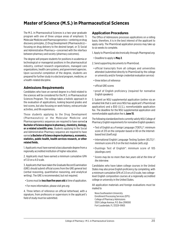# **Master of Science (M.S.) in Pharmaceutical Sciences**

The M.S. in Pharmaceutical Sciences is a two-year graduate program with one of three unique areas of emphasis: 1) Molecular Medicine and Pharmacogenomics—centering on drug discovery principles, 2) Drug Development (Pharmaceutics) focusing on drug delivery to the desired target, or 3) Social and Administrative Pharmacy—concerned with the interface between pharmacy and society (pharmacy outcomes).

The degree will prepare students for positions in academia or technological or managerial positions in the pharmaceutical industry, contract research organizations, managed care organizations, health care systems, and government agencies. Upon successful completion of the degree, students are prepared for further study in a doctoral program, medicine, or a health-related discipline.

# **Admissions Requirements**

Candidates who have an earned degree in a field related to the sciences will be considered for the M.S. in Pharmaceutical Sciences Program. The college takes a holistic approach in the evaluation of applications, looking beyond grades and test scores, but also focusing on work history, extracurricular activities, and life experiences.

Those students applying to the Drug Development (Pharmaceutics) or the Molecular Medicine and Pharmacogenomics sequences are required to have earned **a Bachelor of Science degree in pharmacy, chemistry, biology, or a related scientific area.** Students applying to the Social and Administrative Pharmacy sequence are required to have earned **a Bachelor of Science degree in pharmacy, economics, statistics, public health, health services research, or other related fields.**

1. Applicants must have earned a baccalaureate degree from a regionally accredited institution of higher education.

2. Applicants must have earned a minimum cumulative GPA of 3.0 on a 4.0 scale.

3. Applicants that have taken the Graduate Record Examination (GRE) should submit official scores from the GRE general test (verbal reasoning, quantitative reasoning, and analytical writing). The GRE is recommended, but not required.

- Scores must be **less than five years old** at time of application.
- For more information, please visit *[gre.org](http://gre.org)*.

4. Three letters of reference on official letterhead, with a signature, from professors or supervisors in the applicant's field of study must be submitted.

# **Application Procedures**

The Office of Admissions processes applications on a rolling basis; therefore, it is in the best interest of the applicant to apply early. The PharmGrad application process may take up to six weeks to complete.

1. Apply to PharmGrad electronically through *[Pharmgrad.org](http://Pharmgrad.org)*.

• Deadline to apply is **May 2**.

2. Send supporting documents to PharmGrad.

- official transcripts from all colleges and universities attended (submitted directly to PharmGrad by the college or university and/or foreign credential evaluation service)
- three letters of reference
- official GRE scores
- proof of English proficiency (required for nonnative English speakers)

3. Submit an NSU supplemental application (online via an emailed link that is sent once NSU has applicant's PharmGrad application) and a \$50 (U.S.), nonrefundable application fee. The deadline for the NSU supplemental application and nonrefundable application fee is **June 15**.

The following standardized tests currently satisfy NSU College of Pharmacy English requirements for nonnative English speakers:

- Test of English as a Foreign Language (TOEFL)\*: minimum score of 213 on the computer-based or 80 on the Internetbased test (*[toefl.org](http://toefl.org)*)
- International English Language Testing System (IELTS)\*: minimum score of 6.0 on the test module (*[ielts.org](http://ielts.org)*)
- Duolingo Test of English\*: minimum score of 105 (*[duolingo.com](http://duolingo.com)*)
- \* *Scores may be no more than two years old at the time of the interview.*

Candidates who have taken college courses in the United States may also prove English proficiency by completing, with a minimum cumulative GPA of 2.0 on a 4.0 scale, two collegelevel English composition courses at a regionally accredited college or university in the United States.

All application materials and foreign evaluations must be mailed to

Nova Southeastern University Enrollment Processing Services (EPS) College of Pharmacy Admissions 3301 College Avenue, P.O. Box 299000 Fort Lauderdale, FL 33329-9905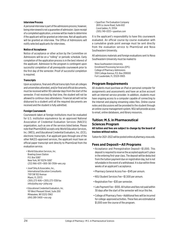#### **Interview Process**

A personal interview is part of the admissions process; however, being interviewed is not a guarantee of admission. Upon receipt of a completed application, a review will be made to determine if the applicant will be granted an interview. Not all applicants will be granted an interview. The Office of Admissions will notify selected applicants for interviews.

#### **Notice of Acceptance**

Notice of acceptance or other action by the Committee on Admissions will be on a "rolling" or periodic schedule. Early completion of the application process is in the best interest of the applicant. Admission to the program is contingent upon successful completion of all prerequisite coursework prior to the first day of the semester. Proof of successful completion is required.

#### **Transcripts**

Upon acceptance, final and official transcripts from all colleges and universities attended, and/or final and official documents, must be received within 90 calendar days from the start of the semester. If not received by that time, the student will not be allowed to continue class attendance. Financial aid will not be disbursed to a student until all the required documents are received and the student is fully admitted.

#### **Foreign Coursework**

Coursework taken at foreign institutions must be evaluated for U.S. institution equivalence by an approved National Association of Credential Evaluation Services (NACES) organization, such as one of the services listed below. Please note that PharmGRAD accepts only World Education Services, Inc. (WES), and Educational Credential Evaluators, Inc. (ECE), electronic transcripts. If an applicant goes through one of the other NACES-approved services, the applicant must have an official paper transcript sent directly to PharmGrad from the evaluation service.

- World Education Services, Inc. Bowling Green Station P.O. Box 5087 New York, NY 10274-5087 (212) 966-6311 • 800-361-3106• *[wes.org](http://wes.org)*
- Josef Silny & Associates, Inc., International Education Consultants 7101 SW 102 Avenue Miami, FL 33173 (305) 273-1616 • (305) 273-1338 fax *info@jsilny.org* • *[jsilny.org](http://jsilny.org)*
- Educational Credential Evaluators, Inc. 101 West Pleasant Street, Suite 200 Milwaukee, WI 53212-3963 (414) 289-3400 • *[ece.org](http://ece.org)*

• SpanTran: The Evaluation Company 2655 Le Jeune Road, Suite 602 Coral Gables, FL 33134 (305) 749-0333 • *[spantran.com](http://spantran.com)*

It is the applicant's responsibility to have this coursework evaluated. An official course-by-course evaluation with a cumulative grade point average must be sent directly from the evaluation service to PharmGrad and Nova Southeastern University.

All admissions materials and foreign evaluations sent to Nova Southeastern University must be mailed to

Nova Southeastern University Enrollment Processing Services (EPS) College of Pharmacy Admissions 3301 College Avenue, P.O. Box 299000 Fort Lauderdale, FL 33329-9905

# **Program Requirements**

All students must purchase an iPad or personal computer for assignments and assessments and have an active account with an Internet service provider. In addition, students must have ongoing access to a computer capable of connecting to the Internet and playing streaming video files. Online course notes and discussions will be provided to the student through an online course management system. NSU will provide access to email, online databases, and library resources.

# **Tuition: M.S. in Pharmaceutical Sciences Program**

**All tuition and fees are subject to change by the board of trustees without notice.**

Tuition for 2021–2022 will be posted online at *[pharmacy.nova.edu](http://pharmacy.nova.edu)*.

# **Fees and Deposit—All Programs**

- Acceptance and Preregistration Deposit—\$1,000. This deposit is required to reserve the accepted applicant's place in the entering first-year class. The deposit will be deducted from the tuition payment due on registration day, but is not refundable in the event of a withdrawal. It is due within three weeks of an applicant's acceptance.
- Pharmacy General Access Fee—\$145 per annum.
- NSU Student Services Fee—\$1,500 per annum.
- Registration Fee—\$30 per semester.
- Late Payment Fee—\$100. All tuition and fees not paid within 30 days after the start of the semester will incur this fee.
- College of Pharmacy Fees—Additional fees will be incurred for college-approved activities. These fees are estimated at \$1,000 over the course of the program.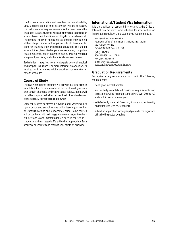The first semester's tuition and fees, less the nonrefundable, \$1,000 deposit are due on or before the first day of classes. Tuition for each subsequent semester is due on or before the first day of classes. Students will not be permitted to register or attend classes until their financial obligations have been met. The financial ability of applicants to complete their training at the college is important. Applicants should have specific plans for financing their professional education. This should include tuition, fees, iPad or personal computer, computerrelated expenses, health insurance, books, printing, required equipment, and living and other miscellaneous expenses.

Each student is required to carry adequate personal medical and hospital insurance. For more information about NSU's required health insurance, visit the website at *[nova.edu/bursar](http://nova.edu/bursar/health-insurance) [/health-insurance](http://nova.edu/bursar/health-insurance).* 

# **Course of Study**

The two-year degree program will provide a strong science foundation for those interested in doctoral-level, graduate programs in pharmacy and other science fields. Students will be better prepared to further pursue the doctoral-level career paths currently being offered nationwide.

Some courses may be offered in a hybrid model, which includes synchronous and asynchronous online learning, as well as on-campus learning and videoconferencing. Some courses will be combined with existing graduate courses, while others will be stand-alone, master's degree-specific courses. M.S. students may be assessed differently when appropriate. Each sequence has courses and emphasis specific to its discipline.

# **International/Student Visa Information**

It is the applicant's responsibility to contact the Office of International Students and Scholars for information on immigration regulations and student visa requirements at

Nova Southeastern University Attention: Office of International Students and Scholars 3301 College Avenue Fort Lauderdale, FL 33314-7796

(954) 262-7240 800-541-6682, ext. 27240 Fax: (954) 262-3846 Email: *intl@nsu.nova.edu [nova.edu/internationalaffairs/students](http://nova.edu/internationalaffairs/students)*

# **Graduation Requirements**

To receive a degree, students must fulfill the following requirements:

- be of good moral character
- successfully complete all curricular requirements and assessments with a minimum cumulative GPA of 3.0 on a 4.0 scale within four academic years
- satisfactorily meet all financial, library, and university obligations (to receive credentials)
- submit an application for degree/diploma to the registrar's office by the posted deadline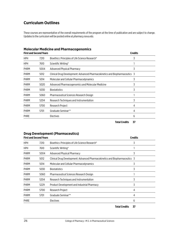# **Curriculum Outlines**

These courses are representative of the overall requirements of the program at the time of publication and are subject to change. Updates to the curriculum will be posted online at *[pharmacy.nova.edu](http://pharmacy.nova.edu)*.

|  |  | <b>Molecular Medicine and Pharmacogenomics</b> |  |
|--|--|------------------------------------------------|--|
|--|--|------------------------------------------------|--|

| <b>First and Second Years</b> |      |                                                                             | <b>Credits</b> |
|-------------------------------|------|-----------------------------------------------------------------------------|----------------|
| HPH                           | 7210 | Bioethics: Principles of Life Science Research*                             | 3              |
| <b>HPH</b>                    | 7610 | Scientific Writing*                                                         |                |
| <b>PHRM</b>                   | 5004 | <b>Advanced Physical Pharmacy</b>                                           | 3              |
| <b>PHRM</b>                   | 5012 | Clinical Drug Development: Advanced Pharmacokinetics and Biopharmaceutics 3 |                |
| <b>PHRM</b>                   | 5014 | Molecular and Cellular Pharmacodynamics                                     | 3              |
| <b>PHRM</b>                   | 5020 | Advanced Pharmacogenomics and Molecular Medicine                            | 3              |
| <b>PHRM</b>                   | 5030 | <b>Biostatistics</b>                                                        | 3              |
| <b>PHRM</b>                   | 5060 | Pharmaceutical Sciences Research Design                                     |                |
| PHRM                          | 5204 | Research Techniques and Instrumentation                                     | 3              |
| <b>PHRM</b>                   | 5700 | Research Project                                                            | 4              |
| <b>PHRM</b>                   | 5701 | Graduate Seminar**                                                          | 4              |
| <b>PHRE</b>                   |      | <b>Electives</b>                                                            | 6              |

**Total Credits 37**

# **Drug Development (Pharmaceutics)**

| <b>First and Second Years</b> |      |                                                                             | <b>Credits</b> |
|-------------------------------|------|-----------------------------------------------------------------------------|----------------|
| <b>HPH</b>                    | 7210 | Bioethics: Principles of Life Science Research*                             | 3              |
| <b>HPH</b>                    | 7610 | Scientific Writing*                                                         |                |
| <b>PHRM</b>                   | 5004 | Advanced Physical Pharmacy                                                  | 3              |
| <b>PHRM</b>                   | 5012 | Clinical Drug Development: Advanced Pharmacokinetics and Biopharmaceutics 3 |                |
| <b>PHRM</b>                   | 5014 | Molecular and Cellular Pharmacodynamics                                     | 3              |
| <b>PHRM</b>                   | 5030 | <b>Biostatistics</b>                                                        | 3              |
| <b>PHRM</b>                   | 5060 | Pharmaceutical Sciences Research Design                                     |                |
| <b>PHRM</b>                   | 5204 | Research Techniques and Instrumentation                                     | 3              |
| <b>PHRM</b>                   | 5229 | Product Development and Industrial Pharmacy                                 | 3              |
| <b>PHRM</b>                   | 5700 | Research Project                                                            | 4              |
| <b>PHRM</b>                   | 5701 | Graduate Seminar**                                                          | 4              |
| <b>PHRE</b><br>Electives      |      | 6                                                                           |                |
|                               |      |                                                                             |                |

**Total Credits 37**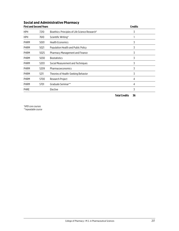# **Social and Administrative Pharmacy**

| <b>First and Second Years</b> |      |                                                 | <b>Credits</b> |
|-------------------------------|------|-------------------------------------------------|----------------|
| <b>HPH</b>                    | 7210 | Bioethics: Principles of Life Science Research* | 3              |
| <b>HPH</b>                    | 7610 | Scientific Writing*                             |                |
| <b>PHRM</b>                   | 5001 | <b>Health Economics</b>                         | 3              |
| <b>PHRM</b>                   | 5021 | Population Health and Public Policy             | 3              |
| <b>PHRM</b>                   | 5025 | Pharmacy Management and Finance                 | 3              |
| <b>PHRM</b>                   | 5030 | <b>Biostatistics</b>                            | 3              |
| <b>PHRM</b>                   | 5203 | Social Measurement and Techniques               | 3              |
| <b>PHRM</b>                   | 5209 | Pharmacoeconomics                               | 3              |
| <b>PHRM</b>                   | 5211 | Theories of Health-Seeking Behavior             | 3              |
| <b>PHRM</b>                   | 5700 | Research Project                                | 4              |
| <b>PHRM</b>                   | 5701 | Graduate Seminar**                              | 4              |
| <b>PHRE</b>                   |      | Elective                                        | 3              |
|                               |      |                                                 |                |

**Total Credits 36**

*\*HPD core courses \*\*repeatable course*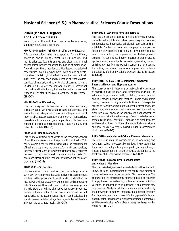# **Master of Science (M.S.) in Pharmaceutical Sciences Course Descriptions**

# **PHRM (Master's Degree) and HPD Core Classes**

Note: Listed at the end of each entry are lecture hours, laboratory hours, and credit hours.

### **HPH 7210—Bioethics: Principles of Life Science Research**

This course provides a structured approach for identifying, analyzing, and resolving ethical issues in medicine and the life sciences. Students analyze and discuss traditional philosophical theories regarding the nature of moral good. They will apply these theories to critical issues and selected case studies involving experiments with human subjects, organ transplantation, in vitro fertilization, the use of animals in research, the collection and publication of research data, conflicts of interest, and other topics of current concern. Students will explore the personal values, professional standards, and institutional guidelines that define the roles and responsibilities of the health care practitioner and researcher. **(48-0-3)**

### **HPH 7610—Scientific Writing**

This course exposes students to, and provides practice in, various types of writing skills necessary for scientists and researchers, including research logs, internal reports, technical reports, abstracts, presentations and journal manuscripts, dissertation formats, and grant applications. Students are exposed to various search databases, style manuals, and publication outlets. **(16-0-1)**

# **PHRM 5001—Health Economics**

This course will introduce students to the economic analysis of health care markets and the production of health. This course covers a variety of topics including the determinants of health; the supply of, and demand for, health care services; the impact of insurance on the demand for health care services; the role of government in health care markets; the market for pharmaceuticals; and the economic evaluation of health care programs. **(48-0-3)**

# **PHRM 5030—Biostatistics**

This course introduces methods for presenting data in summary form, analyzing data, and designing experiments. It emphasizes the application of statistical ideas and methods to the analysis and interpretation of experiments and comparative data. Students will be able to assess a situation involving data analysis, state the null and alternative hypotheses proposed, decide on the correct statistical procedure to test the null hypothesis and the assumptions of the test used, calculate the statistic, assess its statistical significance, and interpret the data in light of the calculated results. **(48-0-3)**

# **PHRM 5004—Advanced Physical Pharmacy**

This course presents application of underlying physical principles to formulate and to develop various pharmaceutical products. It describes physical principles in both solid and nonsolid states. Students will learn how basic physical principles are applied in development of current and novel pharmaceutical solids, semi-solids, homogeneous, and heterogeneous systems. This course describes the importance, properties, and applications of different polymer systems, new drug carriers, and rheology modifiers in developing current and novel dosage forms. Drug stability and solubility and approaches to enhance the solubility of the poorly soluble drugs will also be discussed. **(48-0-3)**

### **PHRM 5012—Clinical Drug Development: Advanced Pharmacokinetics and Biopharmaceutics**

This course deals with the principles that explain the processes of absorption, distribution, and elimination of drugs. The advances in pharmacokinetic modeling, compartmental analysis, model-independent methods, single and multiple dosing, protein binding, metabolite kinetics, interspecies scaling to translate animal data to humans, effect of disease states, and data analysis using relevant software will be discussed, as will applying the principles of biopharmaceutics and pharmacokinetics to the design of controlled release and targeted drug delivery systems. Emphasis is on bioequivalence and bioavailability of traditional pharmaceutical dosage forms and novel drug delivery systems including the assessment of biosimilars. **(48-0-3)**

# **PHRM 5014—Molecular and Cellular Pharmacodynamics**

This course studies the considerations in operating and regulating cellular processes by manipulating receptors for therapeutic advantage through coupled signaling pathways. Recent developments in this technique, as it applies to the treatment of disease, will be presented. **(48-0-3)**

### **PHRM 5020—Advanced Pharmacogenomics and Molecular Medicine**

This course is designed to educate students with an in-depth knowledge and understanding of the cellular and molecular bases that have evolved as the basis of human diseases. The course offers the contemporary molecular biological concepts to apply toward understanding molecular bases of individual variation, its application to drug response, and possible new interventions. Students will be able to understand and apply the knowledge of modern molecular biological techniques for diagnostics and detection of infection; gene defects; and fingerprinting; transgenesis; biopharming; immunotherapies; and the ever-developing field of gene therapy and regenerative medicine. **(48-0-3)**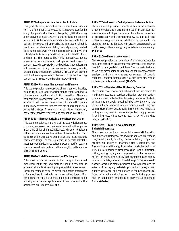#### **PHRM 5021—Population Health and Public Policy**

This graduate-level, interactive course introduces students to: (1) the fundamental concepts and frameworks used for the study of population health and public policy; (2) the financing and managing of health systems at the local and international levels; and (3) the formulation and analysis of public health policies. The course will emphasize the intersection of public health and the determinant of drug use and pharmacy-related policies. Students will have the opportunity to analyze and critically evaluate existing health policies, public health actions; and reforms. The course will be highly interactive. Students are expected to contribute and participate in the discussion of current research, case studies, and policies. Student learning will be assessed through oral exams, written assignments, presentations, and an analytical paper. This course will provide skills for the conceptualization of research projects addressing current health issues related to pharmacy. **(48-0-3)**

#### **PHRM 5025—Pharmacy Management and Finance**

This course provides an overview of management theories, human resources, and financial management applied to pharmacy and health care institution operations. Elements of supervision, management, and leadership are discussed in an effort to help students develop the skills needed to operate a pharmacy effectively. Also covered are finance topics such as capital costs, profit analysis, cost structures, budgeting, payment for services rendered, and accounting. **(48-0-3)**

#### **PHRM 5060—Pharmaceutical Sciences Research Design**

This course provides an analysis of the study designs most commonly employed in experimental research with emphasis in basic and clinical pharmacological research. Upon completion of the course, students will understand the considerations that go into selecting qualitative, quantitative, and mixed methods of research design. The course prepares students to select the most appropriate design to better answer a specific research question, as well as to understand the strengths and limitations of such a design. **(16-0-1)**

#### **PHRM 5203—Social Measurement and Techniques**

This course introduces students to the concepts of advanced measurement theory and methods used in research. It acquaints students with cutting-edge models in measurement theory and methods, as well as with the application of computer software with which to implement those methodologies. After completing the course, students should be prepared to begin working on advanced applications of measurement in the sociobehavioral sciences. **(48-0-3)**

#### **PHRM 5204—Research Techniques and Instrumentation**

This course will provide students with a broad overview of technologies and instruments used in pharmaceutical sciences research. Topics covered include the fundamentals of spectroscopy and chromatography, basic protein and molecular biology techniques, and others. The course will allow students to read the literature with greater understanding as methodological terminology begins to have more meaning. **(48-0-3)**

#### **PHRM 5209—Pharmacoeconomics**

This course provides an overview of pharmacoeconomics and some of the health outcome measurements that apply to health/pharmacy-related disciplines. The course is designed to focus on methodological principles of pharmacoeconomics analyses and the strengths and weaknesses of specific methods. Practical examples for successful implementation of these concepts are discussed. **(48-0-3)**

#### **PHRM 5211—Theories of Health-Seeking Behavior**

This course covers social and behavioral theories related to medication use, health services utilization, provider-patient communication, and other health-seeking behaviors. Students will examine and apply select health behavior theories at the individual, interpersonal, and community level. They will examine research conducted using the theories, with emphasis in the pharmacy field. Students are expected to apply theories in defining research questions, research design, and data analysis. **(48-0-3)**

### **PHRM 5229—Product Development and Industrial Pharmacy**

This course provides the student with the essential information about the various stages of the new drug approval process and drug development, including pre-formulation, comparison studies, suitability of pharmaceutical excipients, and formulation. Additionally, it provides the student with the principles of pharmaceutical processing, such as filtration, milling, mixing, drying, and compression of pharmaceutical solids. The course also deals with the production and quality control of tablets, capsules, liquid dosage forms, semi-solid dosage forms, and sterile products. Coverage includes the science of packaging materials, production management, quality assurance, and regulations in the pharmaceutical industry, including validation, good manufacturing practice, and FDA guidelines for stability of pharmaceutical dosage forms. **(64-0-4)**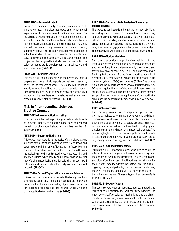### **PHRM 5700—Research Project**

Under the direction of faculty members, students will craft a mentored research project that draws on the educational experiences of their specialized track and electives. This research is provided to develop increased independence for students, while still maintaining the structure and faculty member oversight necessary to ensure that learning goals are met. The research may be a combination of classroom, laboratory, field, or in silico study. This supervised experience will allow students to work on projects that complement classroom work in the context of a structured course. The project will be designed to include practical instruction on evidence-based study development, data collection, and scientific writing. **(64-0-4)**

### **PHRM 5701—Graduate Seminar**

This course will equip students with the necessary tools to prepare and present lucid reports on their own research, as well as the research of others. The course will consist of weekly lectures that will be required of all graduate students throughout their course of study and research. Speakers will include faculty members and guests, as well as students presenting aspects of their research. **(16-0-1)**

# **M.S. in Pharmaceutical Sciences Elective Courses**

#### **PHRE 5023—Pharmaceutical Marketing**

This course is intended to provide graduate students with an in-depth understanding of the global development and marketing of pharmaceuticals, with an emphasis on the U.S. system. **(48-0-3)**

#### **PHRE 5036—Patent and Litigation**

This course teaches students the basics of patent laws, patent structure, patent literatures, patenting process/evaluation, and patent invalidity/infringement/litigations. It is focused only on pharmaceutical patents, and the students are expected to learn the basics by reviewing and practicing real case patenting and litigation studies. Since novelty and innovation is an integral task of a pharmaceutical formulation scientist, this course will help students to successfully patent and prosecute their novel research. **(48-0-3)**

#### **PHRE 5108—Current Topics in Pharmaceutical Sciences**

This course covers special topics selected by faculty members and visiting scientists. The goal of each topic is to provide the student with an understanding of, and an appreciation for, current problems and procedures underlying the pharmaceutical sciences discipline. **(48-0-3)**

### **PHRE 5207—Secondary Data Analysis of Pharmacy-Related Sources**

This course guides the student through the intricacies of utilizing secondary data for research. The emphasis is on utilizing sources of previously collected data that deal with pharmacyrelated issues, including administrative, sociobehavioral, and clinical themes. Methodological issues arising from the various analytic approaches (e.g., meta-analysis, case-control analysis, content analysis) will be identified and discussed. **(48-0-3)**

### **PHRE 5210—Modern Medicine**

This course provides comprehensive insights into the integration of various multidisciplinary domains of science and technology toward development, translation, and transformation of advanced multifunctional pharmaceuticals for targeted therapy of specific organs/tissues/cells. It describes different types of smart, multifunctional drug delivery systems (DDSs) and devices (DDDs). The course highlights the importance of nanoscale multimodal DDSs/ DDDs in targeted therapy of detrimental diseases (such as solid tumors), covers cell- and tissue-specific targeted therapy, and provides overviews on the applications of theranostics for simultaneous diagnosis and therapy and drug delivery devices. **(48-0-3)**

# **PHRE 5216—Polymers**

This course presents basic concepts and properties of polymers as related to formulation, development, and design of pharmaceutical dosage forms and products. It describes how basic principles of polymers—structural, physical, chemical, and mechanical properties—can be utilized in modifying and developing current and novel pharmaceutical products. The course highlights important areas of polymer applications in controlled drug delivery, targeted drug delivery, tissue engineering, nanotechnology, and medical devices. **(48-0-3)**

#### **PHRE 5222—Applied Pharmacology**

Students will use pharmacological principles to study the effects of therapeutic agents on the central nervous system, the endocrine system, the gastrointestinal system, blood, and blood-forming organs. It will address the rationale for the use of therapeutic agents; their effects on cells, tissues, organ systems, and patients; the mechanisms underlying these effects; the therapeutic value of specific drug effects; the limitation of the use of the agents; and the adverse effects of drugs. **(48-0-3)**

#### **PHRE 5224—Drugs of Abuse**

This course covers types of substances abused, methods and routes of administration, the pertinent toxicokinetics, the pharmacological/toxicological mechanisms, and the clinical manifestations of drug abuse. Treatment of intoxication and withdrawal, societal impact of drug abuse, legal implications, and current trends of substance abuse are also discussed. **(48-0-3)**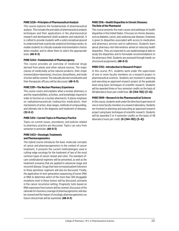#### **PHRE 5228—Principles of Pharmaceutical Analysis**

This course explores the fundamentals of pharmaceutical analysis. This includes the principles of pharmaceutical analysis techniques and their applications in the pharmaceutical research and development (both academic and industrial). It is crafted to provide students with a solid conceptual ground to understand how a particular analytical technique works, to enable students to critically evaluate instrumentation choices when needed, and to allow them to select the appropriate tools. **(48-0-3)**

#### **PHRE 5244—Fundamentals of Pharmacognosy**

This course provides an overview of medicinal drugs derived from plants and other natural sources. The major classes of medicinally active natural products, their origin (nomenclature+taxonomy), structure, biosynthesis, and mode of action will be covered. The naturally derived constituents and their therapeutic efficacy will be discussed. **(48-0-3)**

#### **PHRE 5391—The Nuclear Pharmacy Experience**

This course covers and explains what a nuclear pharmacy is and the responsibilities, activities, and knowledge required in order to function as a nuclear pharmacist. It places emphasis on radiopharmaceuticals (radioactive medication), their mechanisms of action, dose ranges, methods of compounding, and ultimate role in the diagnosis and treatment of diseases. **(32-0-2)**

#### **PHRE 5412—Current Topics in Pharmacy Practice**

Topics on current issues, procedures, and policies related to pharmacy practice are discussed. Topics can vary from semester to semester. **(48-0-3)**

#### **PHRE 5432—Oncologic Treatments and Pharmacogenomics**

This hybrid course introduces the basic molecular concepts of cancer and pharmacogenomics in the context of cancer treatment. It presents the current methodologies used in cutting-edge oncology for the treatment of two of the most common types of cancer: breast and colon. The standard-ofcare combinatorial regimens will be presented, as well as the treatment scenarios that are applied to advanced-stage and recurrent disease. Drugs that have increased patient tolerance to these genotoxic regimens will also be discussed. Finally, the application of next-generation sequencing of tumor DNA or RNA to determine which of the more than 300 druggable mutations exist in these tumors will be discussed, primarily in the cancer recurrence setting. Prognostic tests based on RNA expression from tumors will be covered. Discussion of the rationale for insurance coverage of pharmacogenomics will also be covered and the impact of oncologic pharmacogenomics on future clinical trials will be examined. **(48-0-3)**

### **PHRE 5516—Health Disparities in Chronic Diseases: The Role of the Pharmacist**

This course presents the main causes and pathways to health disparities in the United States. It focuses on chronic diseases, such as diabetes, cancer, and cardiovascular diseases. Emphasis is given to disparities associated with access to medication and pharmacy services and to adherence. Students learn about pharmacy-led interventions aimed at reducing health disparities. They are expected to use epidemiological data to study the disparities and to formulate recommendations to the pharmacy field. Students are assessed through hands-on structured assignments. **(48-0-3)**

#### **PHRE 5702—Introduction to Research Project**

In this course, M.S. students work under the supervision of one or more faculty members on a research project in pharmaceutical sciences. Students are involved in planning and executing an approved research project at the graduate level using basic techniques of scientific research. Students will be awarded three or four semester credits on the basis of 48 laboratory hours per credit hour. **(0-[144–192]-[3–4])**

### **PHRE 5999—Research in the Pharmaceutical Sciences**

In this course, students work under the direction/supervision of one or more faculty members in a research laboratory. Students are involved in planning and executing an approved research project using basic techniques of scientific research. Students will be awarded 3 or 4 semester credits on the basis of 48 laboratory hours per credit. **(0-[144–192]-[3–4])**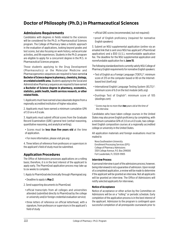# **Doctor of Philosophy (Ph.D.) in Pharmaceutical Sciences**

# **Admissions Requirements**

Candidates with degrees in fields related to the sciences will be considered for the Ph.D. in Pharmaceutical Sciences program. The College of Pharmacy takes a holistic approach in the evaluation of applications, looking beyond grades and test scores, but also focusing on work history, extracurricular activities, and life experiences. Students in the Ph.D. program are eligible to apply for a concurrent degree in the M.S. in Pharmaceutical Sciences program.

Those students applying to the Drug Development (Pharmaceutics) or the Molecular Medicine and Pharmacogenomics sequences are required to have earned **a Bachelor of Science degree in pharmacy, chemistry, biology, or a related scientific area.** Students applying to the Social and Administrative Pharmacy sequence are required to have earned **a Bachelor of Science degree in pharmacy, economics, statistics, public health, health services research, or other related fields.**

1. Applicants must have earned a baccalaureate degree from a regionally accredited institution of higher education.

2. Applicants must have earned a minimum cumulative GPA of 3.0 on a 4.0 scale.

3. Applicants must submit official scores from the Graduate Record Examination (GRE) general test (verbal reasoning, quantitative reasoning, and analytical writing).

- Scores must be **less than five years old** at the time of application.
- For more information, please visit *[gre.org](http://gre.org)*.

4. Three letters of reference from professors or supervisors in the applicant's field of study must be submitted.

# **Application Procedures**

The Office of Admissions processes applications on a rolling basis; therefore, it is in the best interest of the applicant to apply early. The PharmGrad application process may take up to six weeks to complete.

- 1. Apply to PharmGrad electronically through *[Pharmgrad.org](http://Pharmgrad.org)*.
- Deadline to apply is **May 2**.
- 2. Send supporting documents to PharmGrad.
- official transcripts from all colleges and universities attended (submitted directly to PharmGrad by the college or university and/or foreign credential evaluation service)
- three letters of reference on official letterhead, with a signature, from professors or supervisors in the applicant's field of study
- official GRE scores (recommended, but not required)
- proof of English proficiency (required for nonnative English speakers)

3. Submit an NSU supplemental application (online via an emailed link that is sent once NSU has applicant's PharmGrad application) and a \$50 (U.S.), nonrefundable application fee. The deadline for the NSU supplemental application and nonrefundable application fee is **June 15**.

The following standardized tests currently satisfy NSU College of Pharmacy English requirements for nonnative English speakers:

- Test of English as a Foreign Language (TOEFL)\*: minimum score of 213 on the computer-based or 80 on the Internetbased test (*[toefl.org](http://toefl.org)*)
- International English Language Testing System (IELTS)\*: minimum score of 6.0 on the test module (*[ielts.org](http://ielts.org)*)
- Duolingo Test of English\*: minimum score of 105 (*[duolingo.com](http://duolingo.com)*)
- \* *Scores may be no more than two years old at the time of the interview.*

Candidates who have taken college courses in the United States may also prove English proficiency by completing, with a minimum cumulative GPA of 2.0 on a 4.0 scale, two collegelevel English composition courses at a regionally accredited college or university in the United States.

All application materials and foreign evaluations must be mailed to

Nova Southeastern University Enrollment Processing Services (EPS) College of Pharmacy Admissions 3301 College Avenue, P.O. Box 299000 Fort Lauderdale, FL 33329-9905

#### **Interview Process**

A personal interview is part of the admissions process; however, being interviewed is not a guarantee of admission. Upon receipt of a completed application, a review will be made to determine if the applicant will be granted an interview. Not all applicants will be granted an interview. The Office of Admissions will notify selected applicants for interviews.

#### **Notice of Acceptance**

Notice of acceptance or other action by the Committee on Admissions will be on a "rolling" or periodic schedule. Early completion of the application process is in the best interest of the applicant. Admission to the program is contingent upon successful completion of all prerequisite coursework prior to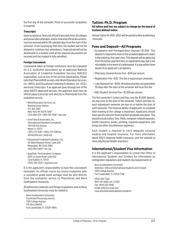the first day of the semester. Proof of successful completion is required.

### **Transcripts**

Upon acceptance, final and official transcripts from all colleges and universities attended, and/or final and official documents, must be received within 90 calendar days from the start of the semester. If not received by that time, the student will not be allowed to continue class attendance. Financial aid will not be distributed to a student until all the required documents are received and the student is fully admitted.

#### **Foreign Coursework**

Coursework taken at foreign institutions must be evaluated for U.S. institution equivalence by an approved National Association of Credential Evaluation Services (NACES) organization, such as one of the services listed below. Please note that PharmGRAD accepts only World Education Services, Inc. (WES), and Educational Credential Evaluators, Inc. (ECE), electronic transcripts. If an applicant goes through one of the other NACES-approved services, the applicant must have an official paper transcript sent directly to PharmGrad from the evaluation service.

- World Education Services, Inc. Bowling Green Station P.O. Box 5087 New York, NY 10274-5087 (212) 966-6311 • 800-361-3106 • *[wes.org](http://wes.org)*
- Josef Silny & Associates, Inc., International Education Consultants 7101 SW 102 Avenue Miami, FL 33173 (305) 273-1616 • (305) 273-1338 fax *info@jsilny.org* • *jsilny.org*
- Educational Credential Evaluators, Inc. 101 West Pleasant Street, Suite 200 Milwaukee, WI 53212-3963 (414) 289-3400 • *[ece.org](http://ece.org)*
- SpanTran: The Evaluation Company 2655 Le Jeune Road, Suite 602 Coral Gables, FL 33134 (305) 749-0333 • *[spantran.com](http://spantran.com)*

It is the applicant's responsibility to have this coursework evaluated. An official course-by-course evaluation with a cumulative grade point average must be sent directly from the evaluation service to PharmGrad and Nova Southeastern University.

All admissions materials and foreign evaluations sent to Nova Southeastern University must be mailed to

Nova Southeastern University Enrollment Processing Service 3301 College Avenue P.O. Box 299000 Fort Lauderdale, FL 33329-9905

### **Tuition: Ph.D. Program**

#### **All tuition and fees are subject to change by the board of trustees without notice.**

Annual tuition for 2021–2022 will be posted online at *pharmacy .nova.edu*.

# **Fees and Deposit—All Programs**

- Acceptance and Preregistration Deposit—\$1,000. This deposit is required to reserve the accepted applicant's place in the entering, first-year class. This deposit will be deducted from the tuition payment due on registration day, but is not refundable in the event of a withdrawal. It is due within three weeks of an applicant's acceptance.
- Pharmacy General Access Fee—\$145 per annum.
- Registration Fee—\$30. This fee is required per semester.
- Late Payment Fee—\$100. All tuition and fees not paid within 30 days after the start of the semester will incur this fee.
- NSU Student Services Fee—\$1,500 per annum.

The first semester's tuition and fees, less the \$1,000 deposit, are due prior to the start of the semester. Tuition and fees for each subsequent semester are due on or before the start of each semester. The financial ability of applicants to complete their training at the college is important. Applicants should have specific plans for financing their graduate education. This should include tuition, fees, iPads, computer-related expenses, health insurance, books, printing, required equipment, and living and other miscellaneous expenses.

Each student is required to carry adequate personal medical and hospital insurance. For more information about NSU's required health insurance, visit the website at *[nova.edu/bursar/health-insurance](http://nova.edu/bursar/health-insurance).*

# **International/Student Visa Information**

It is the applicant's responsibility to contact the Office of International Students and Scholars for information on immigration regulations and student visa requirements at

Nova Southeastern University Attention: Office of International Students and Scholars 3301 College Avenue Fort Lauderdale, FL 33314-7796

(954) 262-7240 800-541-6682, ext. 27240 Fax: (954) 262-3846 Email: *intl@nsu.nova.edu [nova.edu/internationalaffairs/students](http://nova.edu/internationalaffairs/students)*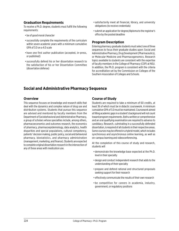# **Graduation Requirements**

To receive a Ph.D. degree, students must fulfill the following requirements:

- be of good moral character
- successfully complete the requirements of the curriculum within seven academic years with a minimum cumulative GPA of 3.0 on a 4.0 scale
- have one first author publication (accepted, in-press, or published)
- successfully defend his or her dissertation research to the satisfaction of his or her Dissertation Committee (dissertation defense)
- satisfactorily meet all financial, library, and university obligations (to receive credentials)
- submit an application for degree/diploma to the registrar's office by the posted deadline

# **Program Description**

Entering pharmacy graduate students must select one of three sequences to focus their graduate studies upon: Social and Administrative Pharmacy, Drug Development (Pharmaceutics), or Molecular Medicine and Pharmacogenomics. Research topics available to students are consistent with the expertise of faculty members in the College of Pharmacy (COP) at NSU. In addition, the Ph.D. program is consistent with the criteria for accreditation set by the Commission on Colleges of the Southern Association of Colleges and Schools.

# **Social and Administrative Pharmacy Sequence**

# **Overview**

This sequence focuses on knowledge and research skills that deal with the dynamics and complex nature of drug use and distribution systems. Students that pursue this sequence are advised and mentored by faculty members from the Department of Sociobehavioral and Administrative Pharmacy, a group of scholars whose specialties include, among others, pharmacoeconomics and outcomes research, the economics of pharmacy, pharmacoepidemiology, data analytics, health disparities and special populations, cultural competency, patients' decision making, public policy, social and behavioral pharmacy, biostatistics, and pharmacy administration (management, marketing, and finance). Students are expected to complete original dissertation research in the intersection of any of these areas with medication use.

# **Course of Study**

Students are required to take a minimum of 60 credits, at least 36 of which must be in didactic coursework. A minimum cumulative GPA of 3.0 must be maintained. Coursework aimed at filling academic gaps in a student's background will not count toward program requirements. Both a written or comprehensive and an oral qualifying examination are required to advance to candidacy. Research, culminating in a successfully defended dissertation, is required of all students in their respective areas. Some courses may be offered in a hybrid model, which includes synchronous and asynchronous online learning, as well as on-campus learning and videoconferencing.

At the completion of this course of study and research, students will

- demonstrate the knowledge base expected at the Ph.D. level in their specialty
- design and conduct independent research that adds to the understanding of their specialty
- prepare and defend rational and structured proposals seeking support for their research
- effectively communicate the results of their own research
- be competitive for careers in academia, industry, government, or regulatory positions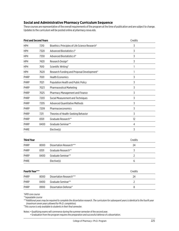# **Social and Administrative Pharmacy Curriculum Sequence**

These courses are representative of the overall requirements of the program at the time of publication and are subject to change. Updates to the curriculum will be posted online at *[pharmacy.nova.edu](http://pharmacy.nova.edu)*.

| <b>First and Second Years</b> |      |                                                 | Credits        |
|-------------------------------|------|-------------------------------------------------|----------------|
| <b>HPH</b>                    | 7210 | Bioethics: Principles of Life Science Research* | 3              |
| <b>HPH</b>                    | 7320 | Advanced Biostatistics I*                       | 3              |
| <b>HPH</b>                    | 7330 | Advanced Biostatistics II*                      | 3              |
| <b>HPH</b>                    | 7420 | Research Design*                                | 3              |
| <b>HPH</b>                    | 7610 | Scientific Writing*                             | 1              |
| <b>HPH</b>                    | 7620 | Research Funding and Proposal Development*      | 1              |
| PHRP                          | 7001 | <b>Health Economics</b>                         | 3              |
| PHRP                          | 7021 | Population Health and Public Policy             | 3              |
| PHRP                          | 7023 | <b>Pharmaceutical Marketing</b>                 | 3              |
| PHRP                          | 7025 | Pharmacy Management and Finance                 | 3              |
| PHRP                          | 7203 | Social Measurement and Techniques               | 3              |
| PHRP                          | 7205 | <b>Advanced Quantitative Methods</b>            | 3              |
| PHRP                          | 7209 | Pharmacoeconomics                               | 3              |
| PHRP                          | 7211 | Theories of Health-Seeking Behavior             | 3              |
| PHRP                          | 8301 | Graduate Research**                             | 12             |
| PHRP                          | 8400 | Graduate Seminar**                              | 4              |
| PHRE                          |      | Elective(s)                                     | 3              |
|                               |      |                                                 |                |
| <b>Third Year</b>             |      |                                                 | Credits        |
| PHRP                          | 8000 | Dissertation Research***                        | 24             |
| PHRP                          | 8301 | Graduate Research**                             | 3              |
| PHRP                          | 8400 | Graduate Seminar**                              | $\overline{2}$ |
| PHRE                          |      | Elective(s)                                     | 6              |

| <b>Fourth Year***</b> |                                   | Credits |
|-----------------------|-----------------------------------|---------|
| 8000                  | Dissertation Research***          | 24      |
| 8400                  | Graduate Seminar**                |         |
| 8900                  | Dissertation Defense <sup>+</sup> |         |
|                       |                                   |         |

*\*HPD core course* 

*\*\*repeatable course*

*\*\*\*Additional years may be required to complete the dissertation research. The curriculum for subsequent years is identical to the fourth year (maximum seven years allowed for Ph.D. completion).* <sup>+</sup>*This course is only available to students in their final semester.*

Notes: • Qualifying exams will commence during the summer semester of the second year.

• Graduation from the program requires the preparation and successful defense of a dissertation.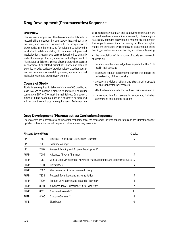# **Drug Development (Pharmaceutics) Sequence**

# **Overview**

This sequence emphasizes the development of laboratory research skills and supporting coursework that are integral to the theory and practice associated with the incorporation of drug entities into the forms and formulations to achieve the most effective delivery of drugs to the site of biological and medical action. Students who pursue this track will be primarily under the tutelage of faculty members in the Department of Pharmaceutical Sciences, a group of researchers with expertise in pharmaceutics-related disciplines. Particular areas of expertise include a variety of drug formulations, such as abuseresistant formulations, novel drug delivery approaches, and molecularly targeted drug delivery systems.

# **Course of Study**

Students are required to take a minimum of 60 credits, at least 36 of which must be in didactic coursework. A minimum cumulative GPA of 3.0 must be maintained. Coursework aimed at filling academic gaps in a student's background will not count toward program requirements. Both a written or comprehensive and an oral qualifying examination are required to advance to candidacy. Research, culminating in a successfully defended dissertation, is required of all students in their respective areas. Some courses may be offered in a hybrid model, which includes synchronous and asynchronous online learning, as well as on-campus learning and videoconferencing.

At the completion of this course of study and research, students will

- demonstrate the knowledge base expected at the Ph.D. level in their specialty
- design and conduct independent research that adds to the understanding of their specialty
- prepare and defend rational and structured proposals seeking support for their research
- effectively communicate the results of their own research
- be competitive for careers in academia, industry, government, or regulatory positions

# **Drug Development (Pharmaceutics) Curriculum Sequence**

These courses are representative of the overall requirements of the program at the time of publication and are subject to change. Updates to the curriculum will be posted online at *[pharmacy.nova.edu](http://pharmacy.nova.edu)*.

| <b>First and Second Years</b> |      |                                                                             | Credits |
|-------------------------------|------|-----------------------------------------------------------------------------|---------|
| <b>HPH</b>                    | 7210 | Bioethics: Principles of Life Science Research*                             | 3       |
| <b>HPH</b>                    | 7610 | Scientific Writing*                                                         |         |
| <b>HPH</b>                    | 7620 | Research Funding and Proposal Development*                                  |         |
| <b>PHRP</b>                   | 7004 | <b>Advanced Physical Pharmacy</b>                                           | 3       |
| <b>PHRP</b>                   | 7012 | Clinical Drug Development: Advanced Pharmacokinetics and Biopharmaceutics 3 |         |
| <b>PHRP</b>                   | 7030 | <b>Biostatistics</b>                                                        | 3       |
| <b>PHRP</b>                   | 7060 | Pharmaceutical Sciences Research Design                                     |         |
| <b>PHRP</b>                   | 7204 | Research Techniques and Instrumentation                                     | 3       |
| <b>PHRP</b>                   | 7229 | Product Development and Industrial Pharmacy                                 | 4       |
| <b>PHRP</b>                   | 8250 | Advanced Topics in Pharmaceutical Sciences**                                | 2       |
| <b>PHRP</b>                   | 8301 | Graduate Research**                                                         | 18      |
| <b>PHRP</b>                   | 8400 | Graduate Seminar**                                                          | 4       |
| <b>PHRE</b>                   |      | Elective(s)                                                                 | 6       |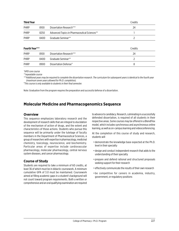| Third Year  |      |                                              | Credits |  |
|-------------|------|----------------------------------------------|---------|--|
| <b>PHRP</b> | 8100 | Dissertation Research***                     | 24      |  |
| <b>PHRP</b> | 8250 | Advanced Topics in Pharmaceutical Sciences** |         |  |
| <b>PHRP</b> | 8400 | Graduate Seminar**                           |         |  |
|             |      |                                              |         |  |

| <b>Fourth Year***</b> |      |                                   | Credits |
|-----------------------|------|-----------------------------------|---------|
| <b>PHRP</b>           | 8100 | Dissertation Research***          | 24      |
| PHRP                  | 8400 | Graduate Seminar**                |         |
| PHRP                  | 8900 | Dissertation Defense <sup>+</sup> |         |

*\*HPD core course* 

*\*\*repeatable course*

*\*\*\*Additional years may be required to complete the dissertation research. The curriculum for subsequent years is identical to the fourth year* 

*(maximum seven years allowed for Ph.D. completion).* <sup>+</sup>*This course is only available to students in their final semester.*

Note: Graduation from the program requires the preparation and successful defense of a dissertation.

# **Molecular Medicine and Pharmacogenomics Sequence**

# **Overview**

This sequence emphasizes laboratory research and the development of research skills that are integral to elucidation of the mechanism of action of drugs, and the extent and characteristics of those actions. Students who pursue this sequence will be primarily under the tutelage of faculty members in the Department of Pharmaceutical Sciences, a group of researchers with expertise in pharmacology, medicinal chemistry, toxicology, neuroscience, and biochemistry. Particular areas of expertise include cardiovascular pharmacology, molecular pharmacology, central nervous system diseases, and cancer pharmacology.

# **Course of Study**

Students are required to take a minimum of 60 credits, at least 36 of which must be in didactic coursework. A minimum cumulative GPA of 3.0 must be maintained. Coursework aimed at filling academic gaps in a student's background will not count toward program requirements. Both a written or comprehensive and an oral qualifying examination are required

to advance to candidacy. Research, culminating in a successfully defended dissertation, is required of all students in their respective areas. Some courses may be offered in a BlendFlex model, which includes synchronous and asynchronous online learning, as well as on-campus learning and videoconferencing.

At the completion of this course of study and research, students will

- demonstrate the knowledge base expected at the Ph.D. level in their specialty
- design and conduct independent research that adds to the understanding of their specialty
- prepare and defend rational and structured proposals seeking support for their research
- effectively communicate the results of their own research
- be competitive for careers in academia, industry, government, or regulatory positions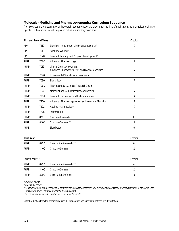# **Molecular Medicine and Pharmacogenomics Curriculum Sequence**

These courses are representative of the overall requirements of the program at the time of publication and are subject to change. Updates to the curriculum will be posted online at *[pharmacy.nova.edu](http://pharmacy.nova.edu)*.

| <b>First and Second Years</b> |      |                                                                              | Credits        |
|-------------------------------|------|------------------------------------------------------------------------------|----------------|
| <b>HPH</b>                    | 7210 | Bioethics: Principles of Life Science Research*                              | 3              |
| <b>HPH</b>                    | 7610 | Scientific Writing*                                                          | 1              |
| <b>HPH</b>                    | 7620 | Research Funding and Proposal Development*                                   | 1              |
| <b>PHRP</b>                   | 7006 | <b>Advanced Pharmacology</b>                                                 | 4              |
| PHRP                          | 7012 | Clinical Drug Development:<br>Advanced Pharmacokinetics and Biopharmaceutics | 3              |
| PHRP                          | 7020 | <b>Experimental Statistics and Informatics</b>                               | 1              |
| PHRP                          | 7030 | <b>Biostatistics</b>                                                         | 3              |
| PHRP                          | 7060 | Pharmaceutical Sciences Research Design                                      | 1              |
| PHRP                          | 7114 | Molecular and Cellular Pharmacodynamics                                      | $\overline{3}$ |
| PHRP                          | 7204 | Research Techniques and Instrumentation                                      | 3              |
| PHRP                          | 7220 | Advanced Pharmacogenomics and Molecular Medicine                             | 3              |
| PHRP                          | 7222 | Applied Pharmacology                                                         | 3              |
| PHRP                          | 7226 | Journal Club                                                                 | 1              |
| <b>PHRP</b>                   | 8301 | Graduate Research**                                                          | 18             |
| PHRP                          | 8400 | Graduate Seminar**                                                           | 4              |
| PHRE                          |      | Elective(s)                                                                  | 6              |
|                               |      |                                                                              |                |
| <b>Third Year</b>             |      |                                                                              | Credits        |
| <b>PHRP</b>                   | 8200 | Dissertation Research***                                                     | 24             |
| PHRP                          | 8400 | Graduate Seminar**                                                           | $\overline{2}$ |
| <b>Fourth Year***</b>         |      |                                                                              | Credits        |
| PHRP                          | 8200 | Dissertation Research***                                                     | 24             |
| <b>PHRP</b>                   | 8400 | Graduate Seminar**                                                           | 2              |
| PHRP                          | 8900 | Dissertation Defense <sup>+</sup>                                            | 8              |

*\*HPD core course* 

*\*\*repeatable course*

Note: Graduation from the program requires the preparation and successful defense of a dissertation.

*<sup>\*\*\*</sup>Additional years may be required to complete the dissertation research. The curriculum for subsequent years is identical to the fourth year (maximum seven years allowed for Ph.D. completion).* <sup>+</sup>*This course is only available to students in their final semester.*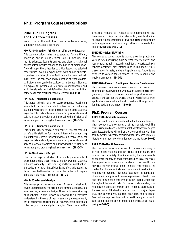# **Ph.D. Program Course Descriptions**

# **PHRP (Ph.D. Degree) and HPD Core Classes**

Note: Listed at the end of each entry are lecture hours, laboratory hours, and credit hours.

# **HPH 7210—Bioethics: Principles of Life Science Research**

This course provides a structured approach for identifying, analyzing, and resolving ethical issues in medicine and the life sciences. Students analyze and discuss traditional philosophical theories regarding the nature of moral good. They will apply these theories to critical issues and selected case studies involving experiments with human subjects, organ transplantation, in vitro fertilization, the use of animals in research, the collection and publication of research data, conflicts of interest, and other topics of current concern. Students will explore the personal values, professional standards, and institutional guidelines that define the roles and responsibilities of the health care practitioner and researcher. **(48-0-3)**

# **HPH 7320—Advanced Biostatistics I**

This course is the first of a two-course sequence focusing on inferential statistics for students interested in conducting quantitative research in the health sciences. It enables students to gather data and apply experimental design models toward solving practical problems and improving the efficiency of formulating and providing health care services. **(48-0-3)**

# **HPH 7330—Advanced Biostatistics II**

This course is the second of a two-course sequence focusing on inferential statistics for students interested in conducting quantitative research in the health sciences. It enables students to gather data and apply experimental design models toward solving practical problems and improving the efficiency of formulating and providing health care services. **(48-0-3)**

# **HPH 7400—Research Design**

This course prepares students to evaluate pharmaceutical procedures and practices from a scientific viewpoint. Students will learn to identify issues requiring additional investigation, and to design research that efficiently and effectively addresses those issues. By the end of the course, the student will prepare a first draft of a research proposal. **(48-0-3)**

# **HPH 7420—Research Design**

This course provides an overview of research design. It covers understanding the preliminary considerations that go into selecting a research design. These include considering philosophical world views; reviewing the literature; understanding the use of theory; sampling; measurement; pre-experimental, correlational, or experimental design; data collection; and data analysis strategies. Discussions on the process of research as it relates to each approach will also be reviewed. This process includes writing an introduction, specifying a purpose statement, developing research questions and/or hypotheses, and proposing methods of data collection and analysis plans. **(48-0-3)**

# **HPH 7610—Scientific Writing**

This course exposes students to, and provides practice in, various types of writing skills necessary for scientists and researchers, including research logs, internal reports, technical reports, abstracts, presentations and journal manuscripts, dissertation formats, and grant applications. Students are exposed to various search databases, style manuals, and publication outlets. **(46-0-1)**

# **HPH 7620—Research Funding and Proposal Development**

This course provides an overview of the process of conceptualizing, developing, writing, and submitting research grant applications to solicit extramural support for research efforts. It will describe the process through which federal grant applications are evaluated and scored and through which funding decisions are made. **(16-0-1)**

# **Ph.D. Program Courses**

# **PHRP 8301—Graduate Research**

This course introduces students to the fundamental tenets of pharmaceutical sciences research at the graduate level. This course is required each semester until students become degree candidates. Students will work on a one-on-one basis with their faculty mentor to become familiar with the research interests, literature, and laboratory techniques of the mentor. **(48-0-3)**

# **PHRP 7001—Health Economics**

This course will introduce students to the economic analysis of health care markets and the production of health. This course covers a variety of topics including the determinants of health; the supply of, and demand for, health care services; the impact of insurance on the demand for health care services; the role of government in health care markets; the market for pharmaceuticals; and the economic evaluation of health care programs. This course focuses on the application of economic analysis as it relates to provision of health care and emerging health care trends in the United States and throughout the world. It also focuses on understanding how health care markets differ from other markets, specifically on the economics of the health care sector and its major players (e.g., the government, insurers, providers, and patients). Economic concepts and tools will be used to analyze the health care system and to examine implications and issues in health policy. **(48-0-3)**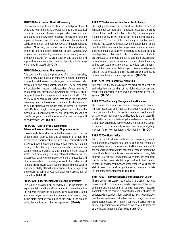### **PHRP 7004—Advanced Physical Pharmacy**

This course presents application of underlying physical principles to formulate and develop various pharmaceutical products. It describes physical principles in both solid and nonsolid states. Students will learn how basic physical principles are applied in development of current and novel pharmaceutical solids, semi-solids, and homogeneous and heterogeneous systems. Moreover, the course describes the importance, properties, and application of different polymer systems, new drug carriers, and rheology modifiers in developing current and novel dosage forms. Drug stability and solubility and approaches to enhance the solubility of poorly soluble drugs will also be discussed. **(48-0-3)**

### **PHRP 7006—Advanced Pharmacology**

This course will apply the principles of organic chemistry, biochemistry, physiology, and pathophysiology to understand drug actions at the receptor, cellular, and systems levels under physiological and pathological conditions. Special emphasis will be placed on students' understanding of determinants of drug absorption, distribution, physiological receptors, drugreceptor interaction, drug metabolism, and elimination. This course will also focus on the drugs that act on the autonomic nervous system, cardiovascular system, and blood components as well. The rationale for the use of these therapeutic agents; their effects on cells, tissues, organ systems, and patients; the mechanisms underlying these effects; the therapeutic value of specific drug effects; and the adverse effects of the drugs will be addressed as well. **(64-0-4)**

# **PHRP 7012—Clinical Drug Development: Advanced Pharmacokinetics and Biopharmaceutics**

This course deals with the principles that explain the processes of absorption, distribution, and elimination of drugs. The advances in pharmacokinetic modeling, compartmental analysis, model-independent methods, single and multiple dosing, protein binding, metabolite kinetics, interspecies scaling to translate animal data to humans, effect of disease states, and data analysis using relevant software will be discussed, applying the principles of biopharmaceutics and pharmacokinetics to the design of controlled release and targeted drug delivery systems. Emphasis is on bioequivalence and bioavailability of traditional pharmaceutical dosage forms and novel drug delivery systems, including the assessment of biosimilars. **(48-0-3)**

#### **PHRP 7020—Experimental Statistics and Informatics**

This course provides an overview of the principles of experimental statistics and informatics that are relevant to the experimental design of studies, as well as interpretation and processing of the information garnered from these studies, in the biomedical sciences, but particularly in the area of molecular medicine and pharmacogenomics. **(16-0-1)**

### **PHRP 7021—Population Health and Public Policy**

This highly interactive course introduces students to: (1) the fundamental concepts and frameworks used for the study of population health and public policy; (2) the financing and managing of health systems at the local and international levels; and (3) the formulation and analysis of public health policies. The course will emphasize the intersection of public health and the determinant of drug use and pharmacy-related policies. Students will analyze and critically evaluate existing health policies, public health actions, and reforms. Students are expected to contribute and participate in the discussion of current research, case studies, and policies. Student learning will be assessed through oral exams, written assignments, presentations, and an analytical paper. This course will provide skills for the conceptualization of research projects addressing current health issues related to pharmacy. **(48-0-3)**

### **PHRP 7023—Pharmaceutical Marketing**

This course is intended to provide the graduate student with an in-depth understanding of the global development and marketing of pharmaceuticals with an emphasis on the U.S. system. **(48-0-3)**

### **PHRP 7025—Pharmacy Management and Finance**

This course provides an overview of management theories, human resources, and financial management applied to pharmacy and health care institution operations. Elements of supervision, management, and leadership are discussed in an effort to help students develop the skills needed to operate a pharmacy effectively. Also covered are finance topics such as capital costs, profit analysis, cost structures, budgeting, payment for services rendered, and accounting. **(48-0-3)**

# **PHRP 7030—Biostatistics**

This course introduces methods for presenting data in summary form, analyzing data, and designing experiments. It emphasizes the application of statistical ideas and methods to the analysis and interpretation of experiments and comparative data. Students will be able to assess a situation involving data analysis, state the null and alternative hypotheses proposed, decide on the correct statistical procedure to test the null hypothesis and the assumptions of the test used, calculate the statistic, assess its statistical significance, and interpret the data in light of the calculated results. **(48-0-3)**

# **PHRP 7060—Pharmaceutical Sciences Research Design**

The purpose of this course is to provide an analysis of the study designs most commonly employed in experimental research with emphasis in basic and clinical pharmacological research. Completion of the course is expected to enable students to understand the considerations that go into selecting qualitative, quantitative, and mixed methods of research design. The course prepares students to select the most appropriate design to better answer a specific research question, as well as to understand the strengths and limitations of such design. **(16-0-1)**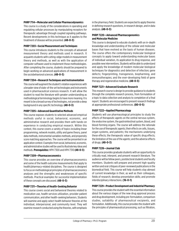### **PHRP 7114—Molecular and Cellular Pharmacodynamics**

This course is a study of the considerations in operating and regulating cellular processes by manipulating receptors for therapeutic advantage through coupled signaling pathways. Recent developments in this technique as it applies to the treatment of disease will be presented. **(48-0-3)**

### **PHRP 7203—Social Measurement and Techniques**

This course introduces students to the concepts of advanced measurement theory and methods used in research. It acquaints students with cutting-edge models in measurement theory and methods, as well as with the application of computer software used to implement those methodologies. After completing the course, students should be prepared to begin working on advanced applications of measurement in the sociobehavioral sciences. **(48-0-3)**

### **PHRP 7204—Research Techniques and Instrumentation**

This course will augment the student's rotation experiences with a broader view of state-of-the-art technologies and instruments used in pharmaceutical sciences research. It will allow the student to read the literature with greater understanding as methodological terminology begins to have more meaning. It is meant to be a broad survey of technologies, not provide a deep background in any specific technology. **(48-0-3)**

### **PHRP 7205—Advanced Quantitative Methods**

This course exposes students to selected advanced empirical methods useful in social, behavioral, economic, and administrative research and provides them with hands-on experience in conducting empirical research. Within this context, this course covers a variety of topics including linear programming, network models, utility and game theory, panel data methods, instrumental variables methods, and propensity score matching approaches. The course will be presented in an application context. Examples from social, behavioral, economic, and administrative studies will be used to illustrate key ideas and methods. **Prerequisites:** HPH 7300 and HPH 7310 **(48-0-3)**

# **PHRP 7209—Pharmacoeconomics**

This course provides an overview of pharmacoeconomics and some of the health outcome measurements that apply to health/pharmacy-related disciplines. The course is designed to focus on methodological principles of pharmacoeconomics analyses and the strengths and weaknesses of specific methods. Practical examples for successful implementation of these concepts are discussed. **(48-0-3)**

#### **PHRP 7211—Theories of Health-Seeking Behavior**

This course covers social and behavioral theories related to medication use, health services utilization, provider patient communication, and other health-seeking behaviors. Students will examine and apply select health behavior theories at the individual, interpersonal, and community level. They will examine research conducted using the theories, with emphasis in the pharmacy field. Students are expected to apply theories in defining research questions, in research design, and in data analysis. **(48-0-3)**

### **PHRP 7220—Advanced Pharmacogenomics and Molecular Medicine**

This course is designed to educate students with an in-depth knowledge and understanding of the cellular and molecular bases that have evolved as the basis of human diseases. The course offers the contemporary molecular biological concepts to apply toward understanding molecular bases of individual variation, its application to drug response, and possible new interventions. Students will be able to understand and apply the knowledge of modern molecular biological techniques for diagnostics and detection of infection; gene defects; fingerprinting, transgenesis, biopharming, and immunotherapies; and the ever-developing field of gene therapy and regenerative medicine. **(48-0-3)**

### **PHRP 7221—Advanced Graduate Research**

This research course is design to provide guidance to students through the complete research process, from formulation of a topic to data collection and analysis to completion of a final report. Students are encouraged to present research findings at appropriate professional conferences. **(80-0-5)**

# **PHRP 7222—Applied Pharmacology**

Students will use pharmacological principles to study the effects of therapeutic agents on the central nervous system, the endocrine system, the gastrointestinal system, blood, and blood-forming organs. The course will address the rationale for the use of therapeutic agents; their effects on cells, tissues, organ systems, and patients; the mechanisms underlying these effects; the therapeutic value of specific drug effects; the limitation of the use of the agents; and the adverse effects of drugs. **(48-0-3)**

# **PHRP 7226—Journal Club**

This course provides graduate students with an opportunity to critically read, interpret, and present research literature. The audience will be fellow peers, postdoctoral students and faculty members. Students will prepare and present high-quality written and oral critiques of peer-reviewed publications in the biomedical field. This course will help students stay abreast of current knowledge in their, as well as their colleagues, fields of research; develop presentation skills; and promote interdisciplinary interactions. **(16-0-1)**

# **PHRP 7229—Product Development and Industrial Pharmacy**

This course provides the student with the essential information about the various stages of the new drug approval process and drug development, including pre-formulation, comparison studies, suitability of pharmaceutical excipients, and formulation. Additionally, this course provides the student with the principles of pharmaceutical processing, such as filtration,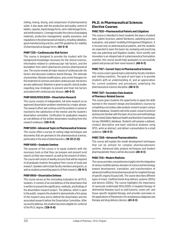milling, mixing, drying, and compression of pharmaceutical solids. It also deals with the production and quality control of tablets, capsules, liquid dosage forms, semi-solid dosage forms, and sterile products. Coverage includes the science of packaging materials, production management, quality assurance, and regulations in the pharmaceutical industry, including validation, good manufacturing practice, and FDA guidelines for stability of pharmaceutical dosage forms. **(64-0-4)**

### **PHRP 7235—Cardiovascular Risk Factors**

This course is designed to provide the student with the background knowledge necessary for the clinical sciences, information related to cardiovascular risk factors, and the foundation from which pharmacists practice pharmaceutical care. The course reviews all major classes of cardiovascular risk factors and discusses evidence-based therapy. The rationale of prevention, lifestyle modifications, and current therapies for the treatment of common and silent cardiovascular risk factors are also addressed. Attention is given to specific clinical studies regarding new strategies to prevent and treat risk factors associated with cardiovascular disease. **(48-0-3)**

### **PHRP 8000/8100/8200—Dissertation Research**

This course consists of independent, full-time research on an approved dissertation problem mentored by a major adviser. The research effort will continue until the problem is solved or resolved to the satisfaction of the mentor and the student's dissertation committee. Certification for graduation requires an oral defense of the written dissertation resulting from this research endeavor. **(128-0-8)**

#### **PHRP 8250—Advanced Topics in Pharmaceutical Sciences**

This course offers a survey of cutting-edge techniques and discoveries that are germane to the pharmaceutical sciences, particularly in the area of pharmaceutics. **(16-32-[1-2])**

# **PHRP 8400—Graduate Seminar**

The purpose of this course is to equip students with the necessary tools so that they can prepare and present lucid reports on their own research, as well as the research of others. The course will consist of weekly lectures that will be required of all graduate students throughout their course of study and research. Speakers will include faculty members and guests, as well as students presenting aspects of their research. **(16-0-1)**

# **PHRP 8900—Dissertation Defense**

This course serves as the concluding evaluation for all Ph.D. students. It consists of an oral defense of the dissertation that is written to present the significance, methods, and findings of the dissertation research project. The defense, which is open to the public, requires the student to demonstrate a firm grasp of the research area and to defend the dissertation and the associated research before the Dissertation Committee. After successful defense, the student becomes eligible for conferral of the Ph.D. degree. **(128-0-8)**

# **Ph.D. in Pharmaceutical Sciences Elective Courses**

### **PHRE 7035—Pharmaceutical Patents and Litigations**

This course is intended to teach students the basics of patent laws, patent structure, patent literatures, patenting process/ evaluation, and patent invalidity/infringement/litigations. It is focused only on pharmaceutical patents, and the students are expected to learn the basics by reviewing and practicing real case patenting and litigation studies. Since novelty and innovation is an integral task of a pharmaceutical formulation scientist, this course would help graduates to successfully patent and prosecute their novel research. **(48-0-3)**

# **PHRE 7107—Current Topics in Pharmaceutical Sciences**

This course covers special topics selected by faculty members and visiting scientists. The goal of each topic is to provide students with an understanding of, and an appreciation for, current problems and procedures underlying the pharmaceutical sciences discipline. **(48-0-3)**

### **PHRE 7207—Secondary Data Analysis of Pharmacy-Related Sources**

This course gives students the opportunity to apply the skills learned in the research design and biostatistics courses by completing a secondary data analysis research project using a federal database. Students will write a basic research protocol and become familiar with the basic structure and methodology of the United States National Health and Nutrition Examination Survey (NHANES) database. Students will prepare a dataset, conduct descriptive and basic statistical analyses using SPSS, write an abstract, and deliver a presentation to a small audience. **(48-0-3)**

# **PHRE 7208—Advanced Pharmacokinetics**

This course will explain the model development techniques that can be utilized for complex pharmacodynamic systems. Advanced data analysis techniques and modem pharmacokinetic theory will be discussed. **(48-0-3)**

# **PHRE 7210—Modern Medicine**

This course provides comprehensive insights into the integration of various multidisciplinary domains of science and technology toward development, translation, and transformation of advanced multifunctional pharmaceuticals for targeted therapy of specific organs/tissues/cells. The course describes different types of smart, multifunctional drug delivery systems (DDSs) and devices (DDDs). The course highlights the importance of nanoscale multimodal DDSs/DDDs in targeted therapy of detrimental diseases (such as solid tumors), covers cell- and tissue-specific targeted therapy, and provides overviews on the applications of theranostics for simultaneous diagnosis and therapy and drug delivery devices. **(43-0-3)**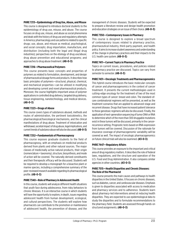# **PHRE 7213—Epidemiology of Drug Use, Abuse, and Misuse**

This course is designed to introduce doctoral students to the epidemiology of drug use, misuse, and abuse. The course focuses on drug use, misuse, and abuse as social phenomena and deals with the history of drug use and regulatory attempts in America; pharmacology and use patterns related to specific drugs; use, abuse, and misuse as medical, psychological, and social concepts; drug importation, manufacture, and distribution (including both the legal and illegal drug industries); perspectives on the etiology of drug use/abuse; drug abuse prevention and educational programs; and approaches to drug abuse treatment. **(48-0-3)**

### **PHRE 7216—Pharmaceutical Polymers**

This course presents basic concepts and properties of polymers as related to formulation, development, and design of pharmaceutical dosage forms and products. It describes how basic principles of polymers—structural, physical, chemical, and mechanical properties—can be utilized in modifying and developing current and novel pharmaceutical products. Moreover, the course highlights important areas of polymer applications in controlled drug delivery, targeted drug delivery, tissue engineering, nanotechnology, and medical devices. **(48-0-3)**

### **PHRE 7223—Drugs of Abuse**

This course covers types of substances abused, methods and routes of administration, the pertinent toxicokinetics, the pharmacological/toxicological mechanisms, and the clinical manifestations of drug abuse. Treatment of intoxication and withdrawal, societal impact of drug abuse, legal implications, and current trends of substance abuse will also be discussed. **(48-0-3)**

#### **PHRE 7252—Fundamentals of Pharmacognosy**

This course exposes graduate students to the field of pharmacognosy, with an emphasis on medicinal products derived from plants and other natural sources. The major classes of medicinally active natural products, their origin (nomenclature + taxonomy), structure, biosynthesis, and mode of action will be covered. The naturally derived constituents and their therapeutic efficacy will be discussed. Students will be required to develop a monograph for a bioactive plant or marine species, including a comprehensive summary of the peer-reviewed research available regarding its pharmacological profile. **(48-0-3)**

#### **PHRE 7340—Role of Pharmacy in Adolescent Health**

In this course, students will analyze different health situations that youth face during adolescence, from risky behaviors to chronic illnesses. It is an interactive course in which students will have the opportunity to explore, in depth, issues regarding adolescent health from human development, ecological, and cultural perspectives. The students will explore how pharmacists can contribute to the promotion or maintenance of adolescent health, the prevention of disease, and the

management of chronic diseases. Students will be expected to prepare a literature review and design health promotion and education strategies on an issue of their choice. **(48-0-3)**

### **PHRE 7350—Contemporary Issues in Pharmacy**

This course is designed to explore a broad spectrum of contemporary issues related to pharmacy practice, pharmaceutical industry, third-party payment, and health policy. It aims to increase student awareness and understanding of the change in pharmacy practices and their impacts to the U.S. health care system. **(48-0-3)**

### **PHRE 7411—Current Topics in Pharmacy Practice**

Topics on current issues, procedures, and policies related to pharmacy practice are discussed. Topics can vary from semester to semester. **(48-0-3)**

### **PHRE 7431—Oncologic Treatments and Pharmacogenomics**

This hybrid course introduces the basic molecular concepts of cancer and pharmacogenomics in the context of cancer treatment. It presents the current methodologies used in cutting-edge oncology for the treatment of two of the most common types of cancer: breast and colon. The standard-ofcare combinatorial regimens will be presented, as well as the treatment scenarios that are applied to advanced-stage and recurrent disease. Drugs that have increased patient tolerance to these genotoxic regimens will also be discussed. Finally, the application of next-generation sequencing of tumor DNA or RNA to determine which of the more than 300 druggable mutations exist in these tumors will be discussed, primarily in the cancerrecurrence setting. Prognostic tests based on RNA expression from tumors will be covered. Discussion of the rationale for insurance coverage of pharmacogenomic variability will be covered as well. The impact of oncologic pharmacogenomics on future clinical trials will also be examined. **(43-0-3)**

#### **PHRE 7447—Regulatory Affairs**

This course provides an exposure to the important and critical area of drug regulatory matters. It describes the role of federal laws, regulations, and the structure and operation of the U.S. Food and Drug Administration. It also compares similar agencies in other countries. **(43-0-3)**

#### **PHRE 7515—Health Disparities and Chronic Diseases: The Role of the Pharmacist**

This course presents the main causes and pathways to health disparities in the United States. It focuses on chronic diseases, such as diabetes, cancer, and cardiovascular diseases. Emphasis is given to disparities associated with access to medication and pharmacy services and to adherence. Students learn about pharmacy-led interventions aimed at reducing health disparities. They are expected to use epidemiological data to study the disparities and to formulate recommendations to the pharmacy field. Students are assessed through hands-on structured assignments. **(48-0-3)**